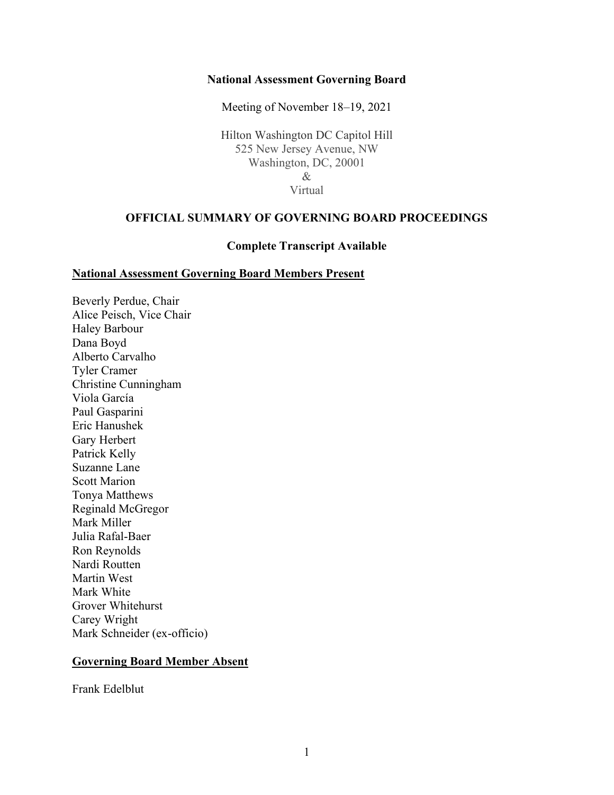#### **National Assessment Governing Board**

Meeting of November 18–19, 2021

Hilton Washington DC Capitol Hill 525 New Jersey Avenue, NW Washington, DC, 20001 & Virtual

#### **OFFICIAL SUMMARY OF GOVERNING BOARD PROCEEDINGS**

#### **Complete Transcript Available**

#### **National Assessment Governing Board Members Present**

Beverly Perdue, Chair Alice Peisch, Vice Chair Haley Barbour Dana Boyd Alberto Carvalho Tyler Cramer Christine Cunningham Viola García Paul Gasparini Eric Hanushek Gary Herbert Patrick Kelly Suzanne Lane Scott Marion Tonya Matthews Reginald McGregor Mark Miller Julia Rafal-Baer Ron Reynolds Nardi Routten Martin West Mark White Grover Whitehurst Carey Wright Mark Schneider (ex-officio)

#### **Governing Board Member Absent**

Frank Edelblut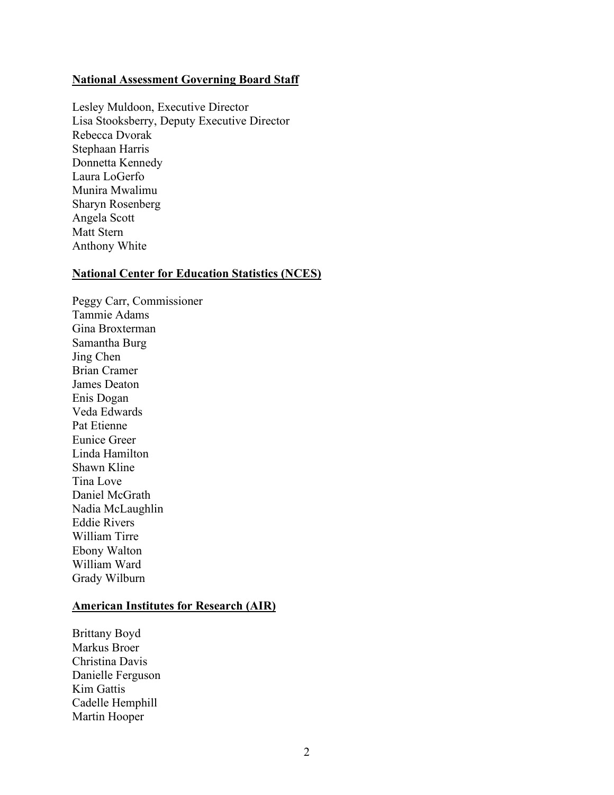#### **National Assessment Governing Board Staff**

Lesley Muldoon, Executive Director Lisa Stooksberry, Deputy Executive Director Rebecca Dvorak Stephaan Harris Donnetta Kennedy Laura LoGerfo Munira Mwalimu Sharyn Rosenberg Angela Scott Matt Stern Anthony White

#### **National Center for Education Statistics (NCES)**

Peggy Carr, Commissioner Tammie Adams Gina Broxterman Samantha Burg Jing Chen Brian Cramer James Deaton Enis Dogan Veda Edwards Pat Etienne Eunice Greer Linda Hamilton Shawn Kline Tina Love Daniel McGrath Nadia McLaughlin Eddie Rivers William Tirre Ebony Walton William Ward Grady Wilburn

#### **American Institutes for Research (AIR)**

Brittany Boyd Markus Broer Christina Davis Danielle Ferguson Kim Gattis Cadelle Hemphill Martin Hooper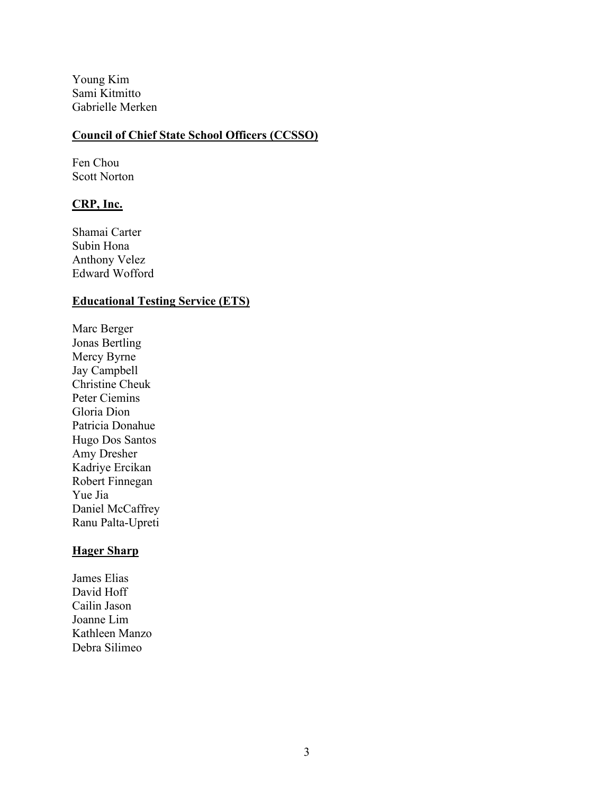Young Kim Sami Kitmitto Gabrielle Merken

#### **Council of Chief State School Officers (CCSSO)**

Fen Chou Scott Norton

#### **CRP, Inc.**

Shamai Carter Subin Hona Anthony Velez Edward Wofford

#### **Educational Testing Service (ETS)**

Marc Berger Jonas Bertling Mercy Byrne Jay Campbell Christine Cheuk Peter Ciemins Gloria Dion Patricia Donahue Hugo Dos Santos Amy Dresher Kadriye Ercikan Robert Finnegan Yue Jia Daniel McCaffrey Ranu Palta-Upreti

### **Hager Sharp**

James Elias David Hoff Cailin Jason Joanne Lim Kathleen Manzo Debra Silimeo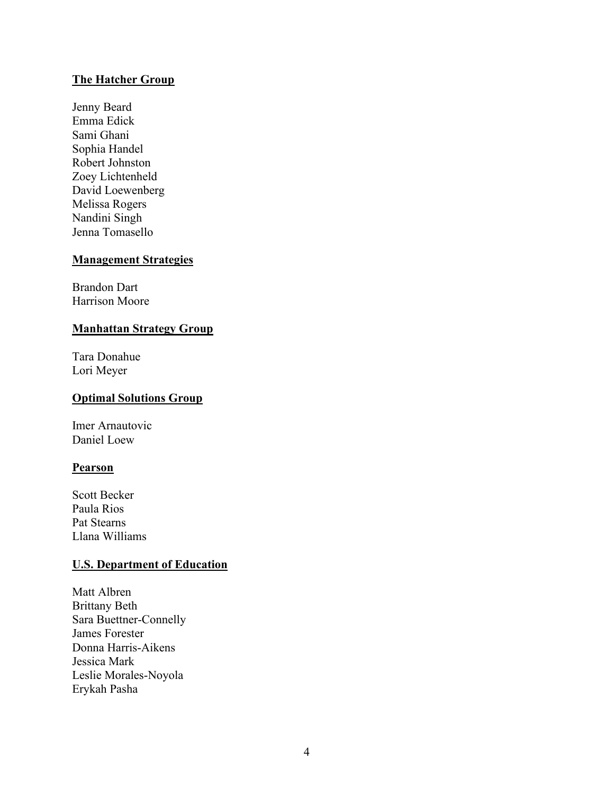#### **The Hatcher Group**

Jenny Beard Emma Edick Sami Ghani Sophia Handel Robert Johnston Zoey Lichtenheld David Loewenberg Melissa Rogers Nandini Singh Jenna Tomasello

#### **Management Strategies**

Brandon Dart Harrison Moore

#### **Manhattan Strategy Group**

Tara Donahue Lori Meyer

#### **Optimal Solutions Group**

Imer Arnautovic Daniel Loew

#### **Pearson**

Scott Becker Paula Rios Pat Stearns Llana Williams

### **U.S. Department of Education**

Matt Albren Brittany Beth Sara Buettner-Connelly James Forester Donna Harris-Aikens Jessica Mark Leslie Morales-Noyola Erykah Pasha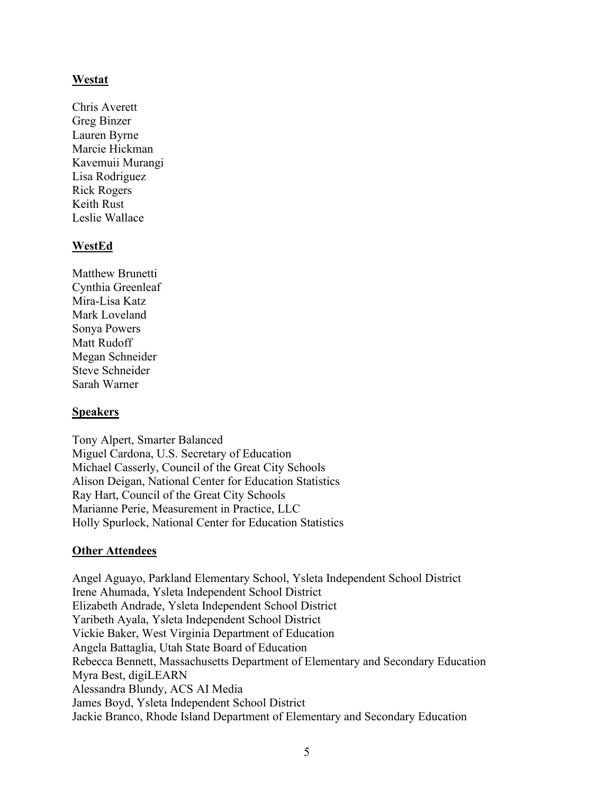#### **Westat**

Chris Averett Greg Binzer Lauren Byrne Marcie Hickman Kavemuii Murangi Lisa Rodriguez Rick Rogers Keith Rust Leslie Wallace

#### **WestEd**

Matthew Brunetti Cynthia Greenleaf Mira-Lisa Katz Mark Loveland Sonya Powers Matt Rudoff Megan Schneider Steve Schneider Sarah Warner

#### **Speakers**

Tony Alpert, Smarter Balanced Miguel Cardona, U.S. Secretary of Education Michael Casserly, Council of the Great City Schools Alison Deigan, National Center for Education Statistics Ray Hart, Council of the Great City Schools Marianne Perie, Measurement in Practice, LLC Holly Spurlock, National Center for Education Statistics

### **Other Attendees**

Angel Aguayo, Parkland Elementary School, Ysleta Independent School District Irene Ahumada, Ysleta Independent School District Elizabeth Andrade, Ysleta Independent School District Yaribeth Ayala, Ysleta Independent School District Vickie Baker, West Virginia Department of Education Angela Battaglia, Utah State Board of Education Rebecca Bennett, Massachusetts Department of Elementary and Secondary Education Myra Best, digiLEARN Alessandra Blundy, ACS AI Media James Boyd, Ysleta Independent School District Jackie Branco, Rhode Island Department of Elementary and Secondary Education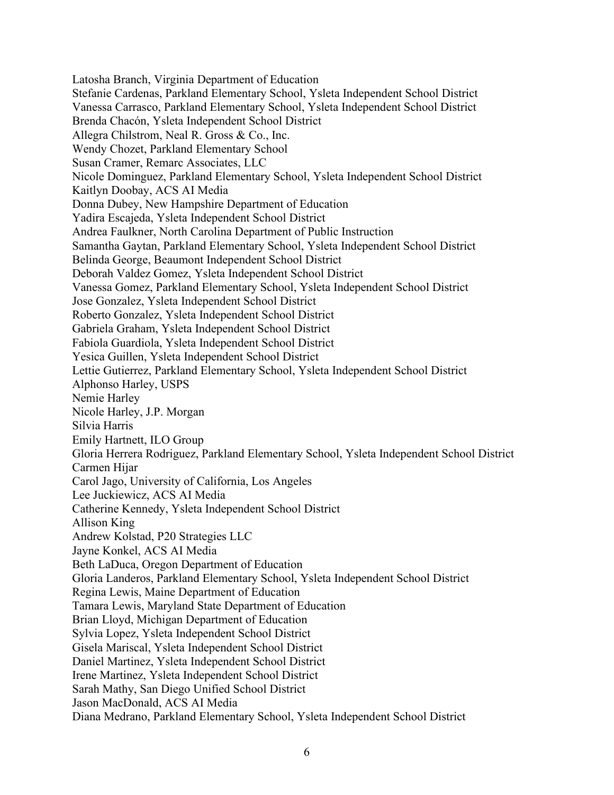Latosha Branch, Virginia Department of Education Stefanie Cardenas, Parkland Elementary School, Ysleta Independent School District Vanessa Carrasco, Parkland Elementary School, Ysleta Independent School District Brenda Chacón, Ysleta Independent School District Allegra Chilstrom, Neal R. Gross & Co., Inc. Wendy Chozet, Parkland Elementary School Susan Cramer, Remarc Associates, LLC Nicole Dominguez, Parkland Elementary School, Ysleta Independent School District Kaitlyn Doobay, ACS AI Media Donna Dubey, New Hampshire Department of Education Yadira Escajeda, Ysleta Independent School District Andrea Faulkner, North Carolina Department of Public Instruction Samantha Gaytan, Parkland Elementary School, Ysleta Independent School District Belinda George, Beaumont Independent School District Deborah Valdez Gomez, Ysleta Independent School District Vanessa Gomez, Parkland Elementary School, Ysleta Independent School District Jose Gonzalez, Ysleta Independent School District Roberto Gonzalez, Ysleta Independent School District Gabriela Graham, Ysleta Independent School District Fabiola Guardiola, Ysleta Independent School District Yesica Guillen, Ysleta Independent School District Lettie Gutierrez, Parkland Elementary School, Ysleta Independent School District Alphonso Harley, USPS Nemie Harley Nicole Harley, J.P. Morgan Silvia Harris Emily Hartnett, ILO Group Gloria Herrera Rodriguez, Parkland Elementary School, Ysleta Independent School District Carmen Hijar Carol Jago, University of California, Los Angeles Lee Juckiewicz, ACS AI Media Catherine Kennedy, Ysleta Independent School District Allison King Andrew Kolstad, P20 Strategies LLC Jayne Konkel, ACS AI Media Beth LaDuca, Oregon Department of Education Gloria Landeros, Parkland Elementary School, Ysleta Independent School District Regina Lewis, Maine Department of Education Tamara Lewis, Maryland State Department of Education Brian Lloyd, Michigan Department of Education Sylvia Lopez, Ysleta Independent School District Gisela Mariscal, Ysleta Independent School District Daniel Martinez, Ysleta Independent School District Irene Martinez, Ysleta Independent School District Sarah Mathy, San Diego Unified School District Jason MacDonald, ACS AI Media Diana Medrano, Parkland Elementary School, Ysleta Independent School District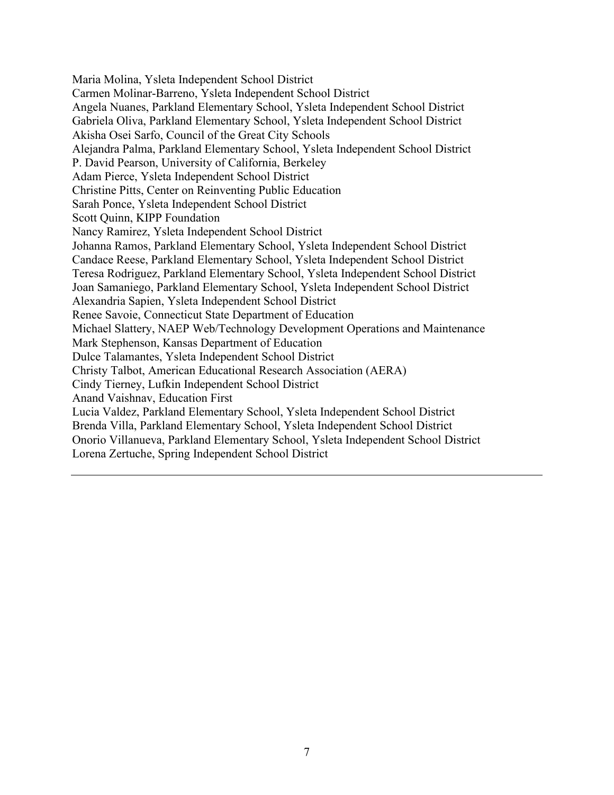Maria Molina, Ysleta Independent School District Carmen Molinar-Barreno, Ysleta Independent School District Angela Nuanes, Parkland Elementary School, Ysleta Independent School District Gabriela Oliva, Parkland Elementary School, Ysleta Independent School District Akisha Osei Sarfo, Council of the Great City Schools Alejandra Palma, Parkland Elementary School, Ysleta Independent School District P. David Pearson, University of California, Berkeley Adam Pierce, Ysleta Independent School District Christine Pitts, Center on Reinventing Public Education Sarah Ponce, Ysleta Independent School District Scott Quinn, KIPP Foundation Nancy Ramirez, Ysleta Independent School District Johanna Ramos, Parkland Elementary School, Ysleta Independent School District Candace Reese, Parkland Elementary School, Ysleta Independent School District Teresa Rodriguez, Parkland Elementary School, Ysleta Independent School District Joan Samaniego, Parkland Elementary School, Ysleta Independent School District Alexandria Sapien, Ysleta Independent School District Renee Savoie, Connecticut State Department of Education Michael Slattery, NAEP Web/Technology Development Operations and Maintenance Mark Stephenson, Kansas Department of Education Dulce Talamantes, Ysleta Independent School District Christy Talbot, American Educational Research Association (AERA) Cindy Tierney, Lufkin Independent School District Anand Vaishnav, Education First Lucia Valdez, Parkland Elementary School, Ysleta Independent School District Brenda Villa, Parkland Elementary School, Ysleta Independent School District Onorio Villanueva, Parkland Elementary School, Ysleta Independent School District Lorena Zertuche, Spring Independent School District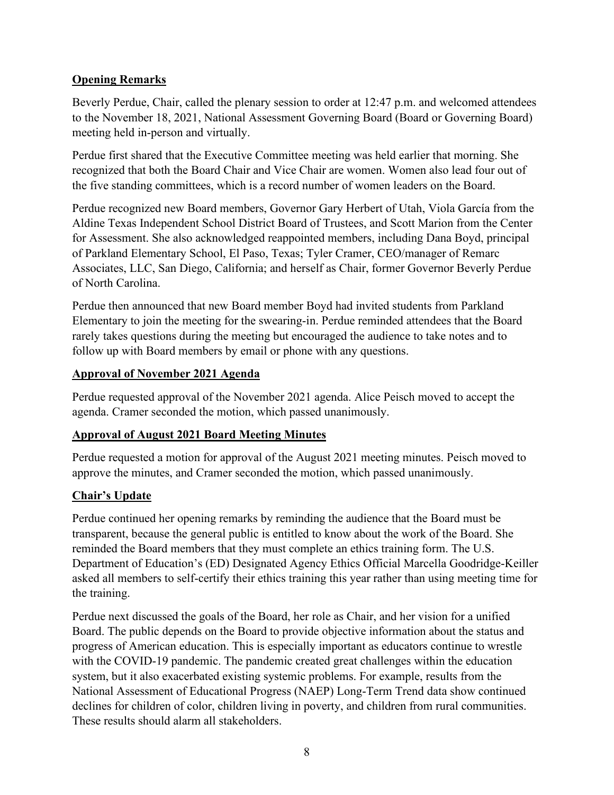### **Opening Remarks**

Beverly Perdue, Chair, called the plenary session to order at 12:47 p.m. and welcomed attendees to the November 18, 2021, National Assessment Governing Board (Board or Governing Board) meeting held in-person and virtually.

Perdue first shared that the Executive Committee meeting was held earlier that morning. She recognized that both the Board Chair and Vice Chair are women. Women also lead four out of the five standing committees, which is a record number of women leaders on the Board.

Perdue recognized new Board members, Governor Gary Herbert of Utah, Viola García from the Aldine Texas Independent School District Board of Trustees, and Scott Marion from the Center for Assessment. She also acknowledged reappointed members, including Dana Boyd, principal of Parkland Elementary School, El Paso, Texas; Tyler Cramer, CEO/manager of Remarc Associates, LLC, San Diego, California; and herself as Chair, former Governor Beverly Perdue of North Carolina.

Perdue then announced that new Board member Boyd had invited students from Parkland Elementary to join the meeting for the swearing-in. Perdue reminded attendees that the Board rarely takes questions during the meeting but encouraged the audience to take notes and to follow up with Board members by email or phone with any questions.

### **Approval of November 2021 Agenda**

Perdue requested approval of the November 2021 agenda. Alice Peisch moved to accept the agenda. Cramer seconded the motion, which passed unanimously.

## **Approval of August 2021 Board Meeting Minutes**

Perdue requested a motion for approval of the August 2021 meeting minutes. Peisch moved to approve the minutes, and Cramer seconded the motion, which passed unanimously.

## **Chair's Update**

Perdue continued her opening remarks by reminding the audience that the Board must be transparent, because the general public is entitled to know about the work of the Board. She reminded the Board members that they must complete an ethics training form. The U.S. Department of Education's (ED) Designated Agency Ethics Official Marcella Goodridge-Keiller asked all members to self-certify their ethics training this year rather than using meeting time for the training.

Perdue next discussed the goals of the Board, her role as Chair, and her vision for a unified Board. The public depends on the Board to provide objective information about the status and progress of American education. This is especially important as educators continue to wrestle with the COVID-19 pandemic. The pandemic created great challenges within the education system, but it also exacerbated existing systemic problems. For example, results from the National Assessment of Educational Progress (NAEP) Long-Term Trend data show continued declines for children of color, children living in poverty, and children from rural communities. These results should alarm all stakeholders.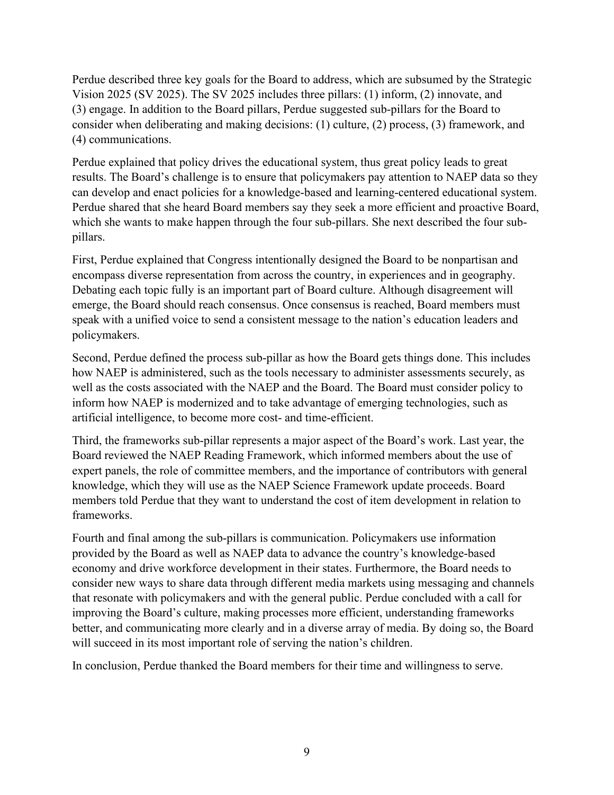Perdue described three key goals for the Board to address, which are subsumed by the Strategic Vision 2025 (SV 2025). The SV 2025 includes three pillars: (1) inform, (2) innovate, and (3) engage. In addition to the Board pillars, Perdue suggested sub-pillars for the Board to consider when deliberating and making decisions: (1) culture, (2) process, (3) framework, and (4) communications.

Perdue explained that policy drives the educational system, thus great policy leads to great results. The Board's challenge is to ensure that policymakers pay attention to NAEP data so they can develop and enact policies for a knowledge-based and learning-centered educational system. Perdue shared that she heard Board members say they seek a more efficient and proactive Board, which she wants to make happen through the four sub-pillars. She next described the four subpillars.

First, Perdue explained that Congress intentionally designed the Board to be nonpartisan and encompass diverse representation from across the country, in experiences and in geography. Debating each topic fully is an important part of Board culture. Although disagreement will emerge, the Board should reach consensus. Once consensus is reached, Board members must speak with a unified voice to send a consistent message to the nation's education leaders and policymakers.

Second, Perdue defined the process sub-pillar as how the Board gets things done. This includes how NAEP is administered, such as the tools necessary to administer assessments securely, as well as the costs associated with the NAEP and the Board. The Board must consider policy to inform how NAEP is modernized and to take advantage of emerging technologies, such as artificial intelligence, to become more cost- and time-efficient.

Third, the frameworks sub-pillar represents a major aspect of the Board's work. Last year, the Board reviewed the NAEP Reading Framework, which informed members about the use of expert panels, the role of committee members, and the importance of contributors with general knowledge, which they will use as the NAEP Science Framework update proceeds. Board members told Perdue that they want to understand the cost of item development in relation to frameworks.

Fourth and final among the sub-pillars is communication. Policymakers use information provided by the Board as well as NAEP data to advance the country's knowledge-based economy and drive workforce development in their states. Furthermore, the Board needs to consider new ways to share data through different media markets using messaging and channels that resonate with policymakers and with the general public. Perdue concluded with a call for improving the Board's culture, making processes more efficient, understanding frameworks better, and communicating more clearly and in a diverse array of media. By doing so, the Board will succeed in its most important role of serving the nation's children.

In conclusion, Perdue thanked the Board members for their time and willingness to serve.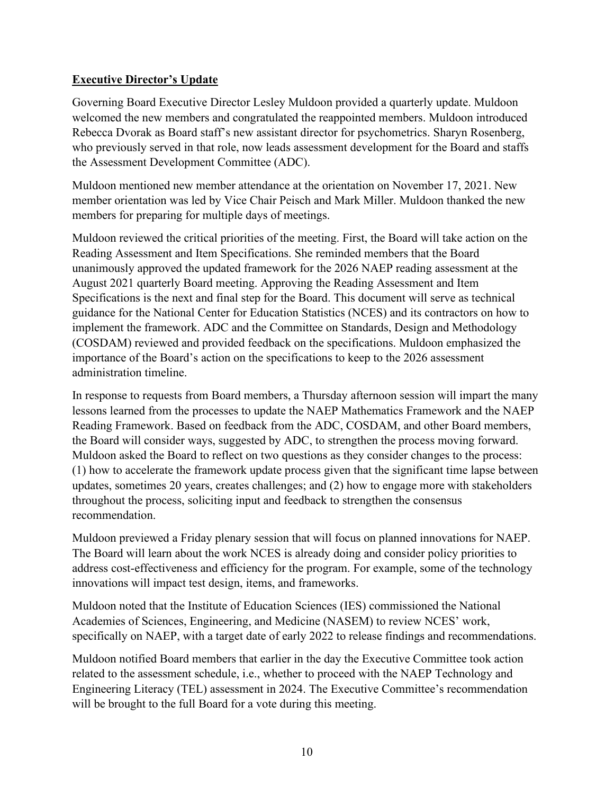## **Executive Director's Update**

Governing Board Executive Director Lesley Muldoon provided a quarterly update. Muldoon welcomed the new members and congratulated the reappointed members. Muldoon introduced Rebecca Dvorak as Board staff's new assistant director for psychometrics. Sharyn Rosenberg, who previously served in that role, now leads assessment development for the Board and staffs the Assessment Development Committee (ADC).

Muldoon mentioned new member attendance at the orientation on November 17, 2021. New member orientation was led by Vice Chair Peisch and Mark Miller. Muldoon thanked the new members for preparing for multiple days of meetings.

Muldoon reviewed the critical priorities of the meeting. First, the Board will take action on the Reading Assessment and Item Specifications. She reminded members that the Board unanimously approved the updated framework for the 2026 NAEP reading assessment at the August 2021 quarterly Board meeting. Approving the Reading Assessment and Item Specifications is the next and final step for the Board. This document will serve as technical guidance for the National Center for Education Statistics (NCES) and its contractors on how to implement the framework. ADC and the Committee on Standards, Design and Methodology (COSDAM) reviewed and provided feedback on the specifications. Muldoon emphasized the importance of the Board's action on the specifications to keep to the 2026 assessment administration timeline.

In response to requests from Board members, a Thursday afternoon session will impart the many lessons learned from the processes to update the NAEP Mathematics Framework and the NAEP Reading Framework. Based on feedback from the ADC, COSDAM, and other Board members, the Board will consider ways, suggested by ADC, to strengthen the process moving forward. Muldoon asked the Board to reflect on two questions as they consider changes to the process: (1) how to accelerate the framework update process given that the significant time lapse between updates, sometimes 20 years, creates challenges; and (2) how to engage more with stakeholders throughout the process, soliciting input and feedback to strengthen the consensus recommendation.

Muldoon previewed a Friday plenary session that will focus on planned innovations for NAEP. The Board will learn about the work NCES is already doing and consider policy priorities to address cost-effectiveness and efficiency for the program. For example, some of the technology innovations will impact test design, items, and frameworks.

Muldoon noted that the Institute of Education Sciences (IES) commissioned the National Academies of Sciences, Engineering, and Medicine (NASEM) to review NCES' work, specifically on NAEP, with a target date of early 2022 to release findings and recommendations.

Muldoon notified Board members that earlier in the day the Executive Committee took action related to the assessment schedule, i.e., whether to proceed with the NAEP Technology and Engineering Literacy (TEL) assessment in 2024. The Executive Committee's recommendation will be brought to the full Board for a vote during this meeting.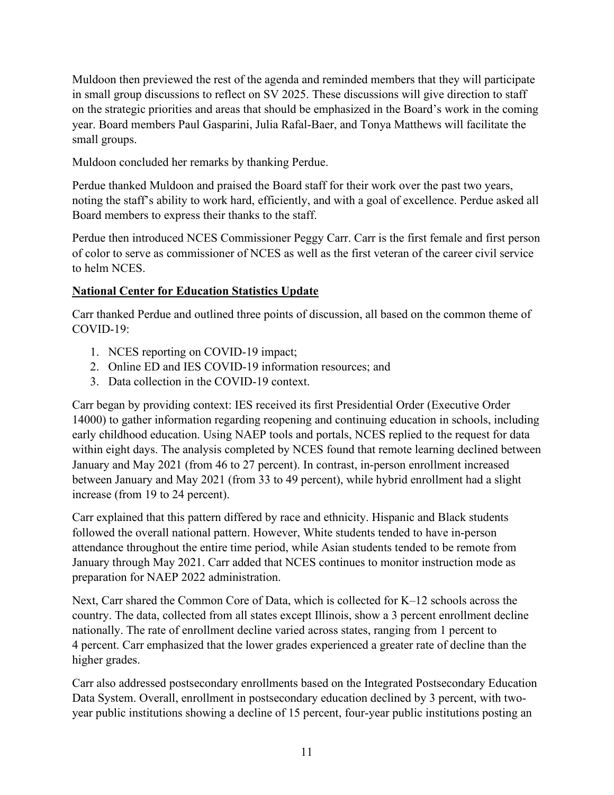Muldoon then previewed the rest of the agenda and reminded members that they will participate in small group discussions to reflect on SV 2025. These discussions will give direction to staff on the strategic priorities and areas that should be emphasized in the Board's work in the coming year. Board members Paul Gasparini, Julia Rafal-Baer, and Tonya Matthews will facilitate the small groups.

Muldoon concluded her remarks by thanking Perdue.

Perdue thanked Muldoon and praised the Board staff for their work over the past two years, noting the staff's ability to work hard, efficiently, and with a goal of excellence. Perdue asked all Board members to express their thanks to the staff.

Perdue then introduced NCES Commissioner Peggy Carr. Carr is the first female and first person of color to serve as commissioner of NCES as well as the first veteran of the career civil service to helm NCES.

## **National Center for Education Statistics Update**

Carr thanked Perdue and outlined three points of discussion, all based on the common theme of COVID-19:

- 1. NCES reporting on COVID-19 impact;
- 2. Online ED and IES COVID-19 information resources; and
- 3. Data collection in the COVID-19 context.

Carr began by providing context: IES received its first Presidential Order (Executive Order 14000) to gather information regarding reopening and continuing education in schools, including early childhood education. Using NAEP tools and portals, NCES replied to the request for data within eight days. The analysis completed by NCES found that remote learning declined between January and May 2021 (from 46 to 27 percent). In contrast, in-person enrollment increased between January and May 2021 (from 33 to 49 percent), while hybrid enrollment had a slight increase (from 19 to 24 percent).

Carr explained that this pattern differed by race and ethnicity. Hispanic and Black students followed the overall national pattern. However, White students tended to have in-person attendance throughout the entire time period, while Asian students tended to be remote from January through May 2021. Carr added that NCES continues to monitor instruction mode as preparation for NAEP 2022 administration.

Next, Carr shared the Common Core of Data, which is collected for K–12 schools across the country. The data, collected from all states except Illinois, show a 3 percent enrollment decline nationally. The rate of enrollment decline varied across states, ranging from 1 percent to 4 percent. Carr emphasized that the lower grades experienced a greater rate of decline than the higher grades.

Carr also addressed postsecondary enrollments based on the Integrated Postsecondary Education Data System. Overall, enrollment in postsecondary education declined by 3 percent, with twoyear public institutions showing a decline of 15 percent, four-year public institutions posting an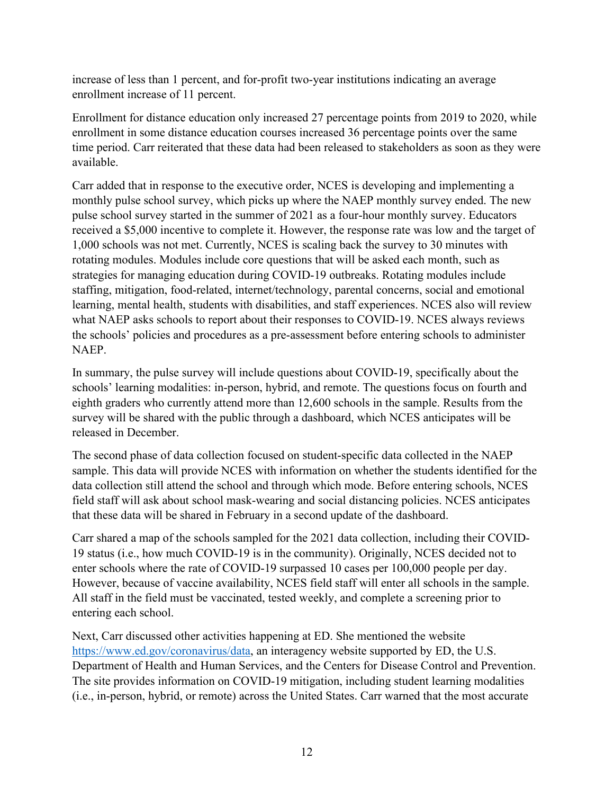increase of less than 1 percent, and for-profit two-year institutions indicating an average enrollment increase of 11 percent.

Enrollment for distance education only increased 27 percentage points from 2019 to 2020, while enrollment in some distance education courses increased 36 percentage points over the same time period. Carr reiterated that these data had been released to stakeholders as soon as they were available.

Carr added that in response to the executive order, NCES is developing and implementing a monthly pulse school survey, which picks up where the NAEP monthly survey ended. The new pulse school survey started in the summer of 2021 as a four-hour monthly survey. Educators received a \$5,000 incentive to complete it. However, the response rate was low and the target of 1,000 schools was not met. Currently, NCES is scaling back the survey to 30 minutes with rotating modules. Modules include core questions that will be asked each month, such as strategies for managing education during COVID-19 outbreaks. Rotating modules include staffing, mitigation, food-related, internet/technology, parental concerns, social and emotional learning, mental health, students with disabilities, and staff experiences. NCES also will review what NAEP asks schools to report about their responses to COVID-19. NCES always reviews the schools' policies and procedures as a pre-assessment before entering schools to administer NAEP.

In summary, the pulse survey will include questions about COVID-19, specifically about the schools' learning modalities: in-person, hybrid, and remote. The questions focus on fourth and eighth graders who currently attend more than 12,600 schools in the sample. Results from the survey will be shared with the public through a dashboard, which NCES anticipates will be released in December.

The second phase of data collection focused on student-specific data collected in the NAEP sample. This data will provide NCES with information on whether the students identified for the data collection still attend the school and through which mode. Before entering schools, NCES field staff will ask about school mask-wearing and social distancing policies. NCES anticipates that these data will be shared in February in a second update of the dashboard.

Carr shared a map of the schools sampled for the 2021 data collection, including their COVID-19 status (i.e., how much COVID-19 is in the community). Originally, NCES decided not to enter schools where the rate of COVID-19 surpassed 10 cases per 100,000 people per day. However, because of vaccine availability, NCES field staff will enter all schools in the sample. All staff in the field must be vaccinated, tested weekly, and complete a screening prior to entering each school.

Next, Carr discussed other activities happening at ED. She mentioned the website [https://www.ed.gov/coronavirus/data,](https://www.ed.gov/coronavirus/dataa) an interagency website supported by ED, the U.S. Department of Health and Human Services, and the Centers for Disease Control and Prevention. The site provides information on COVID-19 mitigation, including student learning modalities (i.e., in-person, hybrid, or remote) across the United States. Carr warned that the most accurate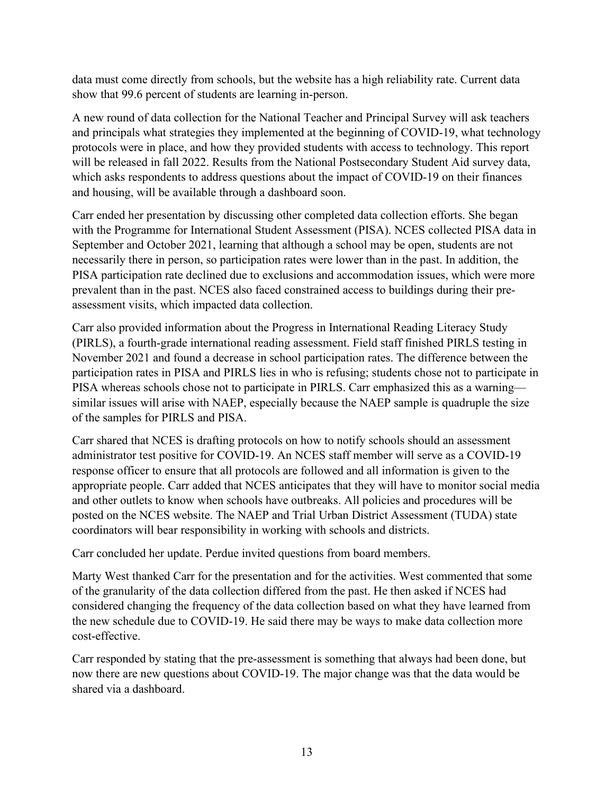data must come directly from schools, but the website has a high reliability rate. Current data show that 99.6 percent of students are learning in-person.

A new round of data collection for the National Teacher and Principal Survey will ask teachers and principals what strategies they implemented at the beginning of COVID-19, what technology protocols were in place, and how they provided students with access to technology. This report will be released in fall 2022. Results from the National Postsecondary Student Aid survey data, which asks respondents to address questions about the impact of COVID-19 on their finances and housing, will be available through a dashboard soon.

Carr ended her presentation by discussing other completed data collection efforts. She began with the Programme for International Student Assessment (PISA). NCES collected PISA data in September and October 2021, learning that although a school may be open, students are not necessarily there in person, so participation rates were lower than in the past. In addition, the PISA participation rate declined due to exclusions and accommodation issues, which were more prevalent than in the past. NCES also faced constrained access to buildings during their preassessment visits, which impacted data collection.

Carr also provided information about the Progress in International Reading Literacy Study (PIRLS), a fourth-grade international reading assessment. Field staff finished PIRLS testing in November 2021 and found a decrease in school participation rates. The difference between the participation rates in PISA and PIRLS lies in who is refusing; students chose not to participate in PISA whereas schools chose not to participate in PIRLS. Carr emphasized this as a warning similar issues will arise with NAEP, especially because the NAEP sample is quadruple the size of the samples for PIRLS and PISA.

Carr shared that NCES is drafting protocols on how to notify schools should an assessment administrator test positive for COVID-19. An NCES staff member will serve as a COVID-19 response officer to ensure that all protocols are followed and all information is given to the appropriate people. Carr added that NCES anticipates that they will have to monitor social media and other outlets to know when schools have outbreaks. All policies and procedures will be posted on the NCES website. The NAEP and Trial Urban District Assessment (TUDA) state coordinators will bear responsibility in working with schools and districts.

Carr concluded her update. Perdue invited questions from board members.

Marty West thanked Carr for the presentation and for the activities. West commented that some of the granularity of the data collection differed from the past. He then asked if NCES had considered changing the frequency of the data collection based on what they have learned from the new schedule due to COVID-19. He said there may be ways to make data collection more cost-effective.

Carr responded by stating that the pre-assessment is something that always had been done, but now there are new questions about COVID-19. The major change was that the data would be shared via a dashboard.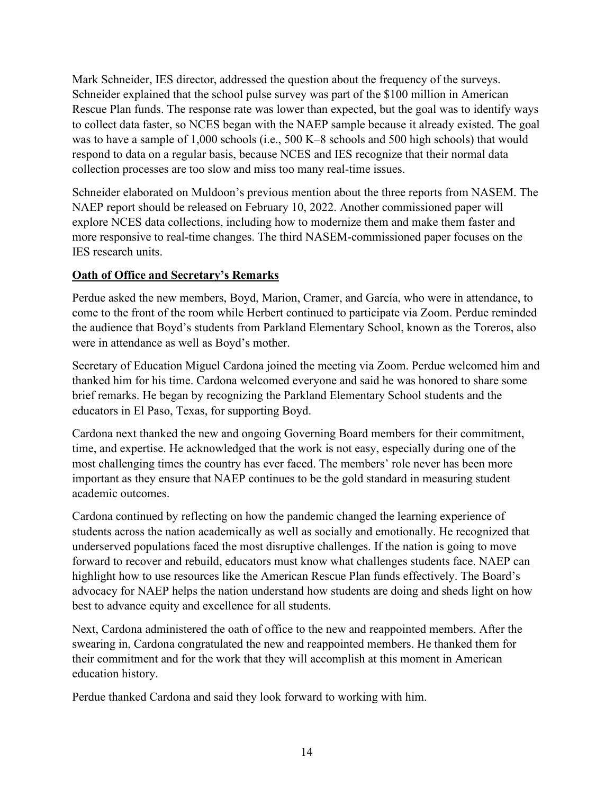Mark Schneider, IES director, addressed the question about the frequency of the surveys. Schneider explained that the school pulse survey was part of the \$100 million in American Rescue Plan funds. The response rate was lower than expected, but the goal was to identify ways to collect data faster, so NCES began with the NAEP sample because it already existed. The goal was to have a sample of 1,000 schools (i.e., 500 K–8 schools and 500 high schools) that would respond to data on a regular basis, because NCES and IES recognize that their normal data collection processes are too slow and miss too many real-time issues.

Schneider elaborated on Muldoon's previous mention about the three reports from NASEM. The NAEP report should be released on February 10, 2022. Another commissioned paper will explore NCES data collections, including how to modernize them and make them faster and more responsive to real-time changes. The third NASEM-commissioned paper focuses on the IES research units.

## **Oath of Office and Secretary's Remarks**

Perdue asked the new members, Boyd, Marion, Cramer, and García, who were in attendance, to come to the front of the room while Herbert continued to participate via Zoom. Perdue reminded the audience that Boyd's students from Parkland Elementary School, known as the Toreros, also were in attendance as well as Boyd's mother.

Secretary of Education Miguel Cardona joined the meeting via Zoom. Perdue welcomed him and thanked him for his time. Cardona welcomed everyone and said he was honored to share some brief remarks. He began by recognizing the Parkland Elementary School students and the educators in El Paso, Texas, for supporting Boyd.

Cardona next thanked the new and ongoing Governing Board members for their commitment, time, and expertise. He acknowledged that the work is not easy, especially during one of the most challenging times the country has ever faced. The members' role never has been more important as they ensure that NAEP continues to be the gold standard in measuring student academic outcomes.

Cardona continued by reflecting on how the pandemic changed the learning experience of students across the nation academically as well as socially and emotionally. He recognized that underserved populations faced the most disruptive challenges. If the nation is going to move forward to recover and rebuild, educators must know what challenges students face. NAEP can highlight how to use resources like the American Rescue Plan funds effectively. The Board's advocacy for NAEP helps the nation understand how students are doing and sheds light on how best to advance equity and excellence for all students.

Next, Cardona administered the oath of office to the new and reappointed members. After the swearing in, Cardona congratulated the new and reappointed members. He thanked them for their commitment and for the work that they will accomplish at this moment in American education history.

Perdue thanked Cardona and said they look forward to working with him.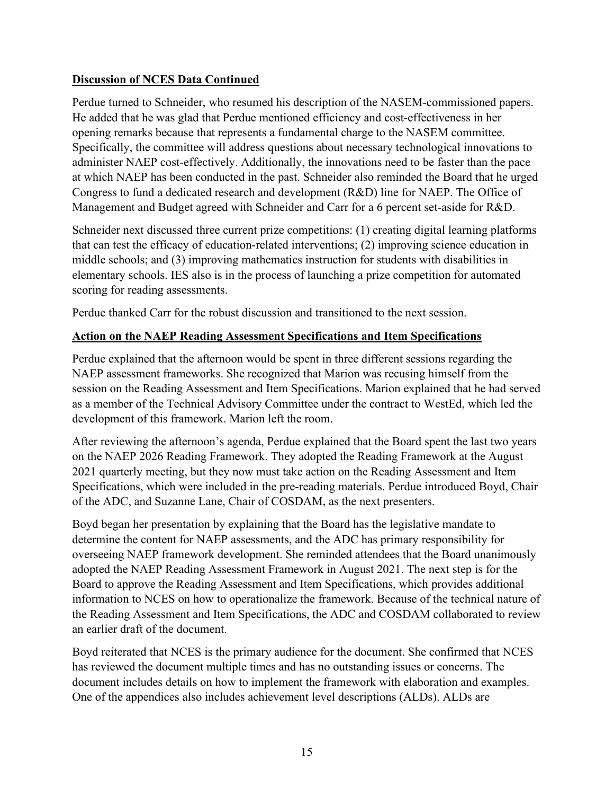## **Discussion of NCES Data Continued**

Perdue turned to Schneider, who resumed his description of the NASEM-commissioned papers. He added that he was glad that Perdue mentioned efficiency and cost-effectiveness in her opening remarks because that represents a fundamental charge to the NASEM committee. Specifically, the committee will address questions about necessary technological innovations to administer NAEP cost-effectively. Additionally, the innovations need to be faster than the pace at which NAEP has been conducted in the past. Schneider also reminded the Board that he urged Congress to fund a dedicated research and development (R&D) line for NAEP. The Office of Management and Budget agreed with Schneider and Carr for a 6 percent set-aside for R&D.

Schneider next discussed three current prize competitions: (1) creating digital learning platforms that can test the efficacy of education-related interventions; (2) improving science education in middle schools; and (3) improving mathematics instruction for students with disabilities in elementary schools. IES also is in the process of launching a prize competition for automated scoring for reading assessments.

Perdue thanked Carr for the robust discussion and transitioned to the next session.

### **Action on the NAEP Reading Assessment Specifications and Item Specifications**

Perdue explained that the afternoon would be spent in three different sessions regarding the NAEP assessment frameworks. She recognized that Marion was recusing himself from the session on the Reading Assessment and Item Specifications. Marion explained that he had served as a member of the Technical Advisory Committee under the contract to WestEd, which led the development of this framework. Marion left the room.

After reviewing the afternoon's agenda, Perdue explained that the Board spent the last two years on the NAEP 2026 Reading Framework. They adopted the Reading Framework at the August 2021 quarterly meeting, but they now must take action on the Reading Assessment and Item Specifications, which were included in the pre-reading materials. Perdue introduced Boyd, Chair of the ADC, and Suzanne Lane, Chair of COSDAM, as the next presenters.

Boyd began her presentation by explaining that the Board has the legislative mandate to determine the content for NAEP assessments, and the ADC has primary responsibility for overseeing NAEP framework development. She reminded attendees that the Board unanimously adopted the NAEP Reading Assessment Framework in August 2021. The next step is for the Board to approve the Reading Assessment and Item Specifications, which provides additional information to NCES on how to operationalize the framework. Because of the technical nature of the Reading Assessment and Item Specifications, the ADC and COSDAM collaborated to review an earlier draft of the document.

Boyd reiterated that NCES is the primary audience for the document. She confirmed that NCES has reviewed the document multiple times and has no outstanding issues or concerns. The document includes details on how to implement the framework with elaboration and examples. One of the appendices also includes achievement level descriptions (ALDs). ALDs are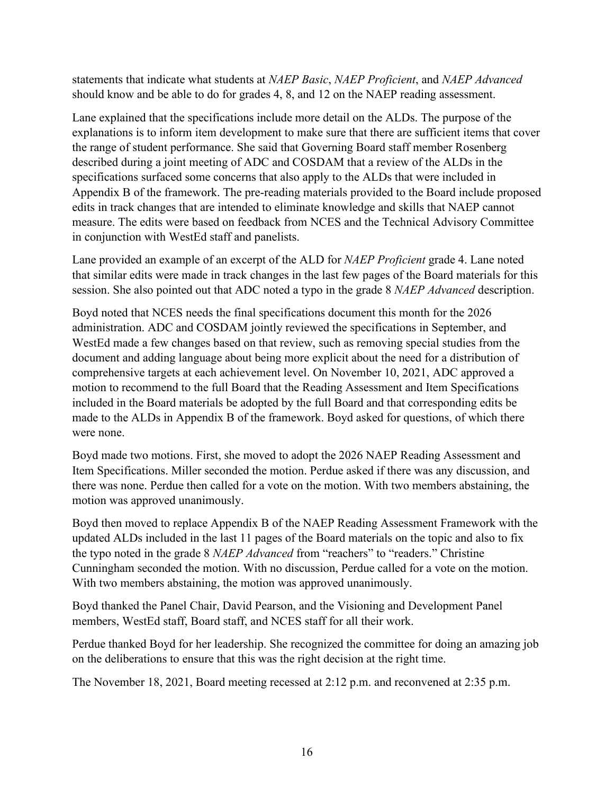statements that indicate what students at *NAEP Basic*, *NAEP Proficient*, and *NAEP Advanced* should know and be able to do for grades 4, 8, and 12 on the NAEP reading assessment.

Lane explained that the specifications include more detail on the ALDs. The purpose of the explanations is to inform item development to make sure that there are sufficient items that cover the range of student performance. She said that Governing Board staff member Rosenberg described during a joint meeting of ADC and COSDAM that a review of the ALDs in the specifications surfaced some concerns that also apply to the ALDs that were included in Appendix B of the framework. The pre-reading materials provided to the Board include proposed edits in track changes that are intended to eliminate knowledge and skills that NAEP cannot measure. The edits were based on feedback from NCES and the Technical Advisory Committee in conjunction with WestEd staff and panelists.

Lane provided an example of an excerpt of the ALD for *NAEP Proficient* grade 4. Lane noted that similar edits were made in track changes in the last few pages of the Board materials for this session. She also pointed out that ADC noted a typo in the grade 8 *NAEP Advanced* description.

Boyd noted that NCES needs the final specifications document this month for the 2026 administration. ADC and COSDAM jointly reviewed the specifications in September, and WestEd made a few changes based on that review, such as removing special studies from the document and adding language about being more explicit about the need for a distribution of comprehensive targets at each achievement level. On November 10, 2021, ADC approved a motion to recommend to the full Board that the Reading Assessment and Item Specifications included in the Board materials be adopted by the full Board and that corresponding edits be made to the ALDs in Appendix B of the framework. Boyd asked for questions, of which there were none.

Boyd made two motions. First, she moved to adopt the 2026 NAEP Reading Assessment and Item Specifications. Miller seconded the motion. Perdue asked if there was any discussion, and there was none. Perdue then called for a vote on the motion. With two members abstaining, the motion was approved unanimously.

Boyd then moved to replace Appendix B of the NAEP Reading Assessment Framework with the updated ALDs included in the last 11 pages of the Board materials on the topic and also to fix the typo noted in the grade 8 *NAEP Advanced* from "reachers" to "readers." Christine Cunningham seconded the motion. With no discussion, Perdue called for a vote on the motion. With two members abstaining, the motion was approved unanimously.

Boyd thanked the Panel Chair, David Pearson, and the Visioning and Development Panel members, WestEd staff, Board staff, and NCES staff for all their work.

Perdue thanked Boyd for her leadership. She recognized the committee for doing an amazing job on the deliberations to ensure that this was the right decision at the right time.

The November 18, 2021, Board meeting recessed at 2:12 p.m. and reconvened at 2:35 p.m.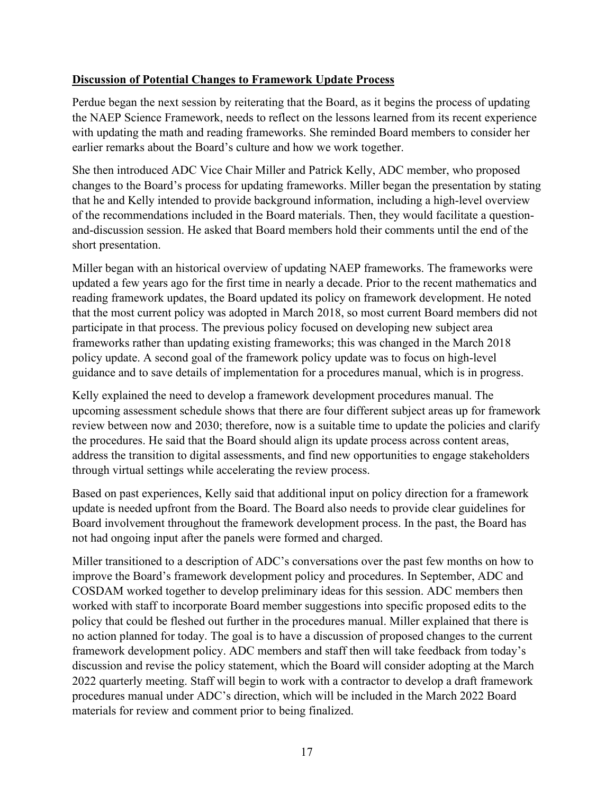### **Discussion of Potential Changes to Framework Update Process**

Perdue began the next session by reiterating that the Board, as it begins the process of updating the NAEP Science Framework, needs to reflect on the lessons learned from its recent experience with updating the math and reading frameworks. She reminded Board members to consider her earlier remarks about the Board's culture and how we work together.

She then introduced ADC Vice Chair Miller and Patrick Kelly, ADC member, who proposed changes to the Board's process for updating frameworks. Miller began the presentation by stating that he and Kelly intended to provide background information, including a high-level overview of the recommendations included in the Board materials. Then, they would facilitate a questionand-discussion session. He asked that Board members hold their comments until the end of the short presentation.

Miller began with an historical overview of updating NAEP frameworks. The frameworks were updated a few years ago for the first time in nearly a decade. Prior to the recent mathematics and reading framework updates, the Board updated its policy on framework development. He noted that the most current policy was adopted in March 2018, so most current Board members did not participate in that process. The previous policy focused on developing new subject area frameworks rather than updating existing frameworks; this was changed in the March 2018 policy update. A second goal of the framework policy update was to focus on high-level guidance and to save details of implementation for a procedures manual, which is in progress.

Kelly explained the need to develop a framework development procedures manual. The upcoming assessment schedule shows that there are four different subject areas up for framework review between now and 2030; therefore, now is a suitable time to update the policies and clarify the procedures. He said that the Board should align its update process across content areas, address the transition to digital assessments, and find new opportunities to engage stakeholders through virtual settings while accelerating the review process.

Based on past experiences, Kelly said that additional input on policy direction for a framework update is needed upfront from the Board. The Board also needs to provide clear guidelines for Board involvement throughout the framework development process. In the past, the Board has not had ongoing input after the panels were formed and charged.

Miller transitioned to a description of ADC's conversations over the past few months on how to improve the Board's framework development policy and procedures. In September, ADC and COSDAM worked together to develop preliminary ideas for this session. ADC members then worked with staff to incorporate Board member suggestions into specific proposed edits to the policy that could be fleshed out further in the procedures manual. Miller explained that there is no action planned for today. The goal is to have a discussion of proposed changes to the current framework development policy. ADC members and staff then will take feedback from today's discussion and revise the policy statement, which the Board will consider adopting at the March 2022 quarterly meeting. Staff will begin to work with a contractor to develop a draft framework procedures manual under ADC's direction, which will be included in the March 2022 Board materials for review and comment prior to being finalized.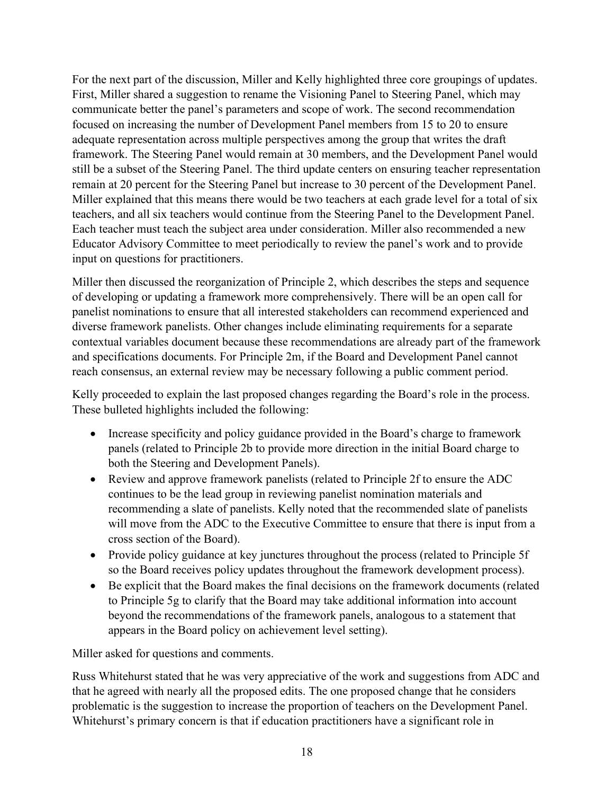For the next part of the discussion, Miller and Kelly highlighted three core groupings of updates. First, Miller shared a suggestion to rename the Visioning Panel to Steering Panel, which may communicate better the panel's parameters and scope of work. The second recommendation focused on increasing the number of Development Panel members from 15 to 20 to ensure adequate representation across multiple perspectives among the group that writes the draft framework. The Steering Panel would remain at 30 members, and the Development Panel would still be a subset of the Steering Panel. The third update centers on ensuring teacher representation remain at 20 percent for the Steering Panel but increase to 30 percent of the Development Panel. Miller explained that this means there would be two teachers at each grade level for a total of six teachers, and all six teachers would continue from the Steering Panel to the Development Panel. Each teacher must teach the subject area under consideration. Miller also recommended a new Educator Advisory Committee to meet periodically to review the panel's work and to provide input on questions for practitioners.

Miller then discussed the reorganization of Principle 2, which describes the steps and sequence of developing or updating a framework more comprehensively. There will be an open call for panelist nominations to ensure that all interested stakeholders can recommend experienced and diverse framework panelists. Other changes include eliminating requirements for a separate contextual variables document because these recommendations are already part of the framework and specifications documents. For Principle 2m, if the Board and Development Panel cannot reach consensus, an external review may be necessary following a public comment period.

Kelly proceeded to explain the last proposed changes regarding the Board's role in the process. These bulleted highlights included the following:

- Increase specificity and policy guidance provided in the Board's charge to framework panels (related to Principle 2b to provide more direction in the initial Board charge to both the Steering and Development Panels).
- Review and approve framework panelists (related to Principle 2f to ensure the ADC continues to be the lead group in reviewing panelist nomination materials and recommending a slate of panelists. Kelly noted that the recommended slate of panelists will move from the ADC to the Executive Committee to ensure that there is input from a cross section of the Board).
- Provide policy guidance at key junctures throughout the process (related to Principle 5f so the Board receives policy updates throughout the framework development process).
- Be explicit that the Board makes the final decisions on the framework documents (related to Principle 5g to clarify that the Board may take additional information into account beyond the recommendations of the framework panels, analogous to a statement that appears in the Board policy on achievement level setting).

Miller asked for questions and comments.

Russ Whitehurst stated that he was very appreciative of the work and suggestions from ADC and that he agreed with nearly all the proposed edits. The one proposed change that he considers problematic is the suggestion to increase the proportion of teachers on the Development Panel. Whitehurst's primary concern is that if education practitioners have a significant role in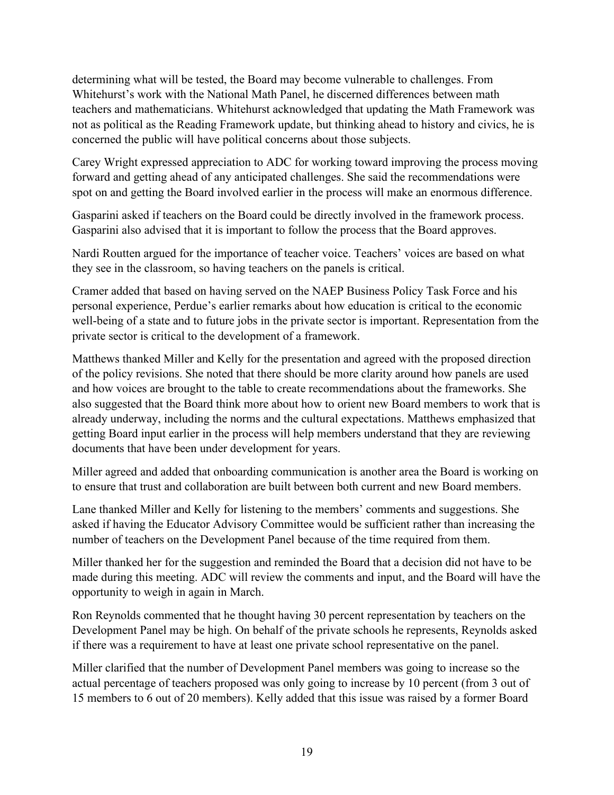determining what will be tested, the Board may become vulnerable to challenges. From Whitehurst's work with the National Math Panel, he discerned differences between math teachers and mathematicians. Whitehurst acknowledged that updating the Math Framework was not as political as the Reading Framework update, but thinking ahead to history and civics, he is concerned the public will have political concerns about those subjects.

Carey Wright expressed appreciation to ADC for working toward improving the process moving forward and getting ahead of any anticipated challenges. She said the recommendations were spot on and getting the Board involved earlier in the process will make an enormous difference.

Gasparini asked if teachers on the Board could be directly involved in the framework process. Gasparini also advised that it is important to follow the process that the Board approves.

Nardi Routten argued for the importance of teacher voice. Teachers' voices are based on what they see in the classroom, so having teachers on the panels is critical.

Cramer added that based on having served on the NAEP Business Policy Task Force and his personal experience, Perdue's earlier remarks about how education is critical to the economic well-being of a state and to future jobs in the private sector is important. Representation from the private sector is critical to the development of a framework.

Matthews thanked Miller and Kelly for the presentation and agreed with the proposed direction of the policy revisions. She noted that there should be more clarity around how panels are used and how voices are brought to the table to create recommendations about the frameworks. She also suggested that the Board think more about how to orient new Board members to work that is already underway, including the norms and the cultural expectations. Matthews emphasized that getting Board input earlier in the process will help members understand that they are reviewing documents that have been under development for years.

Miller agreed and added that onboarding communication is another area the Board is working on to ensure that trust and collaboration are built between both current and new Board members.

Lane thanked Miller and Kelly for listening to the members' comments and suggestions. She asked if having the Educator Advisory Committee would be sufficient rather than increasing the number of teachers on the Development Panel because of the time required from them.

Miller thanked her for the suggestion and reminded the Board that a decision did not have to be made during this meeting. ADC will review the comments and input, and the Board will have the opportunity to weigh in again in March.

Ron Reynolds commented that he thought having 30 percent representation by teachers on the Development Panel may be high. On behalf of the private schools he represents, Reynolds asked if there was a requirement to have at least one private school representative on the panel.

Miller clarified that the number of Development Panel members was going to increase so the actual percentage of teachers proposed was only going to increase by 10 percent (from 3 out of 15 members to 6 out of 20 members). Kelly added that this issue was raised by a former Board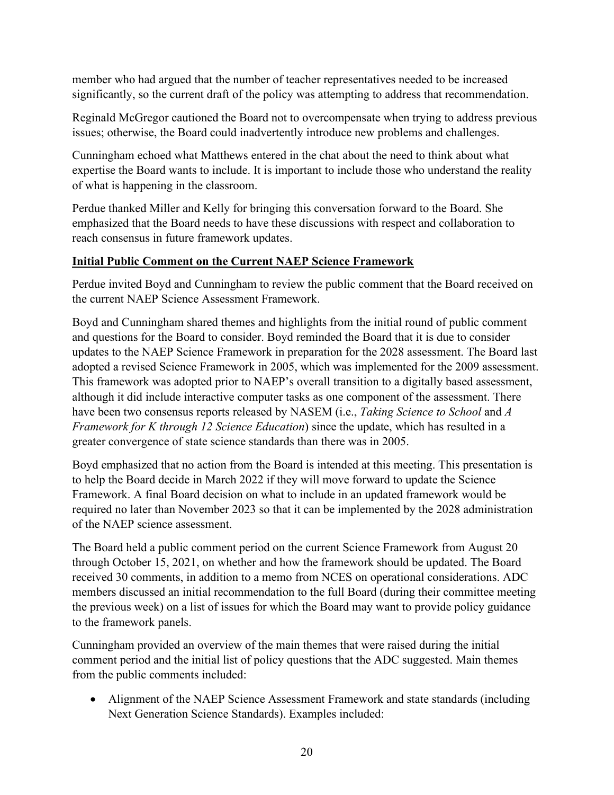member who had argued that the number of teacher representatives needed to be increased significantly, so the current draft of the policy was attempting to address that recommendation.

Reginald McGregor cautioned the Board not to overcompensate when trying to address previous issues; otherwise, the Board could inadvertently introduce new problems and challenges.

Cunningham echoed what Matthews entered in the chat about the need to think about what expertise the Board wants to include. It is important to include those who understand the reality of what is happening in the classroom.

Perdue thanked Miller and Kelly for bringing this conversation forward to the Board. She emphasized that the Board needs to have these discussions with respect and collaboration to reach consensus in future framework updates.

## **Initial Public Comment on the Current NAEP Science Framework**

Perdue invited Boyd and Cunningham to review the public comment that the Board received on the current NAEP Science Assessment Framework.

Boyd and Cunningham shared themes and highlights from the initial round of public comment and questions for the Board to consider. Boyd reminded the Board that it is due to consider updates to the NAEP Science Framework in preparation for the 2028 assessment. The Board last adopted a revised Science Framework in 2005, which was implemented for the 2009 assessment. This framework was adopted prior to NAEP's overall transition to a digitally based assessment, although it did include interactive computer tasks as one component of the assessment. There have been two consensus reports released by NASEM (i.e., *Taking Science to School* and *A Framework for K through 12 Science Education*) since the update, which has resulted in a greater convergence of state science standards than there was in 2005.

Boyd emphasized that no action from the Board is intended at this meeting. This presentation is to help the Board decide in March 2022 if they will move forward to update the Science Framework. A final Board decision on what to include in an updated framework would be required no later than November 2023 so that it can be implemented by the 2028 administration of the NAEP science assessment.

The Board held a public comment period on the current Science Framework from August 20 through October 15, 2021, on whether and how the framework should be updated. The Board received 30 comments, in addition to a memo from NCES on operational considerations. ADC members discussed an initial recommendation to the full Board (during their committee meeting the previous week) on a list of issues for which the Board may want to provide policy guidance to the framework panels.

Cunningham provided an overview of the main themes that were raised during the initial comment period and the initial list of policy questions that the ADC suggested. Main themes from the public comments included:

• Alignment of the NAEP Science Assessment Framework and state standards (including Next Generation Science Standards). Examples included: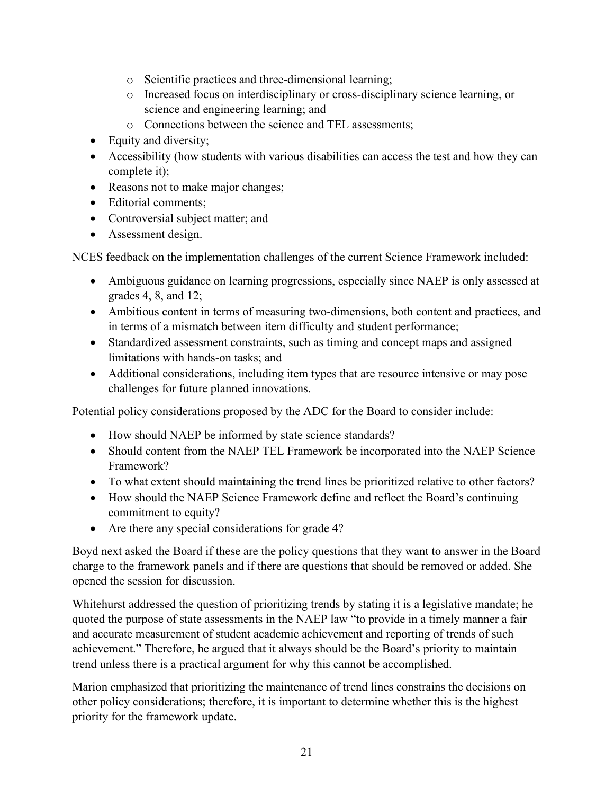- o Scientific practices and three-dimensional learning;
- o Increased focus on interdisciplinary or cross-disciplinary science learning, or science and engineering learning; and
- o Connections between the science and TEL assessments;
- Equity and diversity;
- Accessibility (how students with various disabilities can access the test and how they can complete it);
- Reasons not to make major changes;
- Editorial comments;
- Controversial subject matter; and
- Assessment design.

NCES feedback on the implementation challenges of the current Science Framework included:

- Ambiguous guidance on learning progressions, especially since NAEP is only assessed at grades 4, 8, and 12;
- Ambitious content in terms of measuring two-dimensions, both content and practices, and in terms of a mismatch between item difficulty and student performance;
- Standardized assessment constraints, such as timing and concept maps and assigned limitations with hands-on tasks; and
- Additional considerations, including item types that are resource intensive or may pose challenges for future planned innovations.

Potential policy considerations proposed by the ADC for the Board to consider include:

- How should NAEP be informed by state science standards?
- Should content from the NAEP TEL Framework be incorporated into the NAEP Science Framework?
- To what extent should maintaining the trend lines be prioritized relative to other factors?
- How should the NAEP Science Framework define and reflect the Board's continuing commitment to equity?
- Are there any special considerations for grade 4?

Boyd next asked the Board if these are the policy questions that they want to answer in the Board charge to the framework panels and if there are questions that should be removed or added. She opened the session for discussion.

Whitehurst addressed the question of prioritizing trends by stating it is a legislative mandate; he quoted the purpose of state assessments in the NAEP law "to provide in a timely manner a fair and accurate measurement of student academic achievement and reporting of trends of such achievement." Therefore, he argued that it always should be the Board's priority to maintain trend unless there is a practical argument for why this cannot be accomplished.

Marion emphasized that prioritizing the maintenance of trend lines constrains the decisions on other policy considerations; therefore, it is important to determine whether this is the highest priority for the framework update.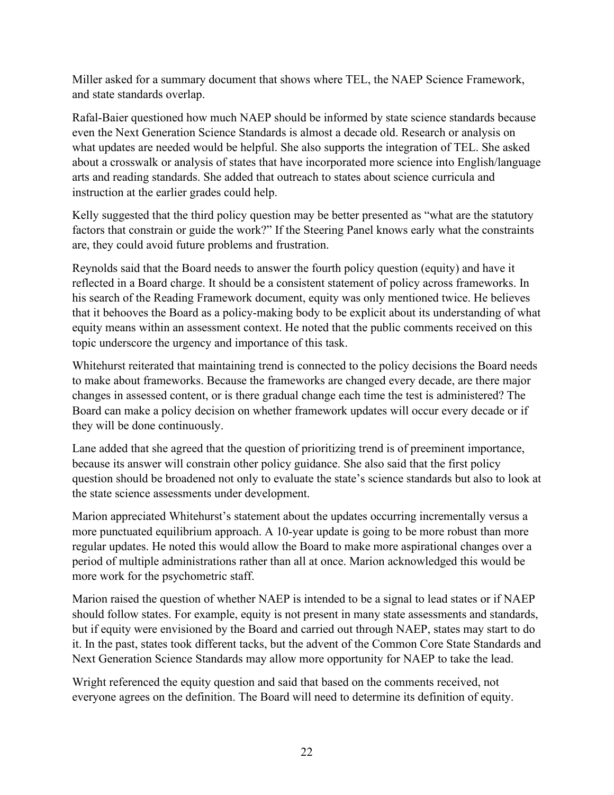Miller asked for a summary document that shows where TEL, the NAEP Science Framework, and state standards overlap.

Rafal-Baier questioned how much NAEP should be informed by state science standards because even the Next Generation Science Standards is almost a decade old. Research or analysis on what updates are needed would be helpful. She also supports the integration of TEL. She asked about a crosswalk or analysis of states that have incorporated more science into English/language arts and reading standards. She added that outreach to states about science curricula and instruction at the earlier grades could help.

Kelly suggested that the third policy question may be better presented as "what are the statutory factors that constrain or guide the work?" If the Steering Panel knows early what the constraints are, they could avoid future problems and frustration.

Reynolds said that the Board needs to answer the fourth policy question (equity) and have it reflected in a Board charge. It should be a consistent statement of policy across frameworks. In his search of the Reading Framework document, equity was only mentioned twice. He believes that it behooves the Board as a policy-making body to be explicit about its understanding of what equity means within an assessment context. He noted that the public comments received on this topic underscore the urgency and importance of this task.

Whitehurst reiterated that maintaining trend is connected to the policy decisions the Board needs to make about frameworks. Because the frameworks are changed every decade, are there major changes in assessed content, or is there gradual change each time the test is administered? The Board can make a policy decision on whether framework updates will occur every decade or if they will be done continuously.

Lane added that she agreed that the question of prioritizing trend is of preeminent importance, because its answer will constrain other policy guidance. She also said that the first policy question should be broadened not only to evaluate the state's science standards but also to look at the state science assessments under development.

Marion appreciated Whitehurst's statement about the updates occurring incrementally versus a more punctuated equilibrium approach. A 10-year update is going to be more robust than more regular updates. He noted this would allow the Board to make more aspirational changes over a period of multiple administrations rather than all at once. Marion acknowledged this would be more work for the psychometric staff.

Marion raised the question of whether NAEP is intended to be a signal to lead states or if NAEP should follow states. For example, equity is not present in many state assessments and standards, but if equity were envisioned by the Board and carried out through NAEP, states may start to do it. In the past, states took different tacks, but the advent of the Common Core State Standards and Next Generation Science Standards may allow more opportunity for NAEP to take the lead.

Wright referenced the equity question and said that based on the comments received, not everyone agrees on the definition. The Board will need to determine its definition of equity.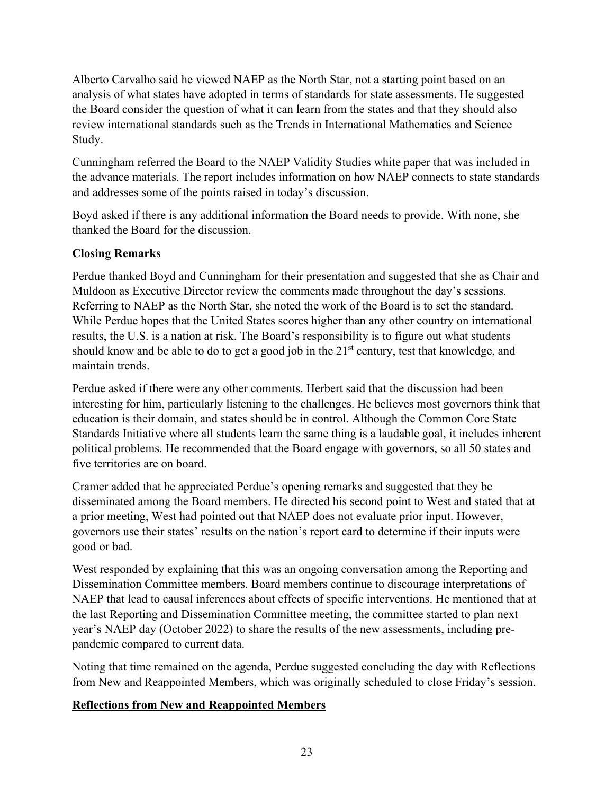Alberto Carvalho said he viewed NAEP as the North Star, not a starting point based on an analysis of what states have adopted in terms of standards for state assessments. He suggested the Board consider the question of what it can learn from the states and that they should also review international standards such as the Trends in International Mathematics and Science Study.

Cunningham referred the Board to the NAEP Validity Studies white paper that was included in the advance materials. The report includes information on how NAEP connects to state standards and addresses some of the points raised in today's discussion.

Boyd asked if there is any additional information the Board needs to provide. With none, she thanked the Board for the discussion.

### **Closing Remarks**

Perdue thanked Boyd and Cunningham for their presentation and suggested that she as Chair and Muldoon as Executive Director review the comments made throughout the day's sessions. Referring to NAEP as the North Star, she noted the work of the Board is to set the standard. While Perdue hopes that the United States scores higher than any other country on international results, the U.S. is a nation at risk. The Board's responsibility is to figure out what students should know and be able to do to get a good job in the  $21<sup>st</sup>$  century, test that knowledge, and maintain trends.

Perdue asked if there were any other comments. Herbert said that the discussion had been interesting for him, particularly listening to the challenges. He believes most governors think that education is their domain, and states should be in control. Although the Common Core State Standards Initiative where all students learn the same thing is a laudable goal, it includes inherent political problems. He recommended that the Board engage with governors, so all 50 states and five territories are on board.

Cramer added that he appreciated Perdue's opening remarks and suggested that they be disseminated among the Board members. He directed his second point to West and stated that at a prior meeting, West had pointed out that NAEP does not evaluate prior input. However, governors use their states' results on the nation's report card to determine if their inputs were good or bad.

West responded by explaining that this was an ongoing conversation among the Reporting and Dissemination Committee members. Board members continue to discourage interpretations of NAEP that lead to causal inferences about effects of specific interventions. He mentioned that at the last Reporting and Dissemination Committee meeting, the committee started to plan next year's NAEP day (October 2022) to share the results of the new assessments, including prepandemic compared to current data.

Noting that time remained on the agenda, Perdue suggested concluding the day with Reflections from New and Reappointed Members, which was originally scheduled to close Friday's session.

### **Reflections from New and Reappointed Members**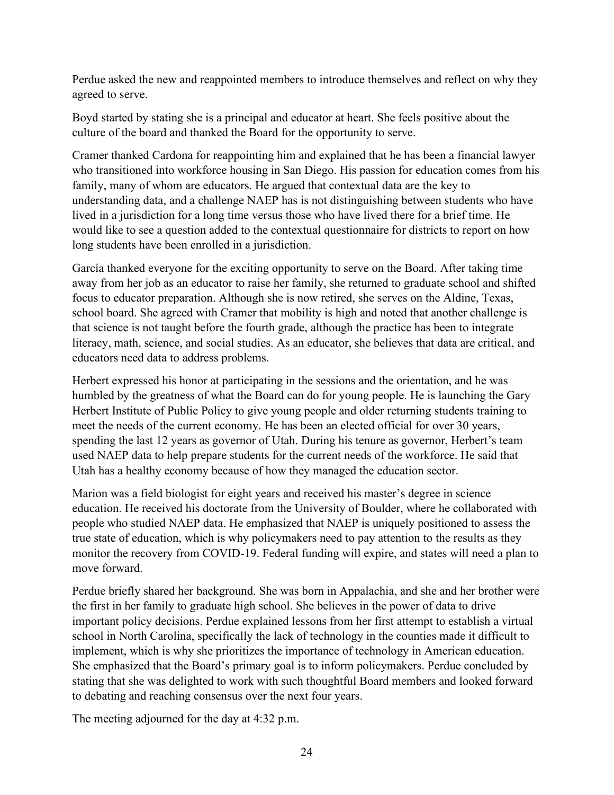Perdue asked the new and reappointed members to introduce themselves and reflect on why they agreed to serve.

Boyd started by stating she is a principal and educator at heart. She feels positive about the culture of the board and thanked the Board for the opportunity to serve.

Cramer thanked Cardona for reappointing him and explained that he has been a financial lawyer who transitioned into workforce housing in San Diego. His passion for education comes from his family, many of whom are educators. He argued that contextual data are the key to understanding data, and a challenge NAEP has is not distinguishing between students who have lived in a jurisdiction for a long time versus those who have lived there for a brief time. He would like to see a question added to the contextual questionnaire for districts to report on how long students have been enrolled in a jurisdiction.

García thanked everyone for the exciting opportunity to serve on the Board. After taking time away from her job as an educator to raise her family, she returned to graduate school and shifted focus to educator preparation. Although she is now retired, she serves on the Aldine, Texas, school board. She agreed with Cramer that mobility is high and noted that another challenge is that science is not taught before the fourth grade, although the practice has been to integrate literacy, math, science, and social studies. As an educator, she believes that data are critical, and educators need data to address problems.

Herbert expressed his honor at participating in the sessions and the orientation, and he was humbled by the greatness of what the Board can do for young people. He is launching the Gary Herbert Institute of Public Policy to give young people and older returning students training to meet the needs of the current economy. He has been an elected official for over 30 years, spending the last 12 years as governor of Utah. During his tenure as governor, Herbert's team used NAEP data to help prepare students for the current needs of the workforce. He said that Utah has a healthy economy because of how they managed the education sector.

Marion was a field biologist for eight years and received his master's degree in science education. He received his doctorate from the University of Boulder, where he collaborated with people who studied NAEP data. He emphasized that NAEP is uniquely positioned to assess the true state of education, which is why policymakers need to pay attention to the results as they monitor the recovery from COVID-19. Federal funding will expire, and states will need a plan to move forward.

Perdue briefly shared her background. She was born in Appalachia, and she and her brother were the first in her family to graduate high school. She believes in the power of data to drive important policy decisions. Perdue explained lessons from her first attempt to establish a virtual school in North Carolina, specifically the lack of technology in the counties made it difficult to implement, which is why she prioritizes the importance of technology in American education. She emphasized that the Board's primary goal is to inform policymakers. Perdue concluded by stating that she was delighted to work with such thoughtful Board members and looked forward to debating and reaching consensus over the next four years.

The meeting adjourned for the day at 4:32 p.m.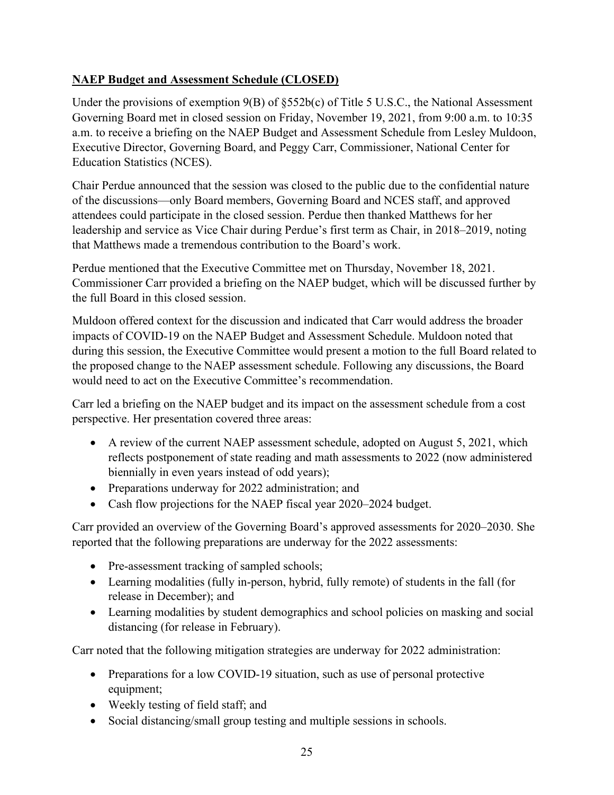## **NAEP Budget and Assessment Schedule (CLOSED)**

Under the provisions of exemption  $9(B)$  of  $$552b(c)$  of Title 5 U.S.C., the National Assessment Governing Board met in closed session on Friday, November 19, 2021, from 9:00 a.m. to 10:35 a.m. to receive a briefing on the NAEP Budget and Assessment Schedule from Lesley Muldoon, Executive Director, Governing Board, and Peggy Carr, Commissioner, National Center for Education Statistics (NCES).

Chair Perdue announced that the session was closed to the public due to the confidential nature of the discussions—only Board members, Governing Board and NCES staff, and approved attendees could participate in the closed session. Perdue then thanked Matthews for her leadership and service as Vice Chair during Perdue's first term as Chair, in 2018–2019, noting that Matthews made a tremendous contribution to the Board's work.

Perdue mentioned that the Executive Committee met on Thursday, November 18, 2021. Commissioner Carr provided a briefing on the NAEP budget, which will be discussed further by the full Board in this closed session.

Muldoon offered context for the discussion and indicated that Carr would address the broader impacts of COVID-19 on the NAEP Budget and Assessment Schedule. Muldoon noted that during this session, the Executive Committee would present a motion to the full Board related to the proposed change to the NAEP assessment schedule. Following any discussions, the Board would need to act on the Executive Committee's recommendation.

Carr led a briefing on the NAEP budget and its impact on the assessment schedule from a cost perspective. Her presentation covered three areas:

- A review of the current NAEP assessment schedule, adopted on August 5, 2021, which reflects postponement of state reading and math assessments to 2022 (now administered biennially in even years instead of odd years);
- Preparations underway for 2022 administration; and
- Cash flow projections for the NAEP fiscal year 2020–2024 budget.

Carr provided an overview of the Governing Board's approved assessments for 2020–2030. She reported that the following preparations are underway for the 2022 assessments:

- Pre-assessment tracking of sampled schools;
- Learning modalities (fully in-person, hybrid, fully remote) of students in the fall (for release in December); and
- Learning modalities by student demographics and school policies on masking and social distancing (for release in February).

Carr noted that the following mitigation strategies are underway for 2022 administration:

- Preparations for a low COVID-19 situation, such as use of personal protective equipment;
- Weekly testing of field staff; and
- Social distancing/small group testing and multiple sessions in schools.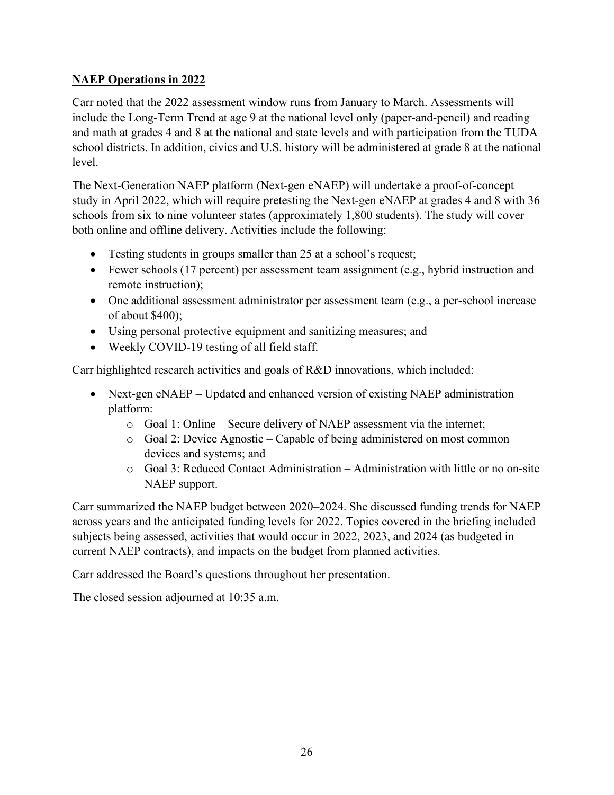## **NAEP Operations in 2022**

Carr noted that the 2022 assessment window runs from January to March. Assessments will include the Long-Term Trend at age 9 at the national level only (paper-and-pencil) and reading and math at grades 4 and 8 at the national and state levels and with participation from the TUDA school districts. In addition, civics and U.S. history will be administered at grade 8 at the national level.

The Next-Generation NAEP platform (Next-gen eNAEP) will undertake a proof-of-concept study in April 2022, which will require pretesting the Next-gen eNAEP at grades 4 and 8 with 36 schools from six to nine volunteer states (approximately 1,800 students). The study will cover both online and offline delivery. Activities include the following:

- Testing students in groups smaller than 25 at a school's request;
- Fewer schools (17 percent) per assessment team assignment (e.g., hybrid instruction and remote instruction);
- One additional assessment administrator per assessment team (e.g., a per-school increase of about \$400);
- Using personal protective equipment and sanitizing measures; and
- Weekly COVID-19 testing of all field staff.

Carr highlighted research activities and goals of R&D innovations, which included:

- Next-gen eNAEP Updated and enhanced version of existing NAEP administration platform:
	- o Goal 1: Online Secure delivery of NAEP assessment via the internet;
	- o Goal 2: Device Agnostic Capable of being administered on most common devices and systems; and
	- $\circ$  Goal 3: Reduced Contact Administration Administration with little or no on-site NAEP support.

Carr summarized the NAEP budget between 2020–2024. She discussed funding trends for NAEP across years and the anticipated funding levels for 2022. Topics covered in the briefing included subjects being assessed, activities that would occur in 2022, 2023, and 2024 (as budgeted in current NAEP contracts), and impacts on the budget from planned activities.

Carr addressed the Board's questions throughout her presentation.

The closed session adjourned at 10:35 a.m.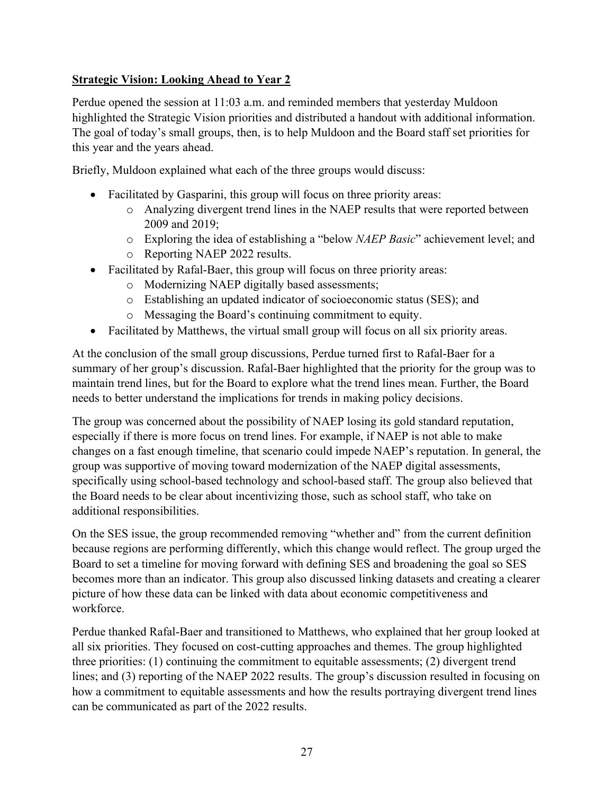## **Strategic Vision: Looking Ahead to Year 2**

Perdue opened the session at 11:03 a.m. and reminded members that yesterday Muldoon highlighted the Strategic Vision priorities and distributed a handout with additional information. The goal of today's small groups, then, is to help Muldoon and the Board staff set priorities for this year and the years ahead.

Briefly, Muldoon explained what each of the three groups would discuss:

- Facilitated by Gasparini, this group will focus on three priority areas:
	- o Analyzing divergent trend lines in the NAEP results that were reported between 2009 and 2019;
	- o Exploring the idea of establishing a "below *NAEP Basic*" achievement level; and
	- o Reporting NAEP 2022 results.
- Facilitated by Rafal-Baer, this group will focus on three priority areas:
	- o Modernizing NAEP digitally based assessments;
	- o Establishing an updated indicator of socioeconomic status (SES); and
	- o Messaging the Board's continuing commitment to equity.
- Facilitated by Matthews, the virtual small group will focus on all six priority areas.

At the conclusion of the small group discussions, Perdue turned first to Rafal-Baer for a summary of her group's discussion. Rafal-Baer highlighted that the priority for the group was to maintain trend lines, but for the Board to explore what the trend lines mean. Further, the Board needs to better understand the implications for trends in making policy decisions.

The group was concerned about the possibility of NAEP losing its gold standard reputation, especially if there is more focus on trend lines. For example, if NAEP is not able to make changes on a fast enough timeline, that scenario could impede NAEP's reputation. In general, the group was supportive of moving toward modernization of the NAEP digital assessments, specifically using school-based technology and school-based staff. The group also believed that the Board needs to be clear about incentivizing those, such as school staff, who take on additional responsibilities.

On the SES issue, the group recommended removing "whether and" from the current definition because regions are performing differently, which this change would reflect. The group urged the Board to set a timeline for moving forward with defining SES and broadening the goal so SES becomes more than an indicator. This group also discussed linking datasets and creating a clearer picture of how these data can be linked with data about economic competitiveness and workforce.

Perdue thanked Rafal-Baer and transitioned to Matthews, who explained that her group looked at all six priorities. They focused on cost-cutting approaches and themes. The group highlighted three priorities: (1) continuing the commitment to equitable assessments; (2) divergent trend lines; and (3) reporting of the NAEP 2022 results. The group's discussion resulted in focusing on how a commitment to equitable assessments and how the results portraying divergent trend lines can be communicated as part of the 2022 results.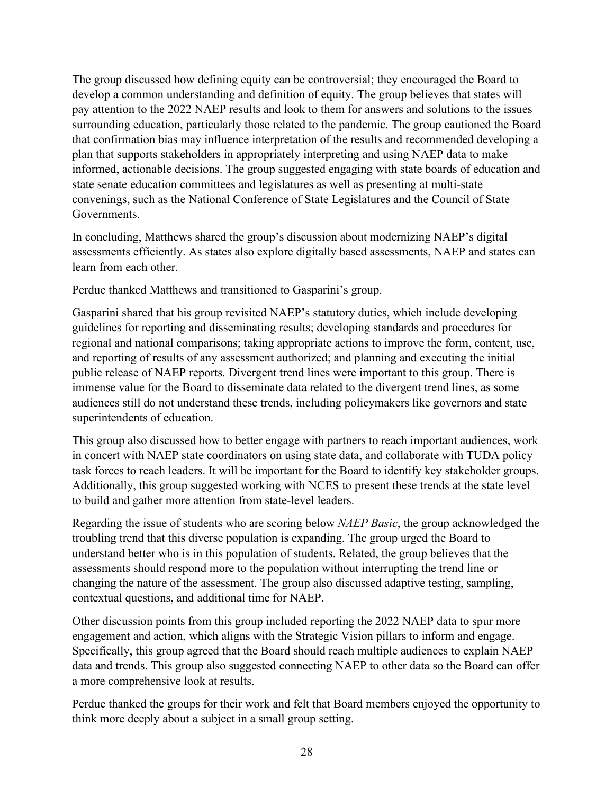The group discussed how defining equity can be controversial; they encouraged the Board to develop a common understanding and definition of equity. The group believes that states will pay attention to the 2022 NAEP results and look to them for answers and solutions to the issues surrounding education, particularly those related to the pandemic. The group cautioned the Board that confirmation bias may influence interpretation of the results and recommended developing a plan that supports stakeholders in appropriately interpreting and using NAEP data to make informed, actionable decisions. The group suggested engaging with state boards of education and state senate education committees and legislatures as well as presenting at multi-state convenings, such as the National Conference of State Legislatures and the Council of State Governments.

In concluding, Matthews shared the group's discussion about modernizing NAEP's digital assessments efficiently. As states also explore digitally based assessments, NAEP and states can learn from each other.

Perdue thanked Matthews and transitioned to Gasparini's group.

Gasparini shared that his group revisited NAEP's statutory duties, which include developing guidelines for reporting and disseminating results; developing standards and procedures for regional and national comparisons; taking appropriate actions to improve the form, content, use, and reporting of results of any assessment authorized; and planning and executing the initial public release of NAEP reports. Divergent trend lines were important to this group. There is immense value for the Board to disseminate data related to the divergent trend lines, as some audiences still do not understand these trends, including policymakers like governors and state superintendents of education.

This group also discussed how to better engage with partners to reach important audiences, work in concert with NAEP state coordinators on using state data, and collaborate with TUDA policy task forces to reach leaders. It will be important for the Board to identify key stakeholder groups. Additionally, this group suggested working with NCES to present these trends at the state level to build and gather more attention from state-level leaders.

Regarding the issue of students who are scoring below *NAEP Basic*, the group acknowledged the troubling trend that this diverse population is expanding. The group urged the Board to understand better who is in this population of students. Related, the group believes that the assessments should respond more to the population without interrupting the trend line or changing the nature of the assessment. The group also discussed adaptive testing, sampling, contextual questions, and additional time for NAEP.

Other discussion points from this group included reporting the 2022 NAEP data to spur more engagement and action, which aligns with the Strategic Vision pillars to inform and engage. Specifically, this group agreed that the Board should reach multiple audiences to explain NAEP data and trends. This group also suggested connecting NAEP to other data so the Board can offer a more comprehensive look at results.

Perdue thanked the groups for their work and felt that Board members enjoyed the opportunity to think more deeply about a subject in a small group setting.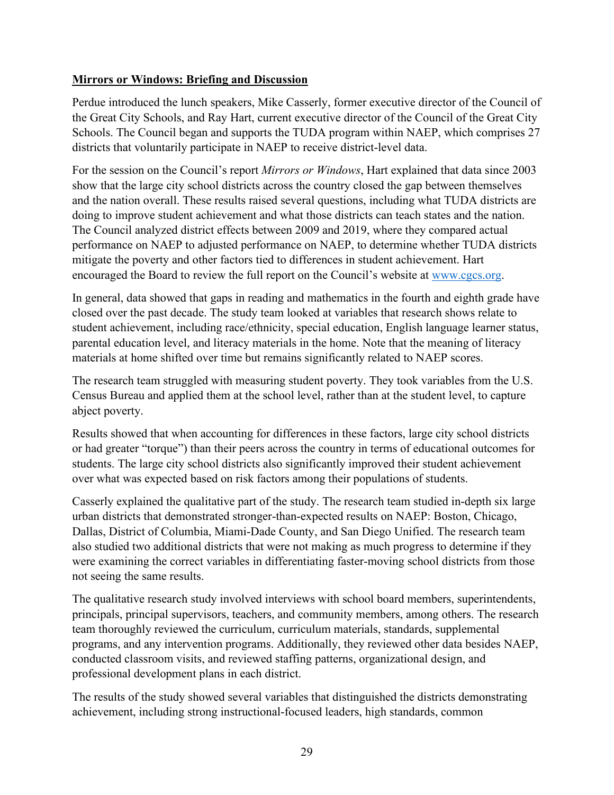### **Mirrors or Windows: Briefing and Discussion**

Perdue introduced the lunch speakers, Mike Casserly, former executive director of the Council of the Great City Schools, and Ray Hart, current executive director of the Council of the Great City Schools. The Council began and supports the TUDA program within NAEP, which comprises 27 districts that voluntarily participate in NAEP to receive district-level data.

For the session on the Council's report *Mirrors or Windows*, Hart explained that data since 2003 show that the large city school districts across the country closed the gap between themselves and the nation overall. These results raised several questions, including what TUDA districts are doing to improve student achievement and what those districts can teach states and the nation. The Council analyzed district effects between 2009 and 2019, where they compared actual performance on NAEP to adjusted performance on NAEP, to determine whether TUDA districts mitigate the poverty and other factors tied to differences in student achievement. Hart encouraged the Board to review the full report on the Council's website at [www.cgcs.org.](http://www.cgcs.org/)

In general, data showed that gaps in reading and mathematics in the fourth and eighth grade have closed over the past decade. The study team looked at variables that research shows relate to student achievement, including race/ethnicity, special education, English language learner status, parental education level, and literacy materials in the home. Note that the meaning of literacy materials at home shifted over time but remains significantly related to NAEP scores.

The research team struggled with measuring student poverty. They took variables from the U.S. Census Bureau and applied them at the school level, rather than at the student level, to capture abject poverty.

Results showed that when accounting for differences in these factors, large city school districts or had greater "torque") than their peers across the country in terms of educational outcomes for students. The large city school districts also significantly improved their student achievement over what was expected based on risk factors among their populations of students.

Casserly explained the qualitative part of the study. The research team studied in-depth six large urban districts that demonstrated stronger-than-expected results on NAEP: Boston, Chicago, Dallas, District of Columbia, Miami-Dade County, and San Diego Unified. The research team also studied two additional districts that were not making as much progress to determine if they were examining the correct variables in differentiating faster-moving school districts from those not seeing the same results.

The qualitative research study involved interviews with school board members, superintendents, principals, principal supervisors, teachers, and community members, among others. The research team thoroughly reviewed the curriculum, curriculum materials, standards, supplemental programs, and any intervention programs. Additionally, they reviewed other data besides NAEP, conducted classroom visits, and reviewed staffing patterns, organizational design, and professional development plans in each district.

The results of the study showed several variables that distinguished the districts demonstrating achievement, including strong instructional-focused leaders, high standards, common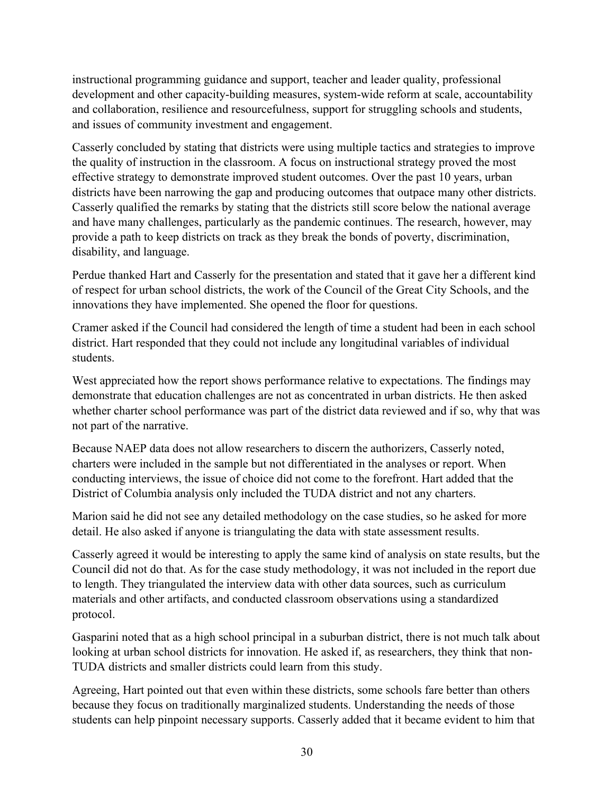instructional programming guidance and support, teacher and leader quality, professional development and other capacity-building measures, system-wide reform at scale, accountability and collaboration, resilience and resourcefulness, support for struggling schools and students, and issues of community investment and engagement.

Casserly concluded by stating that districts were using multiple tactics and strategies to improve the quality of instruction in the classroom. A focus on instructional strategy proved the most effective strategy to demonstrate improved student outcomes. Over the past 10 years, urban districts have been narrowing the gap and producing outcomes that outpace many other districts. Casserly qualified the remarks by stating that the districts still score below the national average and have many challenges, particularly as the pandemic continues. The research, however, may provide a path to keep districts on track as they break the bonds of poverty, discrimination, disability, and language.

Perdue thanked Hart and Casserly for the presentation and stated that it gave her a different kind of respect for urban school districts, the work of the Council of the Great City Schools, and the innovations they have implemented. She opened the floor for questions.

Cramer asked if the Council had considered the length of time a student had been in each school district. Hart responded that they could not include any longitudinal variables of individual students.

West appreciated how the report shows performance relative to expectations. The findings may demonstrate that education challenges are not as concentrated in urban districts. He then asked whether charter school performance was part of the district data reviewed and if so, why that was not part of the narrative.

Because NAEP data does not allow researchers to discern the authorizers, Casserly noted, charters were included in the sample but not differentiated in the analyses or report. When conducting interviews, the issue of choice did not come to the forefront. Hart added that the District of Columbia analysis only included the TUDA district and not any charters.

Marion said he did not see any detailed methodology on the case studies, so he asked for more detail. He also asked if anyone is triangulating the data with state assessment results.

Casserly agreed it would be interesting to apply the same kind of analysis on state results, but the Council did not do that. As for the case study methodology, it was not included in the report due to length. They triangulated the interview data with other data sources, such as curriculum materials and other artifacts, and conducted classroom observations using a standardized protocol.

Gasparini noted that as a high school principal in a suburban district, there is not much talk about looking at urban school districts for innovation. He asked if, as researchers, they think that non-TUDA districts and smaller districts could learn from this study.

Agreeing, Hart pointed out that even within these districts, some schools fare better than others because they focus on traditionally marginalized students. Understanding the needs of those students can help pinpoint necessary supports. Casserly added that it became evident to him that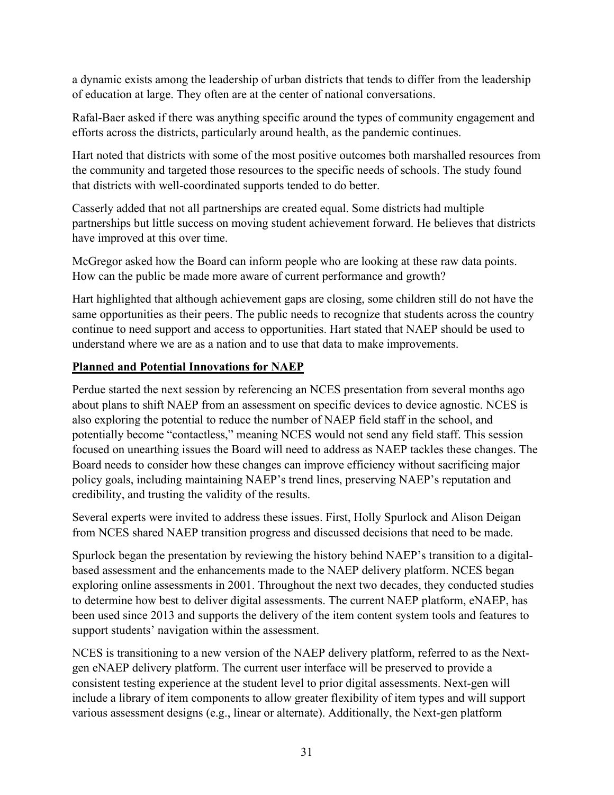a dynamic exists among the leadership of urban districts that tends to differ from the leadership of education at large. They often are at the center of national conversations.

Rafal-Baer asked if there was anything specific around the types of community engagement and efforts across the districts, particularly around health, as the pandemic continues.

Hart noted that districts with some of the most positive outcomes both marshalled resources from the community and targeted those resources to the specific needs of schools. The study found that districts with well-coordinated supports tended to do better.

Casserly added that not all partnerships are created equal. Some districts had multiple partnerships but little success on moving student achievement forward. He believes that districts have improved at this over time.

McGregor asked how the Board can inform people who are looking at these raw data points. How can the public be made more aware of current performance and growth?

Hart highlighted that although achievement gaps are closing, some children still do not have the same opportunities as their peers. The public needs to recognize that students across the country continue to need support and access to opportunities. Hart stated that NAEP should be used to understand where we are as a nation and to use that data to make improvements.

## **Planned and Potential Innovations for NAEP**

Perdue started the next session by referencing an NCES presentation from several months ago about plans to shift NAEP from an assessment on specific devices to device agnostic. NCES is also exploring the potential to reduce the number of NAEP field staff in the school, and potentially become "contactless," meaning NCES would not send any field staff. This session focused on unearthing issues the Board will need to address as NAEP tackles these changes. The Board needs to consider how these changes can improve efficiency without sacrificing major policy goals, including maintaining NAEP's trend lines, preserving NAEP's reputation and credibility, and trusting the validity of the results.

Several experts were invited to address these issues. First, Holly Spurlock and Alison Deigan from NCES shared NAEP transition progress and discussed decisions that need to be made.

Spurlock began the presentation by reviewing the history behind NAEP's transition to a digitalbased assessment and the enhancements made to the NAEP delivery platform. NCES began exploring online assessments in 2001. Throughout the next two decades, they conducted studies to determine how best to deliver digital assessments. The current NAEP platform, eNAEP, has been used since 2013 and supports the delivery of the item content system tools and features to support students' navigation within the assessment.

NCES is transitioning to a new version of the NAEP delivery platform, referred to as the Nextgen eNAEP delivery platform. The current user interface will be preserved to provide a consistent testing experience at the student level to prior digital assessments. Next-gen will include a library of item components to allow greater flexibility of item types and will support various assessment designs (e.g., linear or alternate). Additionally, the Next-gen platform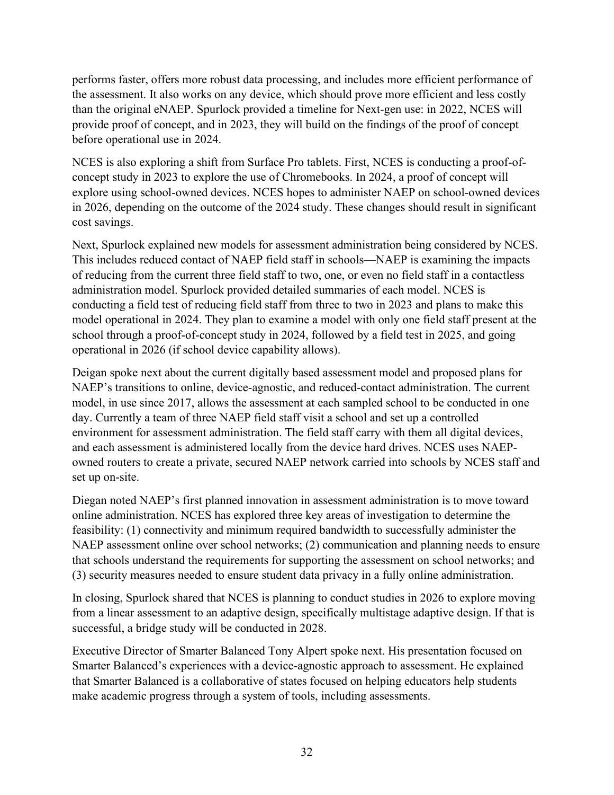performs faster, offers more robust data processing, and includes more efficient performance of the assessment. It also works on any device, which should prove more efficient and less costly than the original eNAEP. Spurlock provided a timeline for Next-gen use: in 2022, NCES will provide proof of concept, and in 2023, they will build on the findings of the proof of concept before operational use in 2024.

NCES is also exploring a shift from Surface Pro tablets. First, NCES is conducting a proof-ofconcept study in 2023 to explore the use of Chromebooks. In 2024, a proof of concept will explore using school-owned devices. NCES hopes to administer NAEP on school-owned devices in 2026, depending on the outcome of the 2024 study. These changes should result in significant cost savings.

Next, Spurlock explained new models for assessment administration being considered by NCES. This includes reduced contact of NAEP field staff in schools—NAEP is examining the impacts of reducing from the current three field staff to two, one, or even no field staff in a contactless administration model. Spurlock provided detailed summaries of each model. NCES is conducting a field test of reducing field staff from three to two in 2023 and plans to make this model operational in 2024. They plan to examine a model with only one field staff present at the school through a proof-of-concept study in 2024, followed by a field test in 2025, and going operational in 2026 (if school device capability allows).

Deigan spoke next about the current digitally based assessment model and proposed plans for NAEP's transitions to online, device-agnostic, and reduced-contact administration. The current model, in use since 2017, allows the assessment at each sampled school to be conducted in one day. Currently a team of three NAEP field staff visit a school and set up a controlled environment for assessment administration. The field staff carry with them all digital devices, and each assessment is administered locally from the device hard drives. NCES uses NAEPowned routers to create a private, secured NAEP network carried into schools by NCES staff and set up on-site.

Diegan noted NAEP's first planned innovation in assessment administration is to move toward online administration. NCES has explored three key areas of investigation to determine the feasibility: (1) connectivity and minimum required bandwidth to successfully administer the NAEP assessment online over school networks; (2) communication and planning needs to ensure that schools understand the requirements for supporting the assessment on school networks; and (3) security measures needed to ensure student data privacy in a fully online administration.

In closing, Spurlock shared that NCES is planning to conduct studies in 2026 to explore moving from a linear assessment to an adaptive design, specifically multistage adaptive design. If that is successful, a bridge study will be conducted in 2028.

Executive Director of Smarter Balanced Tony Alpert spoke next. His presentation focused on Smarter Balanced's experiences with a device-agnostic approach to assessment. He explained that Smarter Balanced is a collaborative of states focused on helping educators help students make academic progress through a system of tools, including assessments.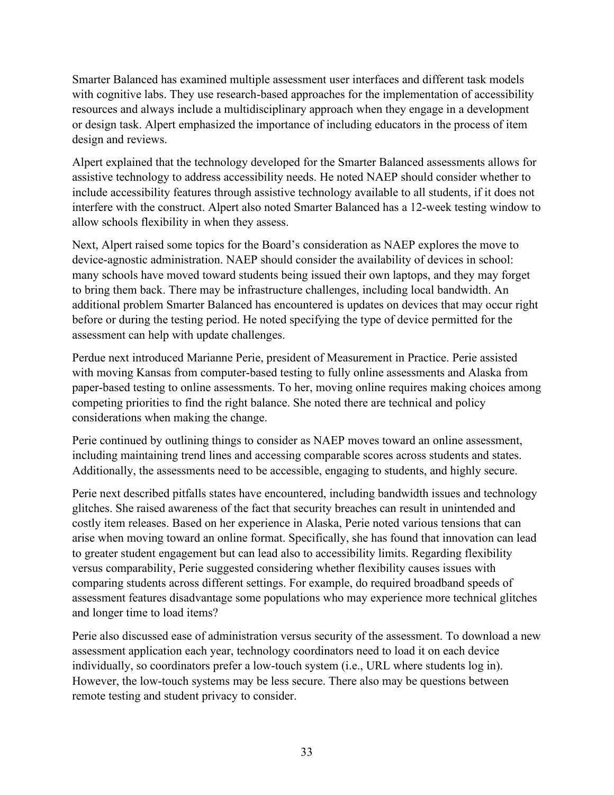Smarter Balanced has examined multiple assessment user interfaces and different task models with cognitive labs. They use research-based approaches for the implementation of accessibility resources and always include a multidisciplinary approach when they engage in a development or design task. Alpert emphasized the importance of including educators in the process of item design and reviews.

Alpert explained that the technology developed for the Smarter Balanced assessments allows for assistive technology to address accessibility needs. He noted NAEP should consider whether to include accessibility features through assistive technology available to all students, if it does not interfere with the construct. Alpert also noted Smarter Balanced has a 12-week testing window to allow schools flexibility in when they assess.

Next, Alpert raised some topics for the Board's consideration as NAEP explores the move to device-agnostic administration. NAEP should consider the availability of devices in school: many schools have moved toward students being issued their own laptops, and they may forget to bring them back. There may be infrastructure challenges, including local bandwidth. An additional problem Smarter Balanced has encountered is updates on devices that may occur right before or during the testing period. He noted specifying the type of device permitted for the assessment can help with update challenges.

Perdue next introduced Marianne Perie, president of Measurement in Practice. Perie assisted with moving Kansas from computer-based testing to fully online assessments and Alaska from paper-based testing to online assessments. To her, moving online requires making choices among competing priorities to find the right balance. She noted there are technical and policy considerations when making the change.

Perie continued by outlining things to consider as NAEP moves toward an online assessment, including maintaining trend lines and accessing comparable scores across students and states. Additionally, the assessments need to be accessible, engaging to students, and highly secure.

Perie next described pitfalls states have encountered, including bandwidth issues and technology glitches. She raised awareness of the fact that security breaches can result in unintended and costly item releases. Based on her experience in Alaska, Perie noted various tensions that can arise when moving toward an online format. Specifically, she has found that innovation can lead to greater student engagement but can lead also to accessibility limits. Regarding flexibility versus comparability, Perie suggested considering whether flexibility causes issues with comparing students across different settings. For example, do required broadband speeds of assessment features disadvantage some populations who may experience more technical glitches and longer time to load items?

Perie also discussed ease of administration versus security of the assessment. To download a new assessment application each year, technology coordinators need to load it on each device individually, so coordinators prefer a low-touch system (i.e., URL where students log in). However, the low-touch systems may be less secure. There also may be questions between remote testing and student privacy to consider.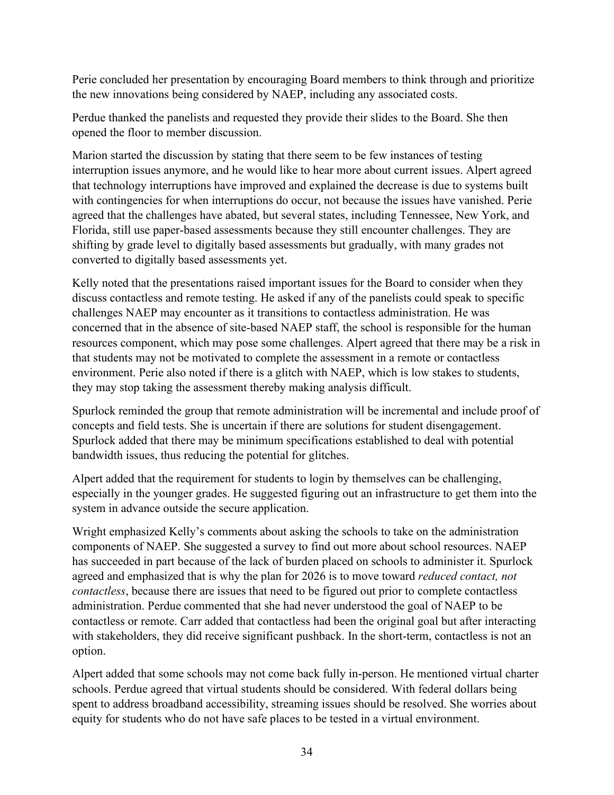Perie concluded her presentation by encouraging Board members to think through and prioritize the new innovations being considered by NAEP, including any associated costs.

Perdue thanked the panelists and requested they provide their slides to the Board. She then opened the floor to member discussion.

Marion started the discussion by stating that there seem to be few instances of testing interruption issues anymore, and he would like to hear more about current issues. Alpert agreed that technology interruptions have improved and explained the decrease is due to systems built with contingencies for when interruptions do occur, not because the issues have vanished. Perie agreed that the challenges have abated, but several states, including Tennessee, New York, and Florida, still use paper-based assessments because they still encounter challenges. They are shifting by grade level to digitally based assessments but gradually, with many grades not converted to digitally based assessments yet.

Kelly noted that the presentations raised important issues for the Board to consider when they discuss contactless and remote testing. He asked if any of the panelists could speak to specific challenges NAEP may encounter as it transitions to contactless administration. He was concerned that in the absence of site-based NAEP staff, the school is responsible for the human resources component, which may pose some challenges. Alpert agreed that there may be a risk in that students may not be motivated to complete the assessment in a remote or contactless environment. Perie also noted if there is a glitch with NAEP, which is low stakes to students, they may stop taking the assessment thereby making analysis difficult.

Spurlock reminded the group that remote administration will be incremental and include proof of concepts and field tests. She is uncertain if there are solutions for student disengagement. Spurlock added that there may be minimum specifications established to deal with potential bandwidth issues, thus reducing the potential for glitches.

Alpert added that the requirement for students to login by themselves can be challenging, especially in the younger grades. He suggested figuring out an infrastructure to get them into the system in advance outside the secure application.

Wright emphasized Kelly's comments about asking the schools to take on the administration components of NAEP. She suggested a survey to find out more about school resources. NAEP has succeeded in part because of the lack of burden placed on schools to administer it. Spurlock agreed and emphasized that is why the plan for 2026 is to move toward *reduced contact, not contactless*, because there are issues that need to be figured out prior to complete contactless administration. Perdue commented that she had never understood the goal of NAEP to be contactless or remote. Carr added that contactless had been the original goal but after interacting with stakeholders, they did receive significant pushback. In the short-term, contactless is not an option.

Alpert added that some schools may not come back fully in-person. He mentioned virtual charter schools. Perdue agreed that virtual students should be considered. With federal dollars being spent to address broadband accessibility, streaming issues should be resolved. She worries about equity for students who do not have safe places to be tested in a virtual environment.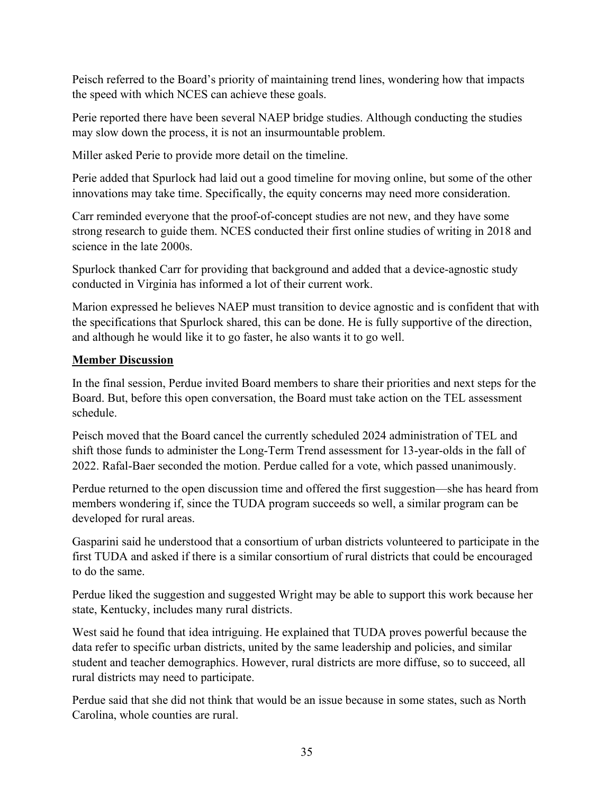Peisch referred to the Board's priority of maintaining trend lines, wondering how that impacts the speed with which NCES can achieve these goals.

Perie reported there have been several NAEP bridge studies. Although conducting the studies may slow down the process, it is not an insurmountable problem.

Miller asked Perie to provide more detail on the timeline.

Perie added that Spurlock had laid out a good timeline for moving online, but some of the other innovations may take time. Specifically, the equity concerns may need more consideration.

Carr reminded everyone that the proof-of-concept studies are not new, and they have some strong research to guide them. NCES conducted their first online studies of writing in 2018 and science in the late 2000s.

Spurlock thanked Carr for providing that background and added that a device-agnostic study conducted in Virginia has informed a lot of their current work.

Marion expressed he believes NAEP must transition to device agnostic and is confident that with the specifications that Spurlock shared, this can be done. He is fully supportive of the direction, and although he would like it to go faster, he also wants it to go well.

## **Member Discussion**

In the final session, Perdue invited Board members to share their priorities and next steps for the Board. But, before this open conversation, the Board must take action on the TEL assessment schedule.

Peisch moved that the Board cancel the currently scheduled 2024 administration of TEL and shift those funds to administer the Long-Term Trend assessment for 13-year-olds in the fall of 2022. Rafal-Baer seconded the motion. Perdue called for a vote, which passed unanimously.

Perdue returned to the open discussion time and offered the first suggestion—she has heard from members wondering if, since the TUDA program succeeds so well, a similar program can be developed for rural areas.

Gasparini said he understood that a consortium of urban districts volunteered to participate in the first TUDA and asked if there is a similar consortium of rural districts that could be encouraged to do the same.

Perdue liked the suggestion and suggested Wright may be able to support this work because her state, Kentucky, includes many rural districts.

West said he found that idea intriguing. He explained that TUDA proves powerful because the data refer to specific urban districts, united by the same leadership and policies, and similar student and teacher demographics. However, rural districts are more diffuse, so to succeed, all rural districts may need to participate.

Perdue said that she did not think that would be an issue because in some states, such as North Carolina, whole counties are rural.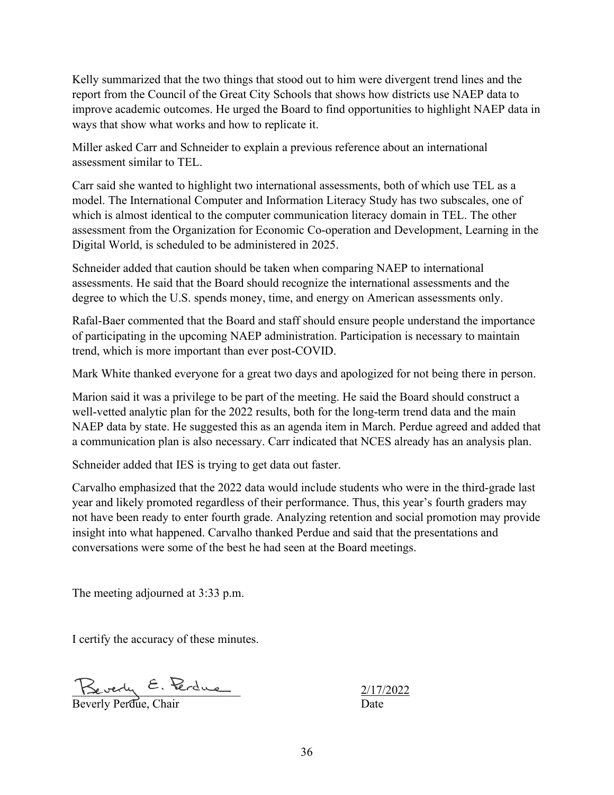Kelly summarized that the two things that stood out to him were divergent trend lines and the report from the Council of the Great City Schools that shows how districts use NAEP data to improve academic outcomes. He urged the Board to find opportunities to highlight NAEP data in ways that show what works and how to replicate it.

Miller asked Carr and Schneider to explain a previous reference about an international assessment similar to TEL.

Carr said she wanted to highlight two international assessments, both of which use TEL as a model. The International Computer and Information Literacy Study has two subscales, one of which is almost identical to the computer communication literacy domain in TEL. The other assessment from the Organization for Economic Co-operation and Development, Learning in the Digital World, is scheduled to be administered in 2025.

Schneider added that caution should be taken when comparing NAEP to international assessments. He said that the Board should recognize the international assessments and the degree to which the U.S. spends money, time, and energy on American assessments only.

Rafal-Baer commented that the Board and staff should ensure people understand the importance of participating in the upcoming NAEP administration. Participation is necessary to maintain trend, which is more important than ever post-COVID.

Mark White thanked everyone for a great two days and apologized for not being there in person.

Marion said it was a privilege to be part of the meeting. He said the Board should construct a well-vetted analytic plan for the 2022 results, both for the long-term trend data and the main NAEP data by state. He suggested this as an agenda item in March. Perdue agreed and added that a communication plan is also necessary. Carr indicated that NCES already has an analysis plan.

Schneider added that IES is trying to get data out faster.

Carvalho emphasized that the 2022 data would include students who were in the third-grade last year and likely promoted regardless of their performance. Thus, this year's fourth graders may not have been ready to enter fourth grade. Analyzing retention and social promotion may provide insight into what happened. Carvalho thanked Perdue and said that the presentations and conversations were some of the best he had seen at the Board meetings.

The meeting adjourned at 3:33 p.m.

I certify the accuracy of these minutes.

 $\leq$  beverly  $\leq$ . Tercue

Beverly Perdue, Chair Date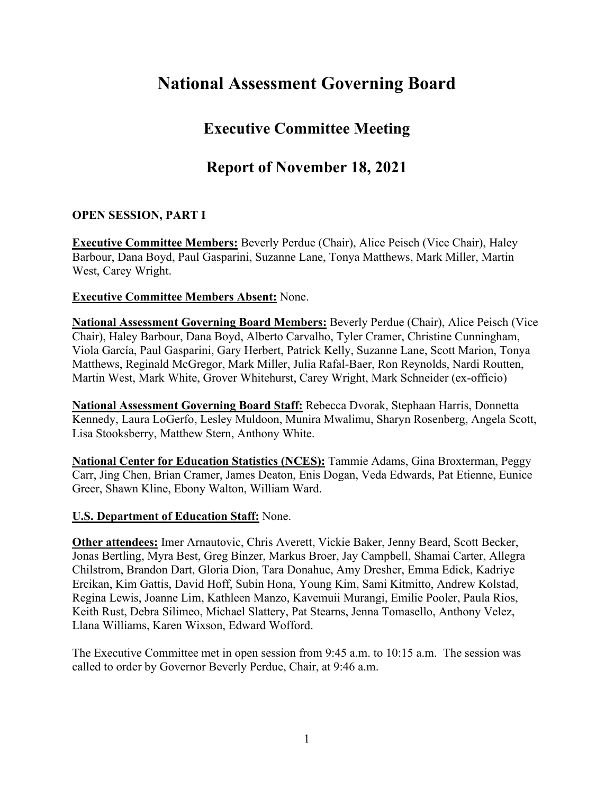# **National Assessment Governing Board**

## **Executive Committee Meeting**

## **Report of November 18, 2021**

## **OPEN SESSION, PART I**

**Executive Committee Members:** Beverly Perdue (Chair), Alice Peisch (Vice Chair), Haley Barbour, Dana Boyd, Paul Gasparini, Suzanne Lane, Tonya Matthews, Mark Miller, Martin West, Carey Wright.

#### **Executive Committee Members Absent:** None.

**National Assessment Governing Board Members:** Beverly Perdue (Chair), Alice Peisch (Vice Chair), Haley Barbour, Dana Boyd, Alberto Carvalho, Tyler Cramer, Christine Cunningham, Viola García, Paul Gasparini, Gary Herbert, Patrick Kelly, Suzanne Lane, Scott Marion, Tonya Matthews, Reginald McGregor, Mark Miller, Julia Rafal-Baer, Ron Reynolds, Nardi Routten, Martin West, Mark White, Grover Whitehurst, Carey Wright, Mark Schneider (ex-officio)

**National Assessment Governing Board Staff:** Rebecca Dvorak, Stephaan Harris, Donnetta Kennedy, Laura LoGerfo, Lesley Muldoon, Munira Mwalimu, Sharyn Rosenberg, Angela Scott, Lisa Stooksberry, Matthew Stern, Anthony White.

**National Center for Education Statistics (NCES):** Tammie Adams, Gina Broxterman, Peggy Carr, Jing Chen, Brian Cramer, James Deaton, Enis Dogan, Veda Edwards, Pat Etienne, Eunice Greer, Shawn Kline, Ebony Walton, William Ward.

### **U.S. Department of Education Staff:** None.

**Other attendees:** Imer Arnautovic, Chris Averett, Vickie Baker, Jenny Beard, Scott Becker, Jonas Bertling, Myra Best, Greg Binzer, Markus Broer, Jay Campbell, Shamai Carter, Allegra Chilstrom, Brandon Dart, Gloria Dion, Tara Donahue, Amy Dresher, Emma Edick, Kadriye Ercikan, Kim Gattis, David Hoff, Subin Hona, Young Kim, Sami Kitmitto, Andrew Kolstad, Regina Lewis, Joanne Lim, Kathleen Manzo, Kavemuii Murangi, Emilie Pooler, Paula Rios, Keith Rust, Debra Silimeo, Michael Slattery, Pat Stearns, Jenna Tomasello, Anthony Velez, Llana Williams, Karen Wixson, Edward Wofford.

The Executive Committee met in open session from 9:45 a.m. to 10:15 a.m. The session was called to order by Governor Beverly Perdue, Chair, at 9:46 a.m.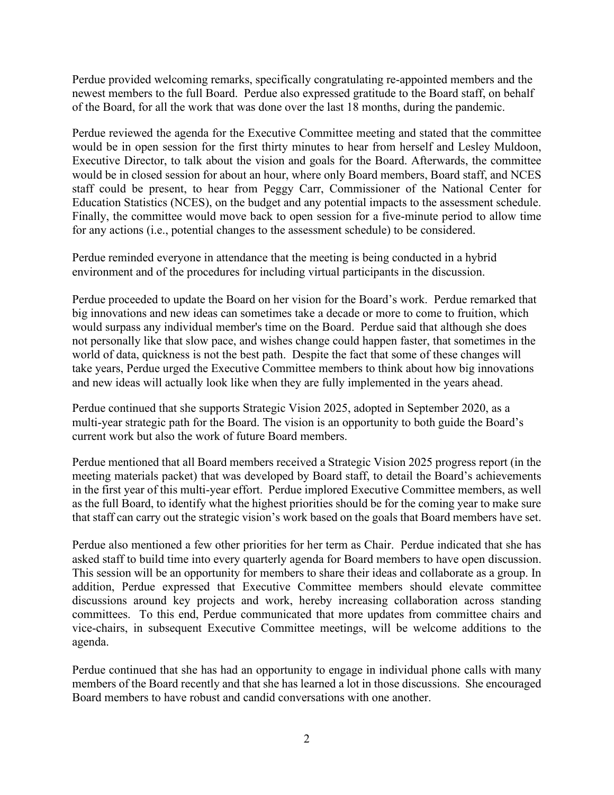Perdue provided welcoming remarks, specifically congratulating re-appointed members and the newest members to the full Board. Perdue also expressed gratitude to the Board staff, on behalf of the Board, for all the work that was done over the last 18 months, during the pandemic.

Perdue reviewed the agenda for the Executive Committee meeting and stated that the committee would be in open session for the first thirty minutes to hear from herself and Lesley Muldoon, Executive Director, to talk about the vision and goals for the Board. Afterwards, the committee would be in closed session for about an hour, where only Board members, Board staff, and NCES staff could be present, to hear from Peggy Carr, Commissioner of the National Center for Education Statistics (NCES), on the budget and any potential impacts to the assessment schedule. Finally, the committee would move back to open session for a five-minute period to allow time for any actions (i.e., potential changes to the assessment schedule) to be considered.

Perdue reminded everyone in attendance that the meeting is being conducted in a hybrid environment and of the procedures for including virtual participants in the discussion.

Perdue proceeded to update the Board on her vision for the Board's work. Perdue remarked that big innovations and new ideas can sometimes take a decade or more to come to fruition, which would surpass any individual member's time on the Board. Perdue said that although she does not personally like that slow pace, and wishes change could happen faster, that sometimes in the world of data, quickness is not the best path. Despite the fact that some of these changes will take years, Perdue urged the Executive Committee members to think about how big innovations and new ideas will actually look like when they are fully implemented in the years ahead.

Perdue continued that she supports Strategic Vision 2025, adopted in September 2020, as a multi-year strategic path for the Board. The vision is an opportunity to both guide the Board's current work but also the work of future Board members.

Perdue mentioned that all Board members received a Strategic Vision 2025 progress report (in the meeting materials packet) that was developed by Board staff, to detail the Board's achievements in the first year of this multi-year effort. Perdue implored Executive Committee members, as well as the full Board, to identify what the highest priorities should be for the coming year to make sure that staff can carry out the strategic vision's work based on the goals that Board members have set.

Perdue also mentioned a few other priorities for her term as Chair. Perdue indicated that she has asked staff to build time into every quarterly agenda for Board members to have open discussion. This session will be an opportunity for members to share their ideas and collaborate as a group. In addition, Perdue expressed that Executive Committee members should elevate committee discussions around key projects and work, hereby increasing collaboration across standing committees. To this end, Perdue communicated that more updates from committee chairs and vice-chairs, in subsequent Executive Committee meetings, will be welcome additions to the agenda.

Perdue continued that she has had an opportunity to engage in individual phone calls with many members of the Board recently and that she has learned a lot in those discussions. She encouraged Board members to have robust and candid conversations with one another.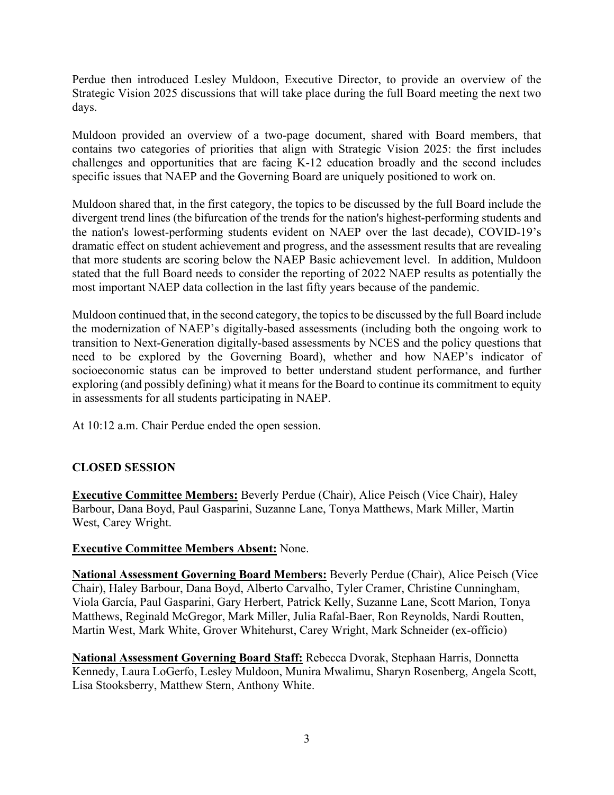Perdue then introduced Lesley Muldoon, Executive Director, to provide an overview of the Strategic Vision 2025 discussions that will take place during the full Board meeting the next two days.

Muldoon provided an overview of a two-page document, shared with Board members, that contains two categories of priorities that align with Strategic Vision 2025: the first includes challenges and opportunities that are facing K-12 education broadly and the second includes specific issues that NAEP and the Governing Board are uniquely positioned to work on.

Muldoon shared that, in the first category, the topics to be discussed by the full Board include the divergent trend lines (the bifurcation of the trends for the nation's highest-performing students and the nation's lowest-performing students evident on NAEP over the last decade), COVID-19's dramatic effect on student achievement and progress, and the assessment results that are revealing that more students are scoring below the NAEP Basic achievement level. In addition, Muldoon stated that the full Board needs to consider the reporting of 2022 NAEP results as potentially the most important NAEP data collection in the last fifty years because of the pandemic.

Muldoon continued that, in the second category, the topics to be discussed by the full Board include the modernization of NAEP's digitally-based assessments (including both the ongoing work to transition to Next-Generation digitally-based assessments by NCES and the policy questions that need to be explored by the Governing Board), whether and how NAEP's indicator of socioeconomic status can be improved to better understand student performance, and further exploring (and possibly defining) what it means for the Board to continue its commitment to equity in assessments for all students participating in NAEP.

At 10:12 a.m. Chair Perdue ended the open session.

## **CLOSED SESSION**

**Executive Committee Members:** Beverly Perdue (Chair), Alice Peisch (Vice Chair), Haley Barbour, Dana Boyd, Paul Gasparini, Suzanne Lane, Tonya Matthews, Mark Miller, Martin West, Carey Wright.

## **Executive Committee Members Absent:** None.

**National Assessment Governing Board Members:** Beverly Perdue (Chair), Alice Peisch (Vice Chair), Haley Barbour, Dana Boyd, Alberto Carvalho, Tyler Cramer, Christine Cunningham, Viola García, Paul Gasparini, Gary Herbert, Patrick Kelly, Suzanne Lane, Scott Marion, Tonya Matthews, Reginald McGregor, Mark Miller, Julia Rafal-Baer, Ron Reynolds, Nardi Routten, Martin West, Mark White, Grover Whitehurst, Carey Wright, Mark Schneider (ex-officio)

**National Assessment Governing Board Staff:** Rebecca Dvorak, Stephaan Harris, Donnetta Kennedy, Laura LoGerfo, Lesley Muldoon, Munira Mwalimu, Sharyn Rosenberg, Angela Scott, Lisa Stooksberry, Matthew Stern, Anthony White.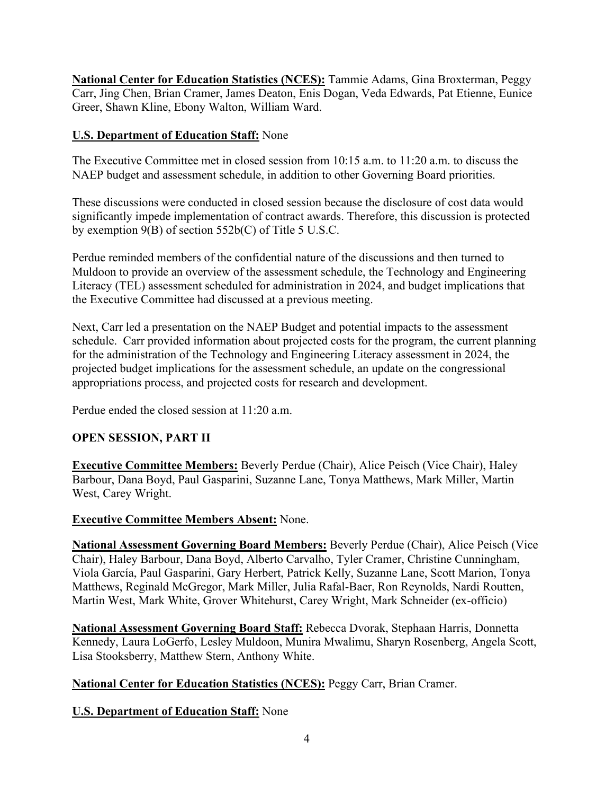**National Center for Education Statistics (NCES):** Tammie Adams, Gina Broxterman, Peggy Carr, Jing Chen, Brian Cramer, James Deaton, Enis Dogan, Veda Edwards, Pat Etienne, Eunice Greer, Shawn Kline, Ebony Walton, William Ward.

## **U.S. Department of Education Staff:** None

The Executive Committee met in closed session from 10:15 a.m. to 11:20 a.m. to discuss the NAEP budget and assessment schedule, in addition to other Governing Board priorities.

These discussions were conducted in closed session because the disclosure of cost data would significantly impede implementation of contract awards. Therefore, this discussion is protected by exemption 9(B) of section 552b(C) of Title 5 U.S.C.

Perdue reminded members of the confidential nature of the discussions and then turned to Muldoon to provide an overview of the assessment schedule, the Technology and Engineering Literacy (TEL) assessment scheduled for administration in 2024, and budget implications that the Executive Committee had discussed at a previous meeting.

Next, Carr led a presentation on the NAEP Budget and potential impacts to the assessment schedule. Carr provided information about projected costs for the program, the current planning for the administration of the Technology and Engineering Literacy assessment in 2024, the projected budget implications for the assessment schedule, an update on the congressional appropriations process, and projected costs for research and development.

Perdue ended the closed session at 11:20 a.m.

## **OPEN SESSION, PART II**

**Executive Committee Members:** Beverly Perdue (Chair), Alice Peisch (Vice Chair), Haley Barbour, Dana Boyd, Paul Gasparini, Suzanne Lane, Tonya Matthews, Mark Miller, Martin West, Carey Wright.

## **Executive Committee Members Absent:** None.

**National Assessment Governing Board Members:** Beverly Perdue (Chair), Alice Peisch (Vice Chair), Haley Barbour, Dana Boyd, Alberto Carvalho, Tyler Cramer, Christine Cunningham, Viola García, Paul Gasparini, Gary Herbert, Patrick Kelly, Suzanne Lane, Scott Marion, Tonya Matthews, Reginald McGregor, Mark Miller, Julia Rafal-Baer, Ron Reynolds, Nardi Routten, Martin West, Mark White, Grover Whitehurst, Carey Wright, Mark Schneider (ex-officio)

**National Assessment Governing Board Staff:** Rebecca Dvorak, Stephaan Harris, Donnetta Kennedy, Laura LoGerfo, Lesley Muldoon, Munira Mwalimu, Sharyn Rosenberg, Angela Scott, Lisa Stooksberry, Matthew Stern, Anthony White.

**National Center for Education Statistics (NCES):** Peggy Carr, Brian Cramer.

## **U.S. Department of Education Staff:** None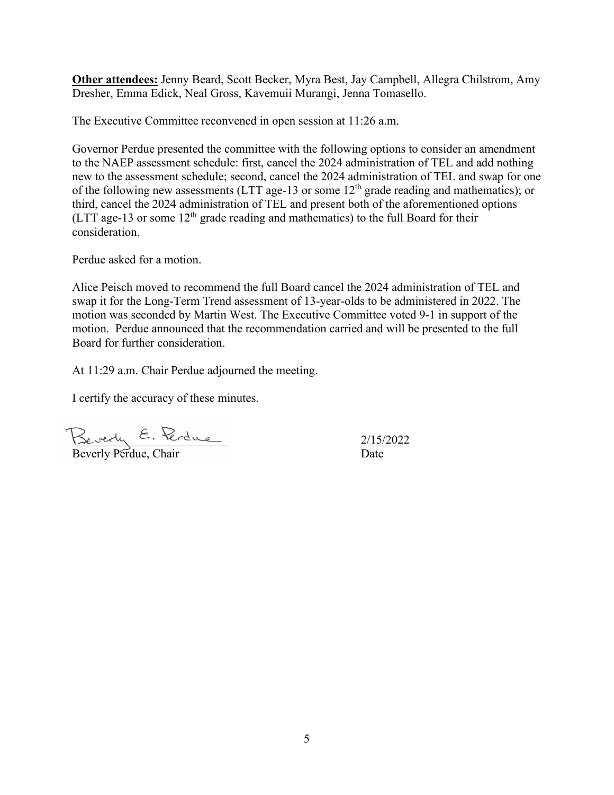**Other attendees:** Jenny Beard, Scott Becker, Myra Best, Jay Campbell, Allegra Chilstrom, Amy Dresher, Emma Edick, Neal Gross, Kavemuii Murangi, Jenna Tomasello.

The Executive Committee reconvened in open session at 11:26 a.m.

Governor Perdue presented the committee with the following options to consider an amendment to the NAEP assessment schedule: first, cancel the 2024 administration of TEL and add nothing new to the assessment schedule; second, cancel the 2024 administration of TEL and swap for one of the following new assessments (LTT age-13 or some 12<sup>th</sup> grade reading and mathematics); or third, cancel the 2024 administration of TEL and present both of the aforementioned options (LTT age-13 or some  $12<sup>th</sup>$  grade reading and mathematics) to the full Board for their consideration.

Perdue asked for a motion.

Alice Peisch moved to recommend the full Board cancel the 2024 administration of TEL and swap it for the Long-Term Trend assessment of 13-year-olds to be administered in 2022. The motion was seconded by Martin West. The Executive Committee voted 9-1 in support of the motion. Perdue announced that the recommendation carried and will be presented to the full Board for further consideration.

At 11:29 a.m. Chair Perdue adjourned the meeting.

I certify the accuracy of these minutes.

 $\leq$   $\leq$   $\leq$   $\leq$   $\leq$   $\leq$   $\leq$   $\leq$   $\leq$   $\leq$   $\leq$   $\leq$   $\leq$   $\leq$   $\leq$   $\leq$   $\leq$   $\leq$   $\leq$   $\leq$   $\leq$   $\leq$   $\leq$   $\leq$   $\leq$   $\leq$   $\leq$   $\leq$   $\leq$   $\leq$   $\leq$   $\leq$   $\leq$   $\leq$   $\leq$   $\leq$   $\leq$ 

Beverly Perdue, Chair Date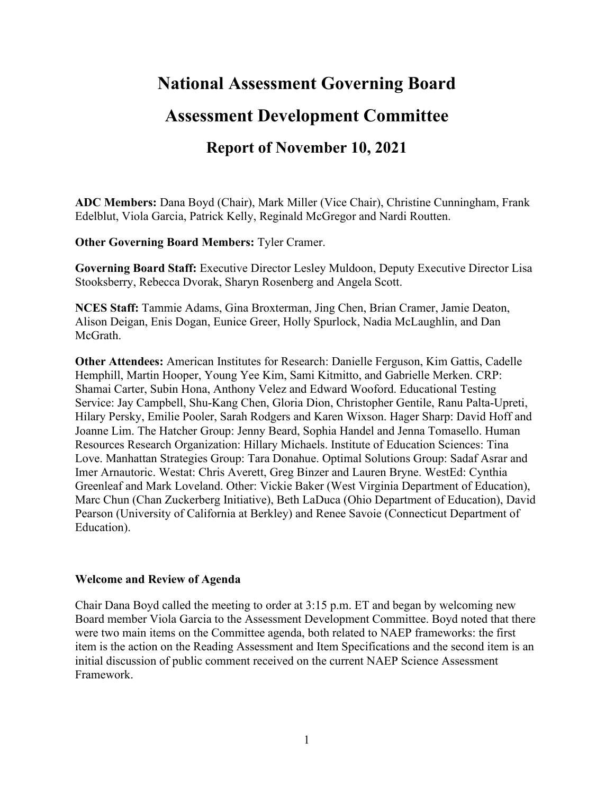## **National Assessment Governing Board**

## **Assessment Development Committee**

## **Report of November 10, 2021**

**ADC Members:** Dana Boyd (Chair), Mark Miller (Vice Chair), Christine Cunningham, Frank Edelblut, Viola Garcia, Patrick Kelly, Reginald McGregor and Nardi Routten.

**Other Governing Board Members:** Tyler Cramer.

**Governing Board Staff:** Executive Director Lesley Muldoon, Deputy Executive Director Lisa Stooksberry, Rebecca Dvorak, Sharyn Rosenberg and Angela Scott.

**NCES Staff:** Tammie Adams, Gina Broxterman, Jing Chen, Brian Cramer, Jamie Deaton, Alison Deigan, Enis Dogan, Eunice Greer, Holly Spurlock, Nadia McLaughlin, and Dan McGrath.

**Other Attendees:** American Institutes for Research: Danielle Ferguson, Kim Gattis, Cadelle Hemphill, Martin Hooper, Young Yee Kim, Sami Kitmitto, and Gabrielle Merken. CRP: Shamai Carter, Subin Hona, Anthony Velez and Edward Wooford. Educational Testing Service: Jay Campbell, Shu-Kang Chen, Gloria Dion, Christopher Gentile, Ranu Palta-Upreti, Hilary Persky, Emilie Pooler, Sarah Rodgers and Karen Wixson. Hager Sharp: David Hoff and Joanne Lim. The Hatcher Group: Jenny Beard, Sophia Handel and Jenna Tomasello. Human Resources Research Organization: Hillary Michaels. Institute of Education Sciences: Tina Love. Manhattan Strategies Group: Tara Donahue. Optimal Solutions Group: Sadaf Asrar and Imer Arnautoric. Westat: Chris Averett, Greg Binzer and Lauren Bryne. WestEd: Cynthia Greenleaf and Mark Loveland. Other: Vickie Baker (West Virginia Department of Education), Marc Chun (Chan Zuckerberg Initiative), Beth LaDuca (Ohio Department of Education), David Pearson (University of California at Berkley) and Renee Savoie (Connecticut Department of Education).

#### **Welcome and Review of Agenda**

Chair Dana Boyd called the meeting to order at 3:15 p.m. ET and began by welcoming new Board member Viola Garcia to the Assessment Development Committee. Boyd noted that there were two main items on the Committee agenda, both related to NAEP frameworks: the first item is the action on the Reading Assessment and Item Specifications and the second item is an initial discussion of public comment received on the current NAEP Science Assessment Framework.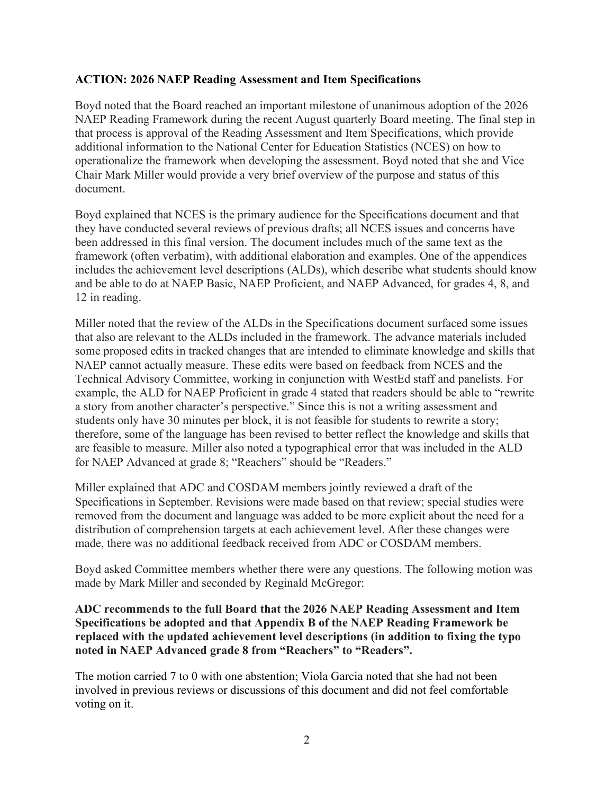#### **ACTION: 2026 NAEP Reading Assessment and Item Specifications**

Boyd noted that the Board reached an important milestone of unanimous adoption of the 2026 NAEP Reading Framework during the recent August quarterly Board meeting. The final step in that process is approval of the Reading Assessment and Item Specifications, which provide additional information to the National Center for Education Statistics (NCES) on how to operationalize the framework when developing the assessment. Boyd noted that she and Vice Chair Mark Miller would provide a very brief overview of the purpose and status of this document.

Boyd explained that NCES is the primary audience for the Specifications document and that they have conducted several reviews of previous drafts; all NCES issues and concerns have been addressed in this final version. The document includes much of the same text as the framework (often verbatim), with additional elaboration and examples. One of the appendices includes the achievement level descriptions (ALDs), which describe what students should know and be able to do at NAEP Basic, NAEP Proficient, and NAEP Advanced, for grades 4, 8, and 12 in reading.

Miller noted that the review of the ALDs in the Specifications document surfaced some issues that also are relevant to the ALDs included in the framework. The advance materials included some proposed edits in tracked changes that are intended to eliminate knowledge and skills that NAEP cannot actually measure. These edits were based on feedback from NCES and the Technical Advisory Committee, working in conjunction with WestEd staff and panelists. For example, the ALD for NAEP Proficient in grade 4 stated that readers should be able to "rewrite a story from another character's perspective." Since this is not a writing assessment and students only have 30 minutes per block, it is not feasible for students to rewrite a story; therefore, some of the language has been revised to better reflect the knowledge and skills that are feasible to measure. Miller also noted a typographical error that was included in the ALD for NAEP Advanced at grade 8; "Reachers" should be "Readers."

Miller explained that ADC and COSDAM members jointly reviewed a draft of the Specifications in September. Revisions were made based on that review; special studies were removed from the document and language was added to be more explicit about the need for a distribution of comprehension targets at each achievement level. After these changes were made, there was no additional feedback received from ADC or COSDAM members.

Boyd asked Committee members whether there were any questions. The following motion was made by Mark Miller and seconded by Reginald McGregor:

**ADC recommends to the full Board that the 2026 NAEP Reading Assessment and Item Specifications be adopted and that Appendix B of the NAEP Reading Framework be replaced with the updated achievement level descriptions (in addition to fixing the typo noted in NAEP Advanced grade 8 from "Reachers" to "Readers".** 

The motion carried 7 to 0 with one abstention; Viola Garcia noted that she had not been involved in previous reviews or discussions of this document and did not feel comfortable voting on it.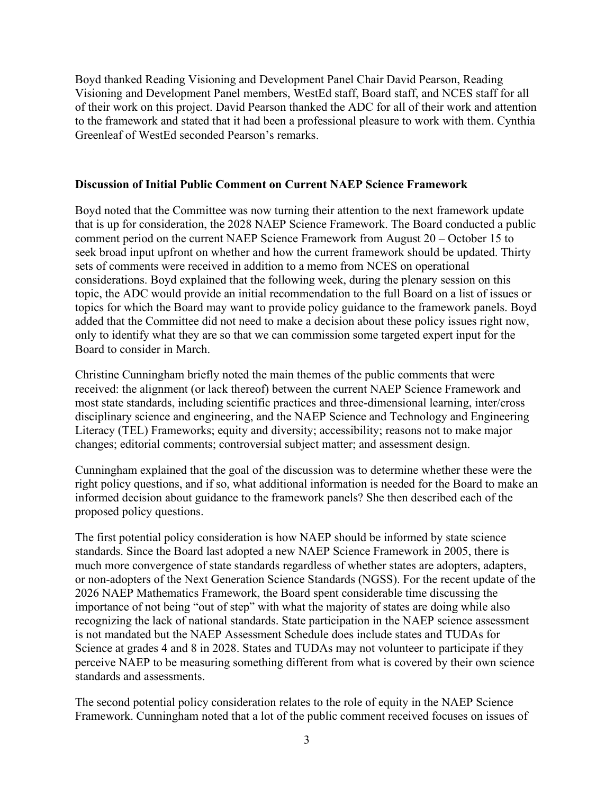Boyd thanked Reading Visioning and Development Panel Chair David Pearson, Reading Visioning and Development Panel members, WestEd staff, Board staff, and NCES staff for all of their work on this project. David Pearson thanked the ADC for all of their work and attention to the framework and stated that it had been a professional pleasure to work with them. Cynthia Greenleaf of WestEd seconded Pearson's remarks.

#### **Discussion of Initial Public Comment on Current NAEP Science Framework**

Boyd noted that the Committee was now turning their attention to the next framework update that is up for consideration, the 2028 NAEP Science Framework. The Board conducted a public comment period on the current NAEP Science Framework from August 20 – October 15 to seek broad input upfront on whether and how the current framework should be updated. Thirty sets of comments were received in addition to a memo from NCES on operational considerations. Boyd explained that the following week, during the plenary session on this topic, the ADC would provide an initial recommendation to the full Board on a list of issues or topics for which the Board may want to provide policy guidance to the framework panels. Boyd added that the Committee did not need to make a decision about these policy issues right now, only to identify what they are so that we can commission some targeted expert input for the Board to consider in March.

Christine Cunningham briefly noted the main themes of the public comments that were received: the alignment (or lack thereof) between the current NAEP Science Framework and most state standards, including scientific practices and three-dimensional learning, inter/cross disciplinary science and engineering, and the NAEP Science and Technology and Engineering Literacy (TEL) Frameworks; equity and diversity; accessibility; reasons not to make major changes; editorial comments; controversial subject matter; and assessment design.

Cunningham explained that the goal of the discussion was to determine whether these were the right policy questions, and if so, what additional information is needed for the Board to make an informed decision about guidance to the framework panels? She then described each of the proposed policy questions.

The first potential policy consideration is how NAEP should be informed by state science standards. Since the Board last adopted a new NAEP Science Framework in 2005, there is much more convergence of state standards regardless of whether states are adopters, adapters, or non-adopters of the Next Generation Science Standards (NGSS). For the recent update of the 2026 NAEP Mathematics Framework, the Board spent considerable time discussing the importance of not being "out of step" with what the majority of states are doing while also recognizing the lack of national standards. State participation in the NAEP science assessment is not mandated but the NAEP Assessment Schedule does include states and TUDAs for Science at grades 4 and 8 in 2028. States and TUDAs may not volunteer to participate if they perceive NAEP to be measuring something different from what is covered by their own science standards and assessments.

The second potential policy consideration relates to the role of equity in the NAEP Science Framework. Cunningham noted that a lot of the public comment received focuses on issues of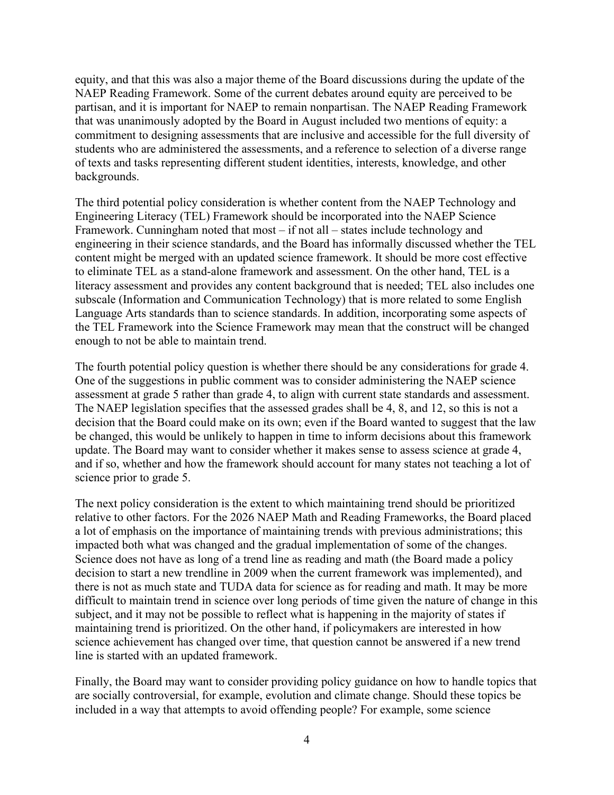equity, and that this was also a major theme of the Board discussions during the update of the NAEP Reading Framework. Some of the current debates around equity are perceived to be partisan, and it is important for NAEP to remain nonpartisan. The NAEP Reading Framework that was unanimously adopted by the Board in August included two mentions of equity: a commitment to designing assessments that are inclusive and accessible for the full diversity of students who are administered the assessments, and a reference to selection of a diverse range of texts and tasks representing different student identities, interests, knowledge, and other backgrounds.

The third potential policy consideration is whether content from the NAEP Technology and Engineering Literacy (TEL) Framework should be incorporated into the NAEP Science Framework. Cunningham noted that most – if not all – states include technology and engineering in their science standards, and the Board has informally discussed whether the TEL content might be merged with an updated science framework. It should be more cost effective to eliminate TEL as a stand-alone framework and assessment. On the other hand, TEL is a literacy assessment and provides any content background that is needed; TEL also includes one subscale (Information and Communication Technology) that is more related to some English Language Arts standards than to science standards. In addition, incorporating some aspects of the TEL Framework into the Science Framework may mean that the construct will be changed enough to not be able to maintain trend.

The fourth potential policy question is whether there should be any considerations for grade 4. One of the suggestions in public comment was to consider administering the NAEP science assessment at grade 5 rather than grade 4, to align with current state standards and assessment. The NAEP legislation specifies that the assessed grades shall be 4, 8, and 12, so this is not a decision that the Board could make on its own; even if the Board wanted to suggest that the law be changed, this would be unlikely to happen in time to inform decisions about this framework update. The Board may want to consider whether it makes sense to assess science at grade 4, and if so, whether and how the framework should account for many states not teaching a lot of science prior to grade 5.

The next policy consideration is the extent to which maintaining trend should be prioritized relative to other factors. For the 2026 NAEP Math and Reading Frameworks, the Board placed a lot of emphasis on the importance of maintaining trends with previous administrations; this impacted both what was changed and the gradual implementation of some of the changes. Science does not have as long of a trend line as reading and math (the Board made a policy decision to start a new trendline in 2009 when the current framework was implemented), and there is not as much state and TUDA data for science as for reading and math. It may be more difficult to maintain trend in science over long periods of time given the nature of change in this subject, and it may not be possible to reflect what is happening in the majority of states if maintaining trend is prioritized. On the other hand, if policymakers are interested in how science achievement has changed over time, that question cannot be answered if a new trend line is started with an updated framework.

Finally, the Board may want to consider providing policy guidance on how to handle topics that are socially controversial, for example, evolution and climate change. Should these topics be included in a way that attempts to avoid offending people? For example, some science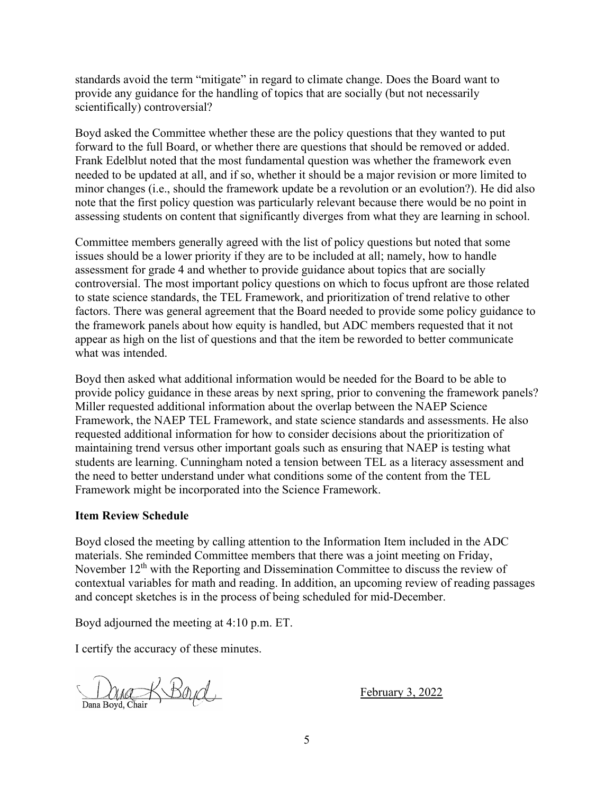standards avoid the term "mitigate" in regard to climate change. Does the Board want to provide any guidance for the handling of topics that are socially (but not necessarily scientifically) controversial?

Boyd asked the Committee whether these are the policy questions that they wanted to put forward to the full Board, or whether there are questions that should be removed or added. Frank Edelblut noted that the most fundamental question was whether the framework even needed to be updated at all, and if so, whether it should be a major revision or more limited to minor changes (i.e., should the framework update be a revolution or an evolution?). He did also note that the first policy question was particularly relevant because there would be no point in assessing students on content that significantly diverges from what they are learning in school.

Committee members generally agreed with the list of policy questions but noted that some issues should be a lower priority if they are to be included at all; namely, how to handle assessment for grade 4 and whether to provide guidance about topics that are socially controversial. The most important policy questions on which to focus upfront are those related to state science standards, the TEL Framework, and prioritization of trend relative to other factors. There was general agreement that the Board needed to provide some policy guidance to the framework panels about how equity is handled, but ADC members requested that it not appear as high on the list of questions and that the item be reworded to better communicate what was intended.

Boyd then asked what additional information would be needed for the Board to be able to provide policy guidance in these areas by next spring, prior to convening the framework panels? Miller requested additional information about the overlap between the NAEP Science Framework, the NAEP TEL Framework, and state science standards and assessments. He also requested additional information for how to consider decisions about the prioritization of maintaining trend versus other important goals such as ensuring that NAEP is testing what students are learning. Cunningham noted a tension between TEL as a literacy assessment and the need to better understand under what conditions some of the content from the TEL Framework might be incorporated into the Science Framework.

#### **Item Review Schedule**

Boyd closed the meeting by calling attention to the Information Item included in the ADC materials. She reminded Committee members that there was a joint meeting on Friday, November  $12<sup>th</sup>$  with the Reporting and Dissemination Committee to discuss the review of contextual variables for math and reading. In addition, an upcoming review of reading passages and concept sketches is in the process of being scheduled for mid-December.

Boyd adjourned the meeting at 4:10 p.m. ET.

I certify the accuracy of these minutes.

Dana Boyd, Chair Boyd

February 3, 2022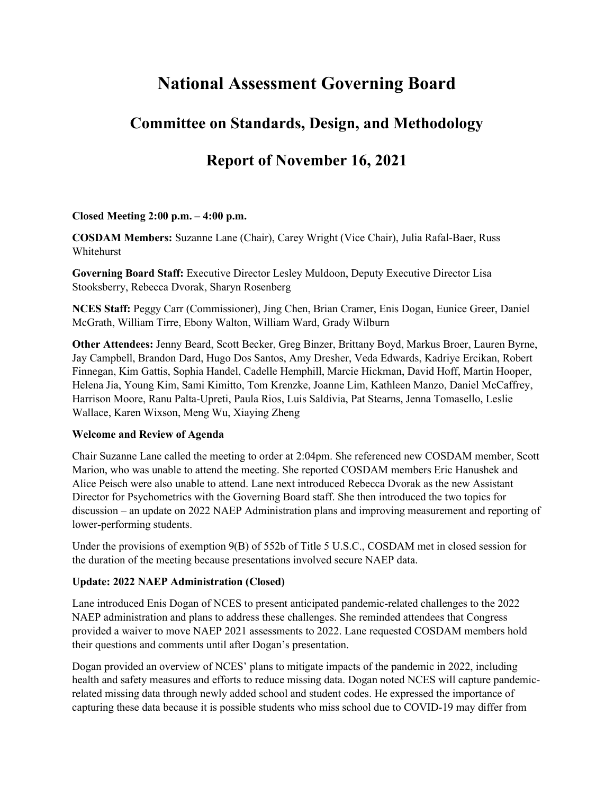# **National Assessment Governing Board**

## **Committee on Standards, Design, and Methodology**

## **Report of November 16, 2021**

#### **Closed Meeting 2:00 p.m. – 4:00 p.m.**

**COSDAM Members:** Suzanne Lane (Chair), Carey Wright (Vice Chair), Julia Rafal-Baer, Russ Whitehurst

**Governing Board Staff:** Executive Director Lesley Muldoon, Deputy Executive Director Lisa Stooksberry, Rebecca Dvorak, Sharyn Rosenberg

**NCES Staff:** Peggy Carr (Commissioner), Jing Chen, Brian Cramer, Enis Dogan, Eunice Greer, Daniel McGrath, William Tirre, Ebony Walton, William Ward, Grady Wilburn

**Other Attendees:** Jenny Beard, Scott Becker, Greg Binzer, Brittany Boyd, Markus Broer, Lauren Byrne, Jay Campbell, Brandon Dard, Hugo Dos Santos, Amy Dresher, Veda Edwards, Kadriye Ercikan, Robert Finnegan, Kim Gattis, Sophia Handel, Cadelle Hemphill, Marcie Hickman, David Hoff, Martin Hooper, Helena Jia, Young Kim, Sami Kimitto, Tom Krenzke, Joanne Lim, Kathleen Manzo, Daniel McCaffrey, Harrison Moore, Ranu Palta-Upreti, Paula Rios, Luis Saldivia, Pat Stearns, Jenna Tomasello, Leslie Wallace, Karen Wixson, Meng Wu, Xiaying Zheng

#### **Welcome and Review of Agenda**

Chair Suzanne Lane called the meeting to order at 2:04pm. She referenced new COSDAM member, Scott Marion, who was unable to attend the meeting. She reported COSDAM members Eric Hanushek and Alice Peisch were also unable to attend. Lane next introduced Rebecca Dvorak as the new Assistant Director for Psychometrics with the Governing Board staff. She then introduced the two topics for discussion – an update on 2022 NAEP Administration plans and improving measurement and reporting of lower-performing students.

Under the provisions of exemption 9(B) of 552b of Title 5 U.S.C., COSDAM met in closed session for the duration of the meeting because presentations involved secure NAEP data.

#### **Update: 2022 NAEP Administration (Closed)**

Lane introduced Enis Dogan of NCES to present anticipated pandemic-related challenges to the 2022 NAEP administration and plans to address these challenges. She reminded attendees that Congress provided a waiver to move NAEP 2021 assessments to 2022. Lane requested COSDAM members hold their questions and comments until after Dogan's presentation.

Dogan provided an overview of NCES' plans to mitigate impacts of the pandemic in 2022, including health and safety measures and efforts to reduce missing data. Dogan noted NCES will capture pandemicrelated missing data through newly added school and student codes. He expressed the importance of capturing these data because it is possible students who miss school due to COVID-19 may differ from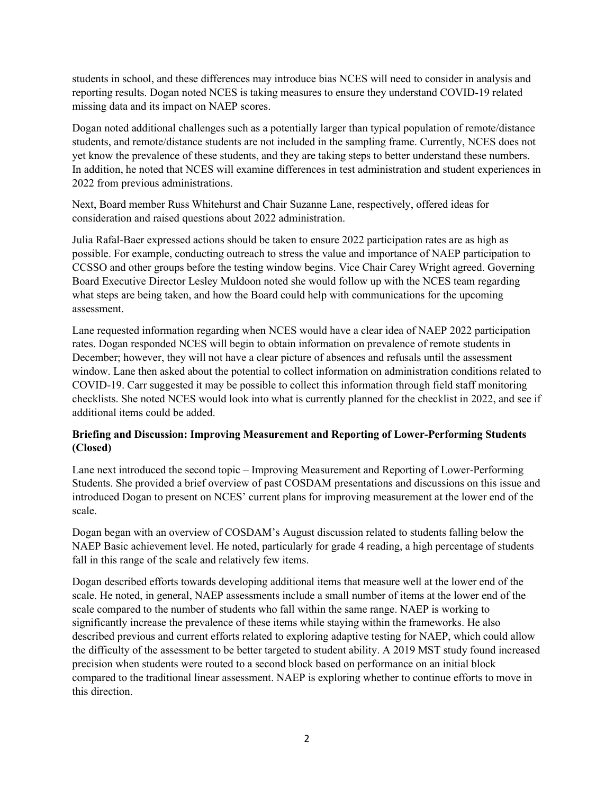students in school, and these differences may introduce bias NCES will need to consider in analysis and reporting results. Dogan noted NCES is taking measures to ensure they understand COVID-19 related missing data and its impact on NAEP scores.

Dogan noted additional challenges such as a potentially larger than typical population of remote/distance students, and remote/distance students are not included in the sampling frame. Currently, NCES does not yet know the prevalence of these students, and they are taking steps to better understand these numbers. In addition, he noted that NCES will examine differences in test administration and student experiences in 2022 from previous administrations.

Next, Board member Russ Whitehurst and Chair Suzanne Lane, respectively, offered ideas for consideration and raised questions about 2022 administration.

Julia Rafal-Baer expressed actions should be taken to ensure 2022 participation rates are as high as possible. For example, conducting outreach to stress the value and importance of NAEP participation to CCSSO and other groups before the testing window begins. Vice Chair Carey Wright agreed. Governing Board Executive Director Lesley Muldoon noted she would follow up with the NCES team regarding what steps are being taken, and how the Board could help with communications for the upcoming assessment.

Lane requested information regarding when NCES would have a clear idea of NAEP 2022 participation rates. Dogan responded NCES will begin to obtain information on prevalence of remote students in December; however, they will not have a clear picture of absences and refusals until the assessment window. Lane then asked about the potential to collect information on administration conditions related to COVID-19. Carr suggested it may be possible to collect this information through field staff monitoring checklists. She noted NCES would look into what is currently planned for the checklist in 2022, and see if additional items could be added.

#### **Briefing and Discussion: Improving Measurement and Reporting of Lower-Performing Students (Closed)**

Lane next introduced the second topic – Improving Measurement and Reporting of Lower-Performing Students. She provided a brief overview of past COSDAM presentations and discussions on this issue and introduced Dogan to present on NCES' current plans for improving measurement at the lower end of the scale.

Dogan began with an overview of COSDAM's August discussion related to students falling below the NAEP Basic achievement level. He noted, particularly for grade 4 reading, a high percentage of students fall in this range of the scale and relatively few items.

Dogan described efforts towards developing additional items that measure well at the lower end of the scale. He noted, in general, NAEP assessments include a small number of items at the lower end of the scale compared to the number of students who fall within the same range. NAEP is working to significantly increase the prevalence of these items while staying within the frameworks. He also described previous and current efforts related to exploring adaptive testing for NAEP, which could allow the difficulty of the assessment to be better targeted to student ability. A 2019 MST study found increased precision when students were routed to a second block based on performance on an initial block compared to the traditional linear assessment. NAEP is exploring whether to continue efforts to move in this direction.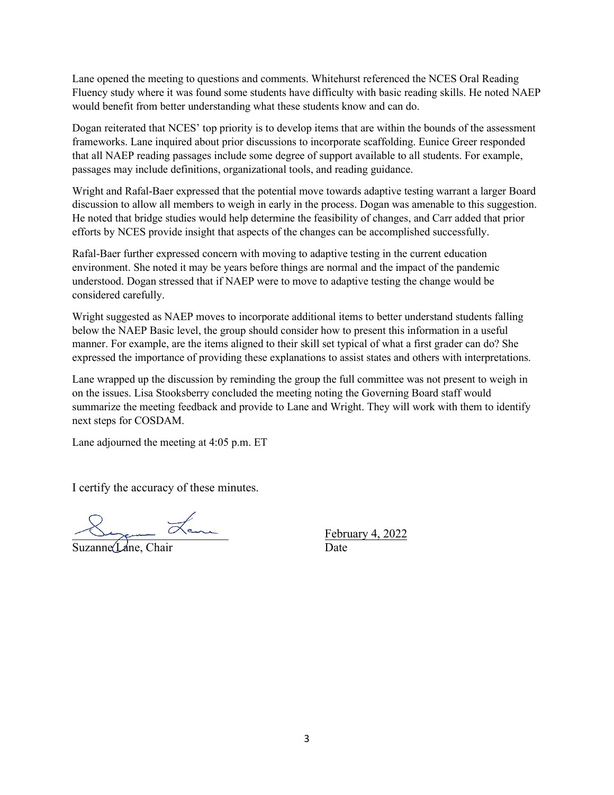Lane opened the meeting to questions and comments. Whitehurst referenced the NCES Oral Reading Fluency study where it was found some students have difficulty with basic reading skills. He noted NAEP would benefit from better understanding what these students know and can do.

Dogan reiterated that NCES' top priority is to develop items that are within the bounds of the assessment frameworks. Lane inquired about prior discussions to incorporate scaffolding. Eunice Greer responded that all NAEP reading passages include some degree of support available to all students. For example, passages may include definitions, organizational tools, and reading guidance.

Wright and Rafal-Baer expressed that the potential move towards adaptive testing warrant a larger Board discussion to allow all members to weigh in early in the process. Dogan was amenable to this suggestion. He noted that bridge studies would help determine the feasibility of changes, and Carr added that prior efforts by NCES provide insight that aspects of the changes can be accomplished successfully.

Rafal-Baer further expressed concern with moving to adaptive testing in the current education environment. She noted it may be years before things are normal and the impact of the pandemic understood. Dogan stressed that if NAEP were to move to adaptive testing the change would be considered carefully.

Wright suggested as NAEP moves to incorporate additional items to better understand students falling below the NAEP Basic level, the group should consider how to present this information in a useful manner. For example, are the items aligned to their skill set typical of what a first grader can do? She expressed the importance of providing these explanations to assist states and others with interpretations.

Lane wrapped up the discussion by reminding the group the full committee was not present to weigh in on the issues. Lisa Stooksberry concluded the meeting noting the Governing Board staff would summarize the meeting feedback and provide to Lane and Wright. They will work with them to identify next steps for COSDAM.

Lane adjourned the meeting at 4:05 p.m. ET

I certify the accuracy of these minutes.

\_\_\_\_\_\_\_\_\_\_\_\_\_\_\_\_\_\_\_\_\_\_\_\_\_\_

Suzanne Lane, Chair

February 4, 2022 Date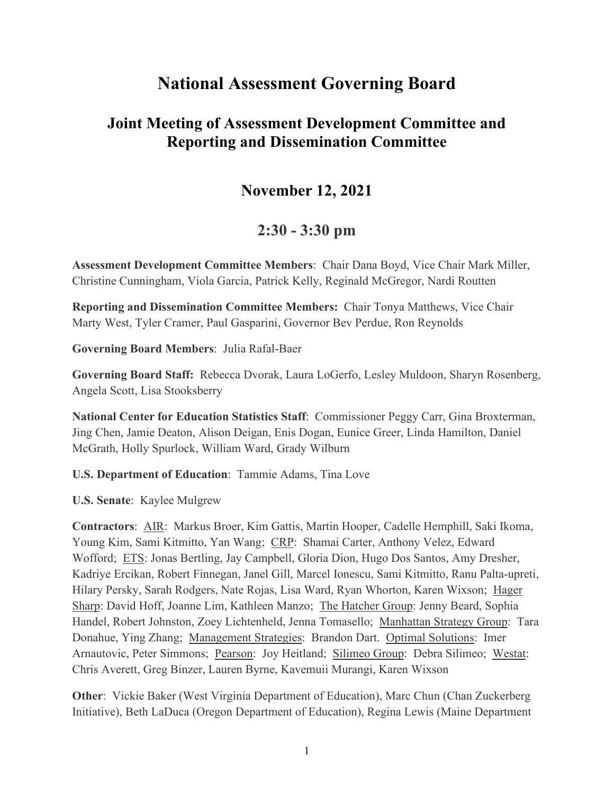# **National Assessment Governing Board**

## **Joint Meeting of Assessment Development Committee and Reporting and Dissemination Committee**

## **November 12, 2021**

## **2:30 - 3:30 pm**

**Assessment Development Committee Members**: Chair Dana Boyd, Vice Chair Mark Miller, Christine Cunningham, Viola Garcia, Patrick Kelly, Reginald McGregor, Nardi Routten

**Reporting and Dissemination Committee Members:** Chair Tonya Matthews, Vice Chair Marty West, Tyler Cramer, Paul Gasparini, Governor Bev Perdue, Ron Reynolds

**Governing Board Members**: Julia Rafal-Baer

**Governing Board Staff:** Rebecca Dvorak, Laura LoGerfo, Lesley Muldoon, Sharyn Rosenberg, Angela Scott, Lisa Stooksberry

**National Center for Education Statistics Staff**: Commissioner Peggy Carr, Gina Broxterman, Jing Chen, Jamie Deaton, Alison Deigan, Enis Dogan, Eunice Greer, Linda Hamilton, Daniel McGrath, Holly Spurlock, William Ward, Grady Wilburn

**U.S. Department of Education**: Tammie Adams, Tina Love

**U.S. Senate**: Kaylee Mulgrew

**Contractors**: AIR: Markus Broer, Kim Gattis, Martin Hooper, Cadelle Hemphill, Saki Ikoma, Young Kim, Sami Kitmitto, Yan Wang; CRP: Shamai Carter, Anthony Velez, Edward Wofford; ETS: Jonas Bertling, Jay Campbell, Gloria Dion, Hugo Dos Santos, Amy Dresher, Kadriye Ercikan, Robert Finnegan, Janel Gill, Marcel Ionescu, Sami Kitmitto, Ranu Palta-upreti, Hilary Persky, Sarah Rodgers, Nate Rojas, Lisa Ward, Ryan Whorton, Karen Wixson; Hager Sharp: David Hoff, Joanne Lim, Kathleen Manzo; The Hatcher Group: Jenny Beard, Sophia Handel, Robert Johnston, Zoey Lichtenheld, Jenna Tomasello; Manhattan Strategy Group: Tara Donahue, Ying Zhang; Management Strategies: Brandon Dart. Optimal Solutions: Imer Arnautovic, Peter Simmons; Pearson: Joy Heitland; Silimeo Group: Debra Silimeo; Westat: Chris Averett, Greg Binzer, Lauren Byrne, Kavemuii Murangi, Karen Wixson

**Other**: Vickie Baker (West Virginia Department of Education), Marc Chun (Chan Zuckerberg Initiative), Beth LaDuca (Oregon Department of Education), Regina Lewis (Maine Department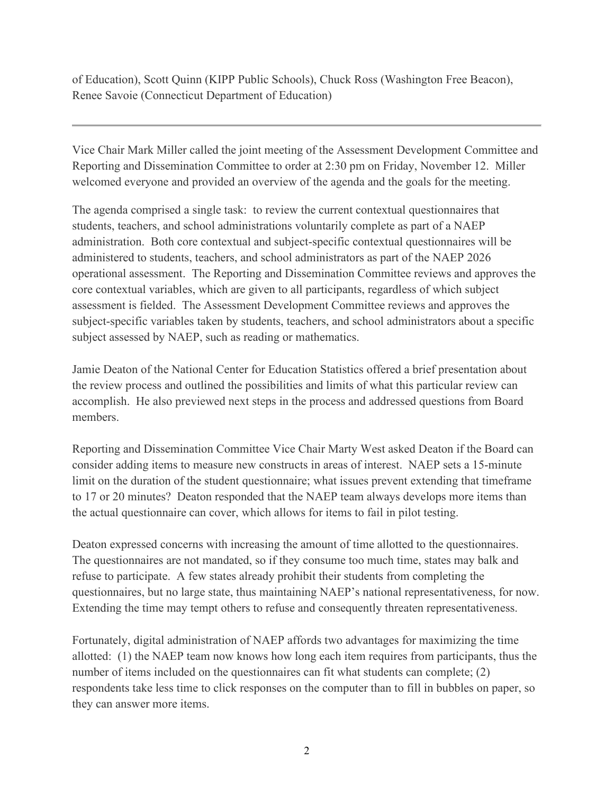of Education), Scott Quinn (KIPP Public Schools), Chuck Ross (Washington Free Beacon), Renee Savoie (Connecticut Department of Education)

Vice Chair Mark Miller called the joint meeting of the Assessment Development Committee and Reporting and Dissemination Committee to order at 2:30 pm on Friday, November 12. Miller welcomed everyone and provided an overview of the agenda and the goals for the meeting.

The agenda comprised a single task: to review the current contextual questionnaires that students, teachers, and school administrations voluntarily complete as part of a NAEP administration. Both core contextual and subject-specific contextual questionnaires will be administered to students, teachers, and school administrators as part of the NAEP 2026 operational assessment. The Reporting and Dissemination Committee reviews and approves the core contextual variables, which are given to all participants, regardless of which subject assessment is fielded. The Assessment Development Committee reviews and approves the subject-specific variables taken by students, teachers, and school administrators about a specific subject assessed by NAEP, such as reading or mathematics.

Jamie Deaton of the National Center for Education Statistics offered a brief presentation about the review process and outlined the possibilities and limits of what this particular review can accomplish. He also previewed next steps in the process and addressed questions from Board members.

Reporting and Dissemination Committee Vice Chair Marty West asked Deaton if the Board can consider adding items to measure new constructs in areas of interest. NAEP sets a 15-minute limit on the duration of the student questionnaire; what issues prevent extending that timeframe to 17 or 20 minutes? Deaton responded that the NAEP team always develops more items than the actual questionnaire can cover, which allows for items to fail in pilot testing.

Deaton expressed concerns with increasing the amount of time allotted to the questionnaires. The questionnaires are not mandated, so if they consume too much time, states may balk and refuse to participate. A few states already prohibit their students from completing the questionnaires, but no large state, thus maintaining NAEP's national representativeness, for now. Extending the time may tempt others to refuse and consequently threaten representativeness.

Fortunately, digital administration of NAEP affords two advantages for maximizing the time allotted: (1) the NAEP team now knows how long each item requires from participants, thus the number of items included on the questionnaires can fit what students can complete; (2) respondents take less time to click responses on the computer than to fill in bubbles on paper, so they can answer more items.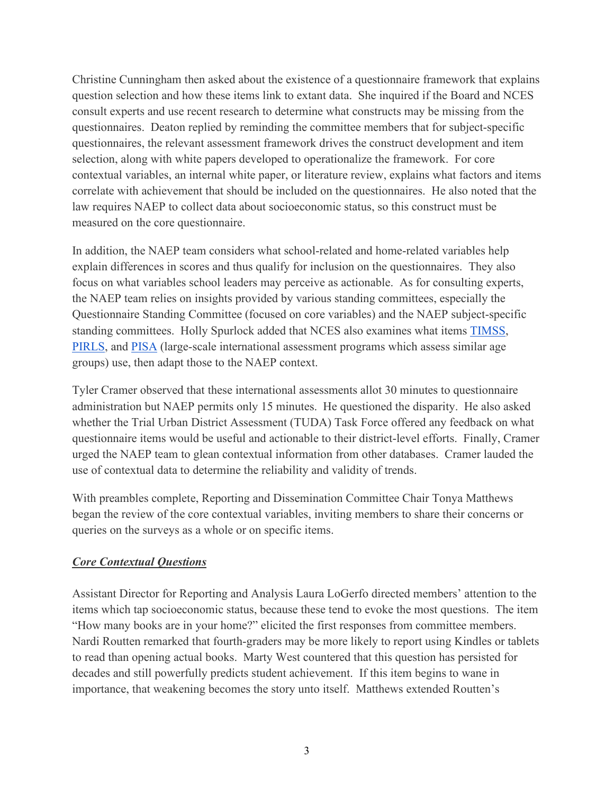Christine Cunningham then asked about the existence of a questionnaire framework that explains question selection and how these items link to extant data. She inquired if the Board and NCES consult experts and use recent research to determine what constructs may be missing from the questionnaires. Deaton replied by reminding the committee members that for subject-specific questionnaires, the relevant assessment framework drives the construct development and item selection, along with white papers developed to operationalize the framework. For core contextual variables, an internal white paper, or literature review, explains what factors and items correlate with achievement that should be included on the questionnaires. He also noted that the law requires NAEP to collect data about socioeconomic status, so this construct must be measured on the core questionnaire.

In addition, the NAEP team considers what school-related and home-related variables help explain differences in scores and thus qualify for inclusion on the questionnaires. They also focus on what variables school leaders may perceive as actionable. As for consulting experts, the NAEP team relies on insights provided by various standing committees, especially the Questionnaire Standing Committee (focused on core variables) and the NAEP subject-specific standing committees. Holly Spurlock added that NCES also examines what items [TIMSS,](https://nces.ed.gov/timss/) [PIRLS,](https://nces.ed.gov/surveys/pirls/) and [PISA](https://www.oecd.org/pisa/) (large-scale international assessment programs which assess similar age groups) use, then adapt those to the NAEP context.

Tyler Cramer observed that these international assessments allot 30 minutes to questionnaire administration but NAEP permits only 15 minutes. He questioned the disparity. He also asked whether the Trial Urban District Assessment (TUDA) Task Force offered any feedback on what questionnaire items would be useful and actionable to their district-level efforts. Finally, Cramer urged the NAEP team to glean contextual information from other databases. Cramer lauded the use of contextual data to determine the reliability and validity of trends.

With preambles complete, Reporting and Dissemination Committee Chair Tonya Matthews began the review of the core contextual variables, inviting members to share their concerns or queries on the surveys as a whole or on specific items.

## *Core Contextual Questions*

Assistant Director for Reporting and Analysis Laura LoGerfo directed members' attention to the items which tap socioeconomic status, because these tend to evoke the most questions. The item "How many books are in your home?" elicited the first responses from committee members. Nardi Routten remarked that fourth-graders may be more likely to report using Kindles or tablets to read than opening actual books. Marty West countered that this question has persisted for decades and still powerfully predicts student achievement. If this item begins to wane in importance, that weakening becomes the story unto itself. Matthews extended Routten's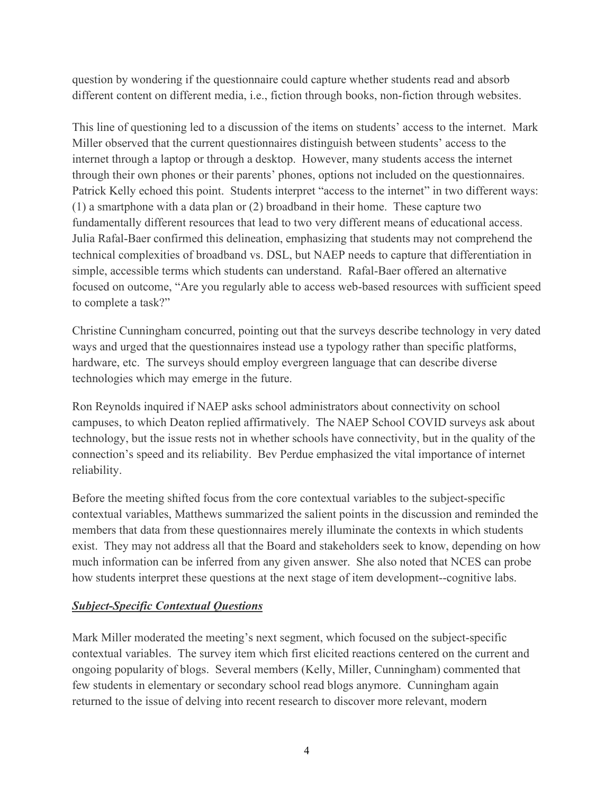question by wondering if the questionnaire could capture whether students read and absorb different content on different media, i.e., fiction through books, non-fiction through websites.

This line of questioning led to a discussion of the items on students' access to the internet. Mark Miller observed that the current questionnaires distinguish between students' access to the internet through a laptop or through a desktop. However, many students access the internet through their own phones or their parents' phones, options not included on the questionnaires. Patrick Kelly echoed this point. Students interpret "access to the internet" in two different ways: (1) a smartphone with a data plan or (2) broadband in their home. These capture two fundamentally different resources that lead to two very different means of educational access. Julia Rafal-Baer confirmed this delineation, emphasizing that students may not comprehend the technical complexities of broadband vs. DSL, but NAEP needs to capture that differentiation in simple, accessible terms which students can understand. Rafal-Baer offered an alternative focused on outcome, "Are you regularly able to access web-based resources with sufficient speed to complete a task?"

Christine Cunningham concurred, pointing out that the surveys describe technology in very dated ways and urged that the questionnaires instead use a typology rather than specific platforms, hardware, etc. The surveys should employ evergreen language that can describe diverse technologies which may emerge in the future.

Ron Reynolds inquired if NAEP asks school administrators about connectivity on school campuses, to which Deaton replied affirmatively. The NAEP School COVID surveys ask about technology, but the issue rests not in whether schools have connectivity, but in the quality of the connection's speed and its reliability. Bev Perdue emphasized the vital importance of internet reliability.

Before the meeting shifted focus from the core contextual variables to the subject-specific contextual variables, Matthews summarized the salient points in the discussion and reminded the members that data from these questionnaires merely illuminate the contexts in which students exist. They may not address all that the Board and stakeholders seek to know, depending on how much information can be inferred from any given answer. She also noted that NCES can probe how students interpret these questions at the next stage of item development--cognitive labs.

## *Subject-Specific Contextual Questions*

Mark Miller moderated the meeting's next segment, which focused on the subject-specific contextual variables. The survey item which first elicited reactions centered on the current and ongoing popularity of blogs. Several members (Kelly, Miller, Cunningham) commented that few students in elementary or secondary school read blogs anymore. Cunningham again returned to the issue of delving into recent research to discover more relevant, modern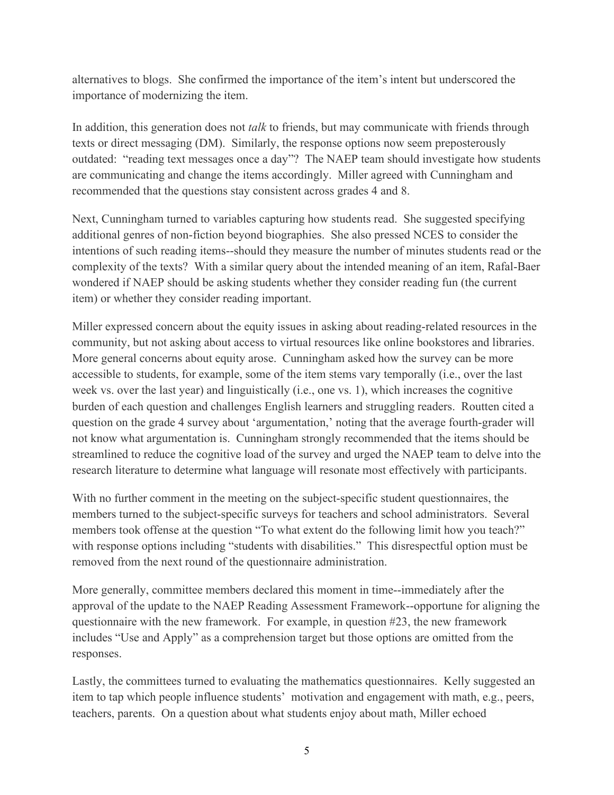alternatives to blogs. She confirmed the importance of the item's intent but underscored the importance of modernizing the item.

In addition, this generation does not *talk* to friends, but may communicate with friends through texts or direct messaging (DM). Similarly, the response options now seem preposterously outdated: "reading text messages once a day"? The NAEP team should investigate how students are communicating and change the items accordingly. Miller agreed with Cunningham and recommended that the questions stay consistent across grades 4 and 8.

Next, Cunningham turned to variables capturing how students read. She suggested specifying additional genres of non-fiction beyond biographies. She also pressed NCES to consider the intentions of such reading items--should they measure the number of minutes students read or the complexity of the texts? With a similar query about the intended meaning of an item, Rafal-Baer wondered if NAEP should be asking students whether they consider reading fun (the current item) or whether they consider reading important.

Miller expressed concern about the equity issues in asking about reading-related resources in the community, but not asking about access to virtual resources like online bookstores and libraries. More general concerns about equity arose. Cunningham asked how the survey can be more accessible to students, for example, some of the item stems vary temporally (i.e., over the last week vs. over the last year) and linguistically (i.e., one vs. 1), which increases the cognitive burden of each question and challenges English learners and struggling readers. Routten cited a question on the grade 4 survey about 'argumentation,' noting that the average fourth-grader will not know what argumentation is. Cunningham strongly recommended that the items should be streamlined to reduce the cognitive load of the survey and urged the NAEP team to delve into the research literature to determine what language will resonate most effectively with participants.

With no further comment in the meeting on the subject-specific student questionnaires, the members turned to the subject-specific surveys for teachers and school administrators. Several members took offense at the question "To what extent do the following limit how you teach?" with response options including "students with disabilities." This disrespectful option must be removed from the next round of the questionnaire administration.

More generally, committee members declared this moment in time--immediately after the approval of the update to the NAEP Reading Assessment Framework--opportune for aligning the questionnaire with the new framework. For example, in question #23, the new framework includes "Use and Apply" as a comprehension target but those options are omitted from the responses.

Lastly, the committees turned to evaluating the mathematics questionnaires. Kelly suggested an item to tap which people influence students' motivation and engagement with math, e.g., peers, teachers, parents. On a question about what students enjoy about math, Miller echoed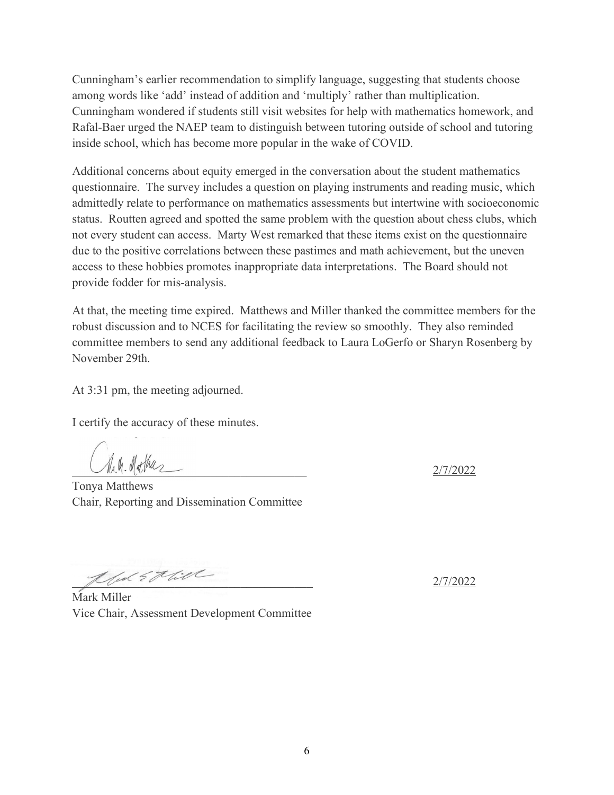Cunningham's earlier recommendation to simplify language, suggesting that students choose among words like 'add' instead of addition and 'multiply' rather than multiplication. Cunningham wondered if students still visit websites for help with mathematics homework, and Rafal-Baer urged the NAEP team to distinguish between tutoring outside of school and tutoring inside school, which has become more popular in the wake of COVID.

Additional concerns about equity emerged in the conversation about the student mathematics questionnaire. The survey includes a question on playing instruments and reading music, which admittedly relate to performance on mathematics assessments but intertwine with socioeconomic status. Routten agreed and spotted the same problem with the question about chess clubs, which not every student can access. Marty West remarked that these items exist on the questionnaire due to the positive correlations between these pastimes and math achievement, but the uneven access to these hobbies promotes inappropriate data interpretations. The Board should not provide fodder for mis-analysis.

At that, the meeting time expired. Matthews and Miller thanked the committee members for the robust discussion and to NCES for facilitating the review so smoothly. They also reminded committee members to send any additional feedback to Laura LoGerfo or Sharyn Rosenberg by November 29th.

At 3:31 pm, the meeting adjourned.

I certify the accuracy of these minutes.

 $\bigcup_{M,\Psi} . \Psi[\Psi] \Psi \times \bigtriangleup$ 

Tonya Matthews Chair, Reporting and Dissemination Committee

 $\frac{1}{2}$  and  $\frac{1}{2}$  the  $\frac{1}{2}$ 

Mark Miller Vice Chair, Assessment Development Committee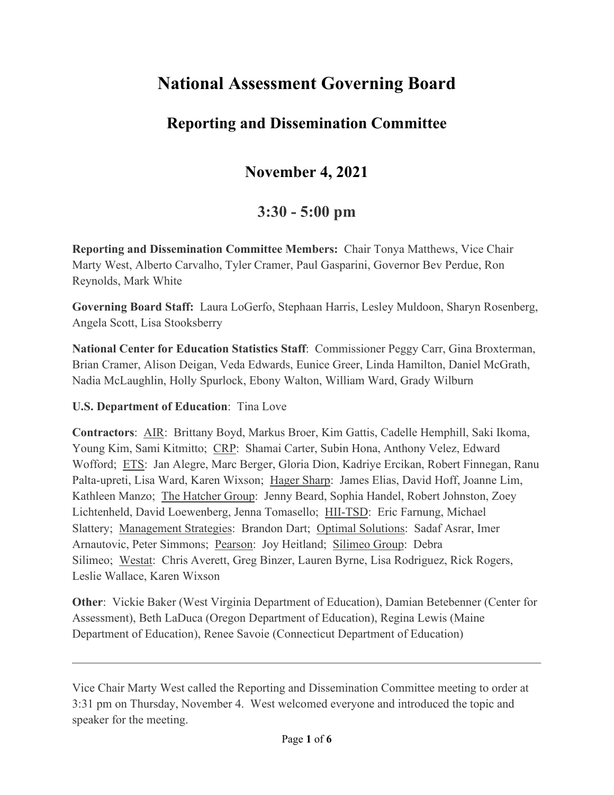# **National Assessment Governing Board**

# **Reporting and Dissemination Committee**

# **November 4, 2021**

## **3:30 - 5:00 pm**

**Reporting and Dissemination Committee Members:** Chair Tonya Matthews, Vice Chair Marty West, Alberto Carvalho, Tyler Cramer, Paul Gasparini, Governor Bev Perdue, Ron Reynolds, Mark White

**Governing Board Staff:** Laura LoGerfo, Stephaan Harris, Lesley Muldoon, Sharyn Rosenberg, Angela Scott, Lisa Stooksberry

**National Center for Education Statistics Staff**: Commissioner Peggy Carr, Gina Broxterman, Brian Cramer, Alison Deigan, Veda Edwards, Eunice Greer, Linda Hamilton, Daniel McGrath, Nadia McLaughlin, Holly Spurlock, Ebony Walton, William Ward, Grady Wilburn

## **U.S. Department of Education**: Tina Love

**Contractors**: AIR: Brittany Boyd, Markus Broer, Kim Gattis, Cadelle Hemphill, Saki Ikoma, Young Kim, Sami Kitmitto; CRP: Shamai Carter, Subin Hona, Anthony Velez, Edward Wofford; ETS: Jan Alegre, Marc Berger, Gloria Dion, Kadriye Ercikan, Robert Finnegan, Ranu Palta-upreti, Lisa Ward, Karen Wixson; Hager Sharp: James Elias, David Hoff, Joanne Lim, Kathleen Manzo; The Hatcher Group: Jenny Beard, Sophia Handel, Robert Johnston, Zoey Lichtenheld, David Loewenberg, Jenna Tomasello; HII-TSD: Eric Farnung, Michael Slattery; Management Strategies: Brandon Dart; Optimal Solutions: Sadaf Asrar, Imer Arnautovic, Peter Simmons; Pearson: Joy Heitland; Silimeo Group: Debra Silimeo; Westat: Chris Averett, Greg Binzer, Lauren Byrne, Lisa Rodriguez, Rick Rogers, Leslie Wallace, Karen Wixson

**Other**: Vickie Baker (West Virginia Department of Education), Damian Betebenner (Center for Assessment), Beth LaDuca (Oregon Department of Education), Regina Lewis (Maine Department of Education), Renee Savoie (Connecticut Department of Education)

Vice Chair Marty West called the Reporting and Dissemination Committee meeting to order at 3:31 pm on Thursday, November 4. West welcomed everyone and introduced the topic and speaker for the meeting.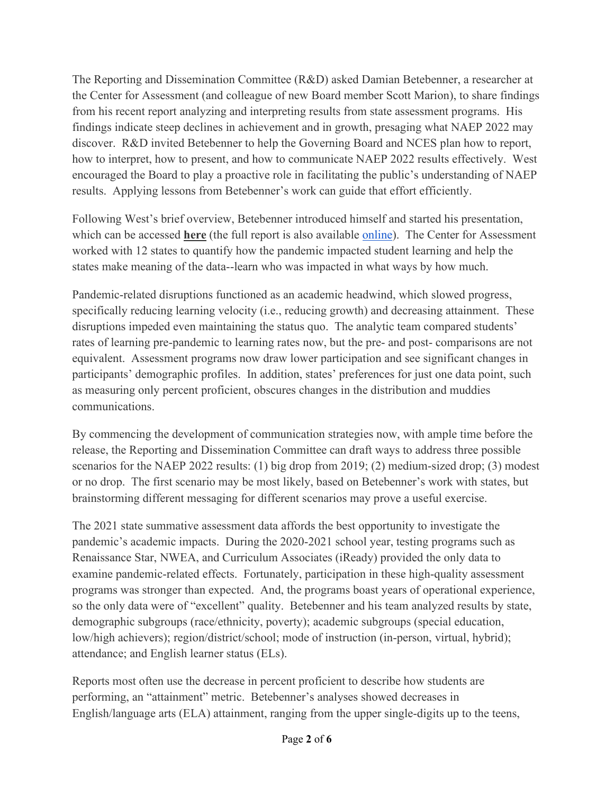The Reporting and Dissemination Committee (R&D) asked Damian Betebenner, a researcher at the Center for Assessment (and colleague of new Board member Scott Marion), to share findings from his recent report analyzing and interpreting results from state assessment programs. His findings indicate steep declines in achievement and in growth, presaging what NAEP 2022 may discover. R&D invited Betebenner to help the Governing Board and NCES plan how to report, how to interpret, how to present, and how to communicate NAEP 2022 results effectively. West encouraged the Board to play a proactive role in facilitating the public's understanding of NAEP results. Applying lessons from Betebenner's work can guide that effort efficiently.

Following West's brief overview, Betebenner introduced himself and started his presentation, which can be accessed **here** (the full report is also available [online\)](https://www.nciea.org/sites/default/files/inline-files/CFA_LearningLossRecoveryGrowthStatewideTesting.pdf). The Center for Assessment worked with 12 states to quantify how the pandemic impacted student learning and help the states make meaning of the data--learn who was impacted in what ways by how much.

Pandemic-related disruptions functioned as an academic headwind, which slowed progress, specifically reducing learning velocity (i.e., reducing growth) and decreasing attainment. These disruptions impeded even maintaining the status quo. The analytic team compared students' rates of learning pre-pandemic to learning rates now, but the pre- and post- comparisons are not equivalent. Assessment programs now draw lower participation and see significant changes in participants' demographic profiles. In addition, states' preferences for just one data point, such as measuring only percent proficient, obscures changes in the distribution and muddies communications.

By commencing the development of communication strategies now, with ample time before the release, the Reporting and Dissemination Committee can draft ways to address three possible scenarios for the NAEP 2022 results: (1) big drop from 2019; (2) medium-sized drop; (3) modest or no drop. The first scenario may be most likely, based on Betebenner's work with states, but brainstorming different messaging for different scenarios may prove a useful exercise.

The 2021 state summative assessment data affords the best opportunity to investigate the pandemic's academic impacts. During the 2020-2021 school year, testing programs such as Renaissance Star, NWEA, and Curriculum Associates (iReady) provided the only data to examine pandemic-related effects. Fortunately, participation in these high-quality assessment programs was stronger than expected. And, the programs boast years of operational experience, so the only data were of "excellent" quality. Betebenner and his team analyzed results by state, demographic subgroups (race/ethnicity, poverty); academic subgroups (special education, low/high achievers); region/district/school; mode of instruction (in-person, virtual, hybrid); attendance; and English learner status (ELs).

Reports most often use the decrease in percent proficient to describe how students are performing, an "attainment" metric. Betebenner's analyses showed decreases in English/language arts (ELA) attainment, ranging from the upper single-digits up to the teens,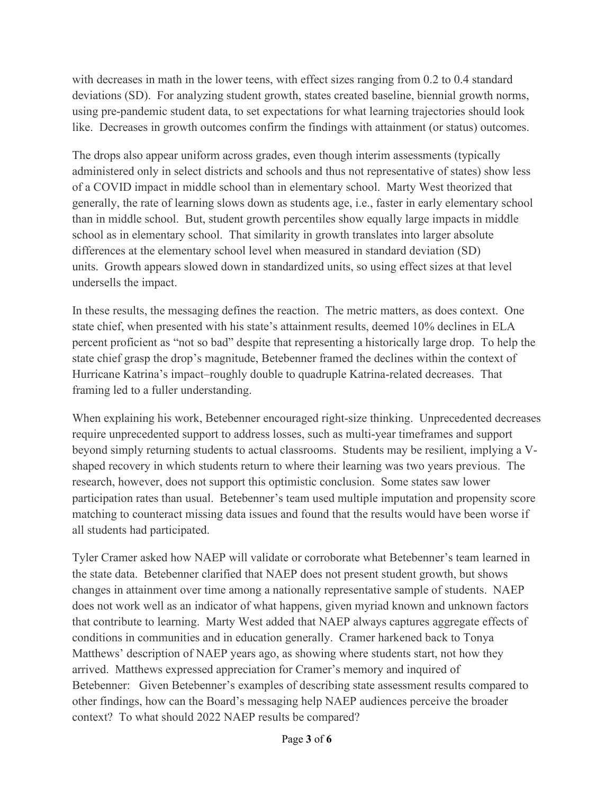with decreases in math in the lower teens, with effect sizes ranging from 0.2 to 0.4 standard deviations (SD). For analyzing student growth, states created baseline, biennial growth norms, using pre-pandemic student data, to set expectations for what learning trajectories should look like. Decreases in growth outcomes confirm the findings with attainment (or status) outcomes.

The drops also appear uniform across grades, even though interim assessments (typically administered only in select districts and schools and thus not representative of states) show less of a COVID impact in middle school than in elementary school. Marty West theorized that generally, the rate of learning slows down as students age, i.e., faster in early elementary school than in middle school. But, student growth percentiles show equally large impacts in middle school as in elementary school. That similarity in growth translates into larger absolute differences at the elementary school level when measured in standard deviation (SD) units. Growth appears slowed down in standardized units, so using effect sizes at that level undersells the impact.

In these results, the messaging defines the reaction. The metric matters, as does context. One state chief, when presented with his state's attainment results, deemed 10% declines in ELA percent proficient as "not so bad" despite that representing a historically large drop. To help the state chief grasp the drop's magnitude, Betebenner framed the declines within the context of Hurricane Katrina's impact–roughly double to quadruple Katrina-related decreases. That framing led to a fuller understanding.

When explaining his work, Betebenner encouraged right-size thinking. Unprecedented decreases require unprecedented support to address losses, such as multi-year timeframes and support beyond simply returning students to actual classrooms. Students may be resilient, implying a Vshaped recovery in which students return to where their learning was two years previous. The research, however, does not support this optimistic conclusion. Some states saw lower participation rates than usual. Betebenner's team used multiple imputation and propensity score matching to counteract missing data issues and found that the results would have been worse if all students had participated.

Tyler Cramer asked how NAEP will validate or corroborate what Betebenner's team learned in the state data. Betebenner clarified that NAEP does not present student growth, but shows changes in attainment over time among a nationally representative sample of students. NAEP does not work well as an indicator of what happens, given myriad known and unknown factors that contribute to learning. Marty West added that NAEP always captures aggregate effects of conditions in communities and in education generally. Cramer harkened back to Tonya Matthews' description of NAEP years ago, as showing where students start, not how they arrived. Matthews expressed appreciation for Cramer's memory and inquired of Betebenner: Given Betebenner's examples of describing state assessment results compared to other findings, how can the Board's messaging help NAEP audiences perceive the broader context? To what should 2022 NAEP results be compared?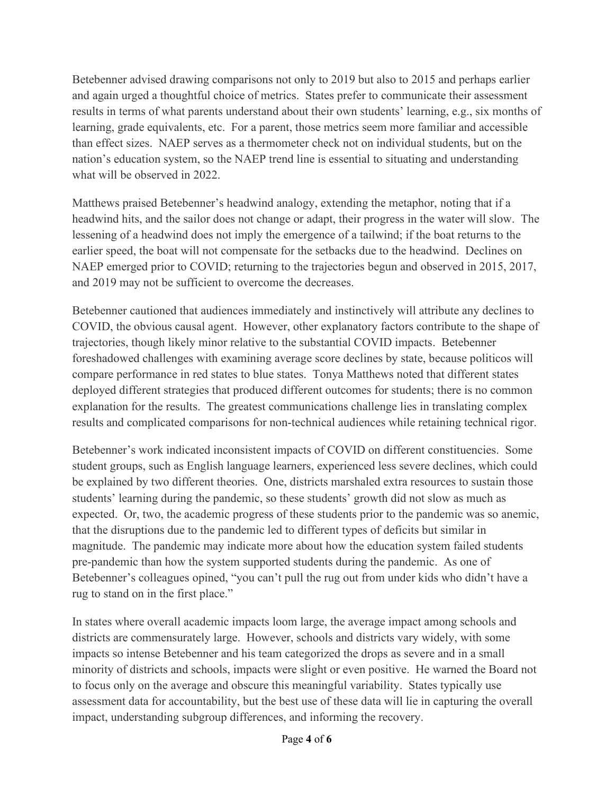Betebenner advised drawing comparisons not only to 2019 but also to 2015 and perhaps earlier and again urged a thoughtful choice of metrics. States prefer to communicate their assessment results in terms of what parents understand about their own students' learning, e.g., six months of learning, grade equivalents, etc. For a parent, those metrics seem more familiar and accessible than effect sizes. NAEP serves as a thermometer check not on individual students, but on the nation's education system, so the NAEP trend line is essential to situating and understanding what will be observed in 2022.

Matthews praised Betebenner's headwind analogy, extending the metaphor, noting that if a headwind hits, and the sailor does not change or adapt, their progress in the water will slow. The lessening of a headwind does not imply the emergence of a tailwind; if the boat returns to the earlier speed, the boat will not compensate for the setbacks due to the headwind. Declines on NAEP emerged prior to COVID; returning to the trajectories begun and observed in 2015, 2017, and 2019 may not be sufficient to overcome the decreases.

Betebenner cautioned that audiences immediately and instinctively will attribute any declines to COVID, the obvious causal agent. However, other explanatory factors contribute to the shape of trajectories, though likely minor relative to the substantial COVID impacts. Betebenner foreshadowed challenges with examining average score declines by state, because politicos will compare performance in red states to blue states. Tonya Matthews noted that different states deployed different strategies that produced different outcomes for students; there is no common explanation for the results. The greatest communications challenge lies in translating complex results and complicated comparisons for non-technical audiences while retaining technical rigor.

Betebenner's work indicated inconsistent impacts of COVID on different constituencies. Some student groups, such as English language learners, experienced less severe declines, which could be explained by two different theories. One, districts marshaled extra resources to sustain those students' learning during the pandemic, so these students' growth did not slow as much as expected. Or, two, the academic progress of these students prior to the pandemic was so anemic, that the disruptions due to the pandemic led to different types of deficits but similar in magnitude. The pandemic may indicate more about how the education system failed students pre-pandemic than how the system supported students during the pandemic. As one of Betebenner's colleagues opined, "you can't pull the rug out from under kids who didn't have a rug to stand on in the first place."

In states where overall academic impacts loom large, the average impact among schools and districts are commensurately large. However, schools and districts vary widely, with some impacts so intense Betebenner and his team categorized the drops as severe and in a small minority of districts and schools, impacts were slight or even positive. He warned the Board not to focus only on the average and obscure this meaningful variability. States typically use assessment data for accountability, but the best use of these data will lie in capturing the overall impact, understanding subgroup differences, and informing the recovery.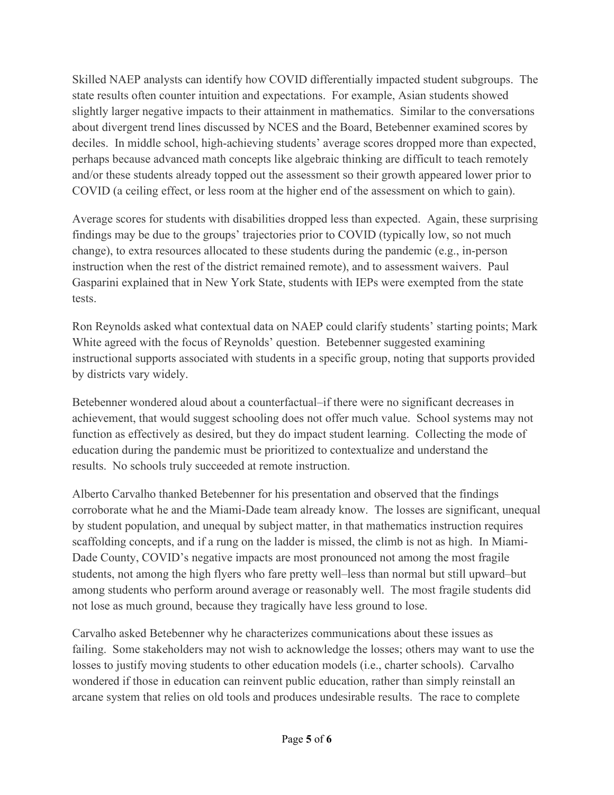Skilled NAEP analysts can identify how COVID differentially impacted student subgroups. The state results often counter intuition and expectations. For example, Asian students showed slightly larger negative impacts to their attainment in mathematics. Similar to the conversations about divergent trend lines discussed by NCES and the Board, Betebenner examined scores by deciles. In middle school, high-achieving students' average scores dropped more than expected, perhaps because advanced math concepts like algebraic thinking are difficult to teach remotely and/or these students already topped out the assessment so their growth appeared lower prior to COVID (a ceiling effect, or less room at the higher end of the assessment on which to gain).

Average scores for students with disabilities dropped less than expected. Again, these surprising findings may be due to the groups' trajectories prior to COVID (typically low, so not much change), to extra resources allocated to these students during the pandemic (e.g., in-person instruction when the rest of the district remained remote), and to assessment waivers. Paul Gasparini explained that in New York State, students with IEPs were exempted from the state tests.

Ron Reynolds asked what contextual data on NAEP could clarify students' starting points; Mark White agreed with the focus of Reynolds' question. Betebenner suggested examining instructional supports associated with students in a specific group, noting that supports provided by districts vary widely.

Betebenner wondered aloud about a counterfactual–if there were no significant decreases in achievement, that would suggest schooling does not offer much value. School systems may not function as effectively as desired, but they do impact student learning. Collecting the mode of education during the pandemic must be prioritized to contextualize and understand the results. No schools truly succeeded at remote instruction.

Alberto Carvalho thanked Betebenner for his presentation and observed that the findings corroborate what he and the Miami-Dade team already know. The losses are significant, unequal by student population, and unequal by subject matter, in that mathematics instruction requires scaffolding concepts, and if a rung on the ladder is missed, the climb is not as high. In Miami-Dade County, COVID's negative impacts are most pronounced not among the most fragile students, not among the high flyers who fare pretty well–less than normal but still upward–but among students who perform around average or reasonably well. The most fragile students did not lose as much ground, because they tragically have less ground to lose.

Carvalho asked Betebenner why he characterizes communications about these issues as failing. Some stakeholders may not wish to acknowledge the losses; others may want to use the losses to justify moving students to other education models (i.e., charter schools). Carvalho wondered if those in education can reinvent public education, rather than simply reinstall an arcane system that relies on old tools and produces undesirable results. The race to complete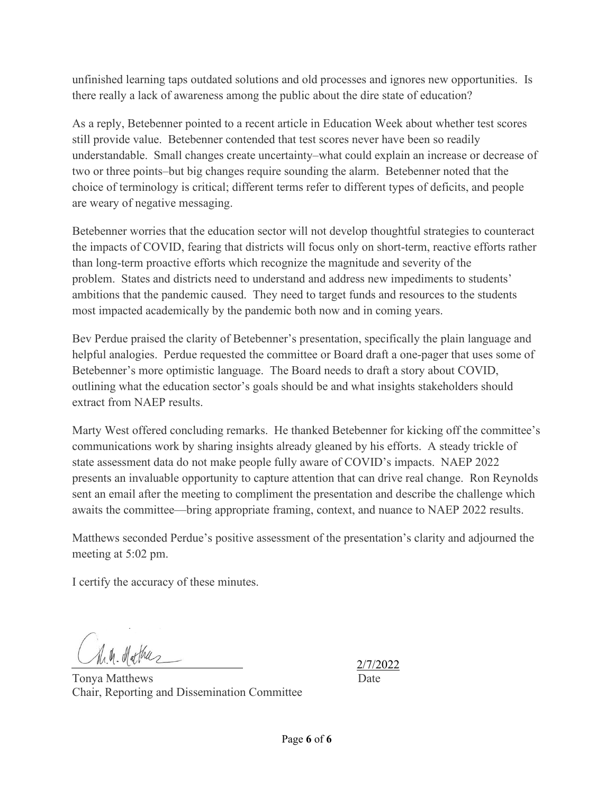unfinished learning taps outdated solutions and old processes and ignores new opportunities. Is there really a lack of awareness among the public about the dire state of education?

As a reply, Betebenner pointed to a recent article in Education Week about whether test scores still provide value. Betebenner contended that test scores never have been so readily understandable. Small changes create uncertainty–what could explain an increase or decrease of two or three points–but big changes require sounding the alarm. Betebenner noted that the choice of terminology is critical; different terms refer to different types of deficits, and people are weary of negative messaging.

Betebenner worries that the education sector will not develop thoughtful strategies to counteract the impacts of COVID, fearing that districts will focus only on short-term, reactive efforts rather than long-term proactive efforts which recognize the magnitude and severity of the problem. States and districts need to understand and address new impediments to students' ambitions that the pandemic caused. They need to target funds and resources to the students most impacted academically by the pandemic both now and in coming years.

Bev Perdue praised the clarity of Betebenner's presentation, specifically the plain language and helpful analogies. Perdue requested the committee or Board draft a one-pager that uses some of Betebenner's more optimistic language. The Board needs to draft a story about COVID, outlining what the education sector's goals should be and what insights stakeholders should extract from NAEP results.

Marty West offered concluding remarks. He thanked Betebenner for kicking off the committee's communications work by sharing insights already gleaned by his efforts. A steady trickle of state assessment data do not make people fully aware of COVID's impacts. NAEP 2022 presents an invaluable opportunity to capture attention that can drive real change. Ron Reynolds sent an email after the meeting to compliment the presentation and describe the challenge which awaits the committee—bring appropriate framing, context, and nuance to NAEP 2022 results.

Matthews seconded Perdue's positive assessment of the presentation's clarity and adjourned the meeting at 5:02 pm.

I certify the accuracy of these minutes.

M.M. Mathas

2/7/2022

Tonya Matthews Date Chair, Reporting and Dissemination Committee

Page **6** of **6**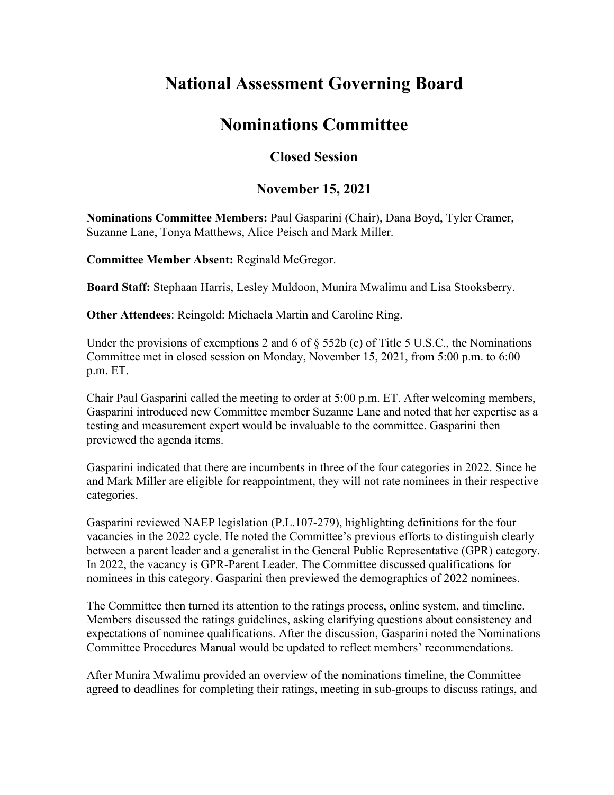# **National Assessment Governing Board**

## **Nominations Committee**

## **Closed Session**

## **November 15, 2021**

**Nominations Committee Members:** Paul Gasparini (Chair), Dana Boyd, Tyler Cramer, Suzanne Lane, Tonya Matthews, Alice Peisch and Mark Miller.

**Committee Member Absent:** Reginald McGregor.

**Board Staff:** Stephaan Harris, Lesley Muldoon, Munira Mwalimu and Lisa Stooksberry.

**Other Attendees**: Reingold: Michaela Martin and Caroline Ring.

Under the provisions of exemptions 2 and 6 of § 552b (c) of Title 5 U.S.C., the Nominations Committee met in closed session on Monday, November 15, 2021, from 5:00 p.m. to 6:00 p.m. ET.

Chair Paul Gasparini called the meeting to order at 5:00 p.m. ET. After welcoming members, Gasparini introduced new Committee member Suzanne Lane and noted that her expertise as a testing and measurement expert would be invaluable to the committee. Gasparini then previewed the agenda items.

Gasparini indicated that there are incumbents in three of the four categories in 2022. Since he and Mark Miller are eligible for reappointment, they will not rate nominees in their respective categories.

Gasparini reviewed NAEP legislation (P.L.107-279), highlighting definitions for the four vacancies in the 2022 cycle. He noted the Committee's previous efforts to distinguish clearly between a parent leader and a generalist in the General Public Representative (GPR) category. In 2022, the vacancy is GPR-Parent Leader. The Committee discussed qualifications for nominees in this category. Gasparini then previewed the demographics of 2022 nominees.

The Committee then turned its attention to the ratings process, online system, and timeline. Members discussed the ratings guidelines, asking clarifying questions about consistency and expectations of nominee qualifications. After the discussion, Gasparini noted the Nominations Committee Procedures Manual would be updated to reflect members' recommendations.

After Munira Mwalimu provided an overview of the nominations timeline, the Committee agreed to deadlines for completing their ratings, meeting in sub-groups to discuss ratings, and